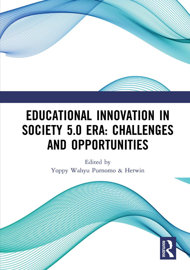

# **EDUCATIONAL INNOVATION IN SOCIETY 5.0 ERA: CHALLENGES AND OPPORTUNITIES**

Edited by Yoppy Wahyu Purnomo & Herwin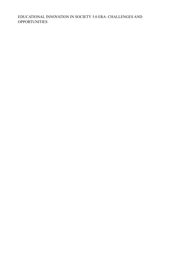#### EDUCATIONAL INNOVATION IN SOCIETY 5.0 ERA: CHALLENGES AND **OPPORTUNITIES**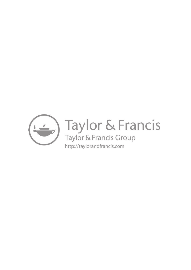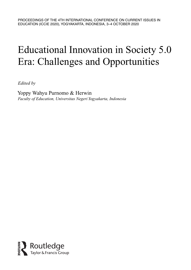# Educational Innovation in Society 5.0 Era: Challenges and Opportunities

*Edited by*

Yoppy Wahyu Purnomo & Herwin *Faculty of Education, Universitas Negeri Yogyakarta, Indonesia*

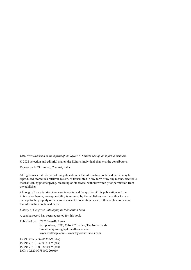*CRC Press/Balkema is an imprint of the Taylor & Francis Group, an informa business*

© 2021 selection and editorial matter, the Editors; individual chapters, the contributors.

Typeset by MPS Limited, Chennai, India

All rights reserved. No part of this publication or the information contained herein may be reproduced, stored in a retrieval system, or transmitted in any form or by any means, electronic, mechanical, by photocopying, recording or otherwise, without written prior permission from the publisher.

Although all care is taken to ensure integrity and the quality of this publication and the information herein, no responsibility is assumed by the publishers nor the author for any damage to the property or persons as a result of operation or use of this publication and/or the information contained herein.

*Library of Congress Cataloging-in-Publication Data*

A catalog record has been requested for this book

Published by: CRC Press/Balkema Schipholweg 107C, 2316 XC Leiden, The Netherlands e-mail: enquiries@taylorandfrancis.com www.routledge.com – www.taylorandfrancis.com

ISBN: 978-1-032-05392-9 (hbk) ISBN: 978-1-032-07231-9 (pbk) ISBN: 978-1-003-20601-9 (ebk) DOI: 10.1201/9781003206019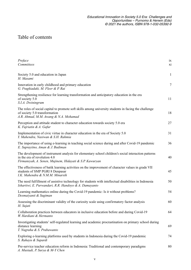## Table of contents

| Preface<br>Committees                                                                                                                                                                          | ix<br>xi     |
|------------------------------------------------------------------------------------------------------------------------------------------------------------------------------------------------|--------------|
| Society 5.0 and education in Japan<br>H. Masami                                                                                                                                                | $\mathbf{1}$ |
| Innovation in early childhood and primary education<br>G. Fragkiadaki, M. Fleer & P. Rai                                                                                                       | $\tau$       |
| Strengthening resilience for learning transformation and anticipatory education in the era<br>of society 5.0<br>S.I.A. Dwiningrum                                                              | 11           |
| The roles of social capital to promote soft skills among university students in facing the challenge<br>of society 5.0 transformation<br>A.R. Ahmad, M.M. Awang & N.A. Mohamad                 | 18           |
| Perception and attitude student to character education towards society 5.0 era<br>K. Fajriatin & A. Gafur                                                                                      | 27           |
| Implementation of civic virtue in character education in the era of Society 5.0<br>Y. Mahendra, Nasiwan & S.H. Rahmia                                                                          | 31           |
| The importance of using e-learning in teaching social science during and after Covid-19 pandemic<br>E. Suprayitno, Aman & J. Budiman                                                           | 36           |
| The development of instrument analysis for elementary school children's social interaction patterns<br>in the era of revolution 4.0<br>Firmansyah, A. Senen, Mujinem, Hidayati & S.P. Kawuryan | 40           |
| The effectiveness of batik learning activities on the improvement of character values in grade VII<br>students of SMP PGRI 8 Denpasar<br>I.K. Mahendra & N.M.M. Minarsih                       | 45           |
| The need fulfillment of assistive technology for students with intellectual disabilities in Indonesia<br>Ishartiwi, E. Purwandari, R.R. Handoyo & A. Damayanto                                 | 50           |
| Learning mathematics online during the Covid-19 pandemic: Is it without problems?<br>Desmaiyanti & Sugiman                                                                                     | 54           |
| Assessing the discriminant validity of the curiosity scale using confirmatory factor analysis<br>H. Sujati                                                                                     | 60           |
| Collaboration practices between educators in inclusive education before and during Covid-19<br>W. Hardiani & Hermanto                                                                          | 64           |
| Investigating students' self-regulated learning and academic procrastination on primary school during<br>distance learning<br>T. Nugraha & S. Prabawanto                                       | 69           |
| Exploring e-learning platforms used by students in Indonesia during the Covid-19 pandemic<br>S. Rahayu & Supardi                                                                               | 74           |
| Pre-service teacher education reform in Indonesia: Traditional and contemporary paradigms<br>A. Mustadi, P. Surya & M-Y Chen                                                                   | 80           |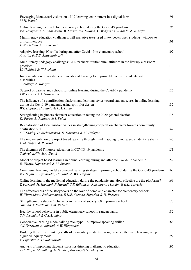| Envisaging Montessori visions on a K-2 learning environment in a digital form<br>M.H. Ismail                                                                                                         | 91  |
|------------------------------------------------------------------------------------------------------------------------------------------------------------------------------------------------------|-----|
| Online learning feedback for elementary school during the Covid-19 pandemic<br>F.N. Ismiyasari, E. Rahmawati, W. Kurniawan, Sutama, C. Widyasari, Z. Abidin & Z. Arifin                              | 96  |
| Multiliteracy education challenges: will narrative texts used in textbooks open students' window to<br>critical literacy?<br>H.N. Fadhlia & W. Purbani                                               | 101 |
| Adaptive learning 4C skills during and after Covid-19 in elementary school<br>A. Yatini & B.E. Mulyatiningsih                                                                                        | 107 |
| Multiliteracy pedagogy challenges: EFL teachers' multicultural attitudes in the literacy classroom<br>practices<br>U. Sholihah & W. Purbani                                                          | 113 |
| Implementation of wooden craft vocational learning to improve life skills in students with<br>disabilities<br>A. Sulistyo & Kasiyan                                                                  | 119 |
| Support of parents and schools for online learning during the Covid-19 pandemic<br>I.W. Liasari & A. Syamsudin                                                                                       | 125 |
| The influence of a gamification platform and learning styles toward student scores in online learning<br>during the Covid-19 pandemic using split-plot design<br>W.P. Hapsari, Haryanto & U.A. Labib | 132 |
| Strengthening beginners character education in facing the 2020 general election<br>D. Purba, B. Juantara & I. Bulan                                                                                  | 138 |
| Revitalization of local wisdom values in strengthening cooperation character towards community<br>civilization 5.0<br>S.F. Shodiq, D. Budimansyah, E. Suresman & M. Hidayat                          | 142 |
| The implementation of project based learning through mind mapping to increased student creativity<br>U.M. Sadjim & R. Jusuf                                                                          | 147 |
| The dilemma of Timorese education in COVID-19 pandemic<br>Syahrul, Arifin & A. Datuk                                                                                                                 | 151 |
| Model of project based learning in online learning during and after the Covid-19 pandemic<br>E. Wijaya, Nopriansah & M. Susanti                                                                      | 157 |
| Communal learning model as blended learning strategy in primary school during the Covid-19 pandemic<br>K.I. Sujati, A. Syamsudin, Haryanto & W.P. Hapsari                                            | 163 |
| Online learning in the medicinal education during the pandemic era: How effective are the platforms?<br>Y. Febriani, H. Haritani, P. Hariadi, T.P. Yuliana, A. Rafsanjani, M. Azim & E.E. Oktresia   | 169 |
| The effectiveness of the storybooks on the love of homeland character for elementary schools<br>W. Wuryandani, Fathurrohman, E.K.E. Sartono, Suparlan & H. Prasetia                                  | 175 |
| Strengthening a student's character in the era of society 5.0 in primary school<br>Jamilah, T. Sukitman & M. Ridwan                                                                                  | 178 |
| Healthy school behaviour in public elementary school in sanden bantul<br>S.N. Isvandari & C.S.A. Jabar                                                                                               | 182 |
| Cooperative learning model talking stick type: To improve speaking skills?<br>A.J. Verrawati, A. Mustadi & W. Wuryandani                                                                             | 186 |
| Building the critical thinking skills of elementary students through science thematic learning using<br>a guided inquiry model<br>P. Pujiastuti & D. Rahmawati                                       | 192 |
| Analysis of improving student's statistics thinking mathematic education<br>T.H. Nio, B. Manullang, H. Suyitno, Kartono & Sc. Maryani                                                                | 196 |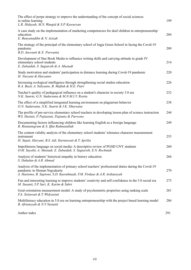| The effect of porpe strategy to improve the understanding of the concept of social sciences<br>in online learning<br>L.R. Hidayah, M.N. Wangid & S.P. Kawuryan                                                 | 199 |
|----------------------------------------------------------------------------------------------------------------------------------------------------------------------------------------------------------------|-----|
| A case study on the implementation of marketing competencies for deaf children in entrepreneurship<br>education<br>E. Bunyanuddin & N. Azizah                                                                  | 204 |
| The strategy of the principal of the elementary school of Jogja Green School in facing the Covid-19<br>pandemic<br>B.D. Jaswanti & E. Purwanta                                                                 | 209 |
| Development of Star Book Media to influence writing skills and carrying attitude in grade IV<br>elementary school students<br>E. Zubaidah, S. Sugiarsih & A. Mustadi                                           | 214 |
| Study motivation and students' participation in distance learning during Covid-19 pandemic<br>H. Nuryani & Haryanto                                                                                            | 220 |
| Increasing ecological intelligence through strengthening social studies education<br>R.A. Basit, A. Yuliyanto, B. Maftuh & H.E. Putri                                                                          | 226 |
| Teacher's quality of pedagogical influence on a student's character in society 5.0 era<br>N.K. Suarni, G.N. Sudarsana & M.N.M.I.Y. Rosita                                                                      | 232 |
| The effect of a simplified integrated learning environment on plagiarism behavior<br>G.N. Sudarsana, N.K. Suarni & I.K. Dharsana                                                                               | 238 |
| The profile of pre-service elementary school teachers in developing lesson plan of science instruction<br>W.S. Hastuti, P. Pujiastuti, Pujianto & Purwono                                                      | 244 |
| Documenting factors influencing children like learning English as a foreign language<br>R. Rintaningrum & S. Iffat Rahmatullah                                                                                 | 249 |
| The content validity analysis of the elementary school students' tolerance character measurement<br>instrument<br>H. Sujati, Haryani, B.S. Adi, Kurniawati & T. Aprilia                                        | 255 |
| Impoliteness language on social media: A descriptive review of PGSD UNY students<br>O.M. Sayekti, A. Mustadi, E. Zubaidah, S. Sugiarsih, E.N. Rochmah                                                          | 260 |
| Analysis of students' historical empathy in history education<br>S. Dahalan & A.R. Ahmad                                                                                                                       | 266 |
| Analysis of the implementation of primary school teachers' professional duties during the Covid-19<br>pandemic in Sleman Yogyakarta<br>A. Hastomo, B. Saptono, S.D. Kusrahmadi, F.M. Firdaus & A.R. Ardiansyah | 270 |
| Fun and interesting learning to improve students' creativity and self-confidence in the 5.0 social era<br>M. Susanti, Y.P. Sari, K. Karim & Sabri                                                              | 275 |
| Goal-orientation measurement model: A study of psychometric properties using ranking scale<br>F.A. Setiawati & T. Widyastuti                                                                                   | 281 |
| Multiliteracy education in 5.0 era on learning entrepreneurship with the project based learning model<br>B. Afriansyah & N.V. Yustanti                                                                         | 286 |
| Author index                                                                                                                                                                                                   | 291 |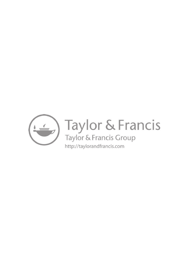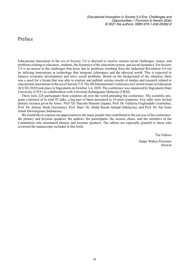#### [Preface](#page--1-2)

Educational innovation in the era of Society 5.0 is directed to resolve various social challenges, issues, and problems relating to educators, students, the dynamics of the education system, and social dynamics. Era Society 5.0 is an answer to the challenges that arose due to problems resulting from the Industrial Revolution 4.0 era by utilizing innovations in technology that integrate cyberspace and the physical world. This is expected to balance economic development and solve social problems. Based on the background of the situation, there was a need for a forum that was able to explore and publish various results of studies and research related to educational innovations in the era of Society 5.0.The 4th International Conference on Current Issues in Education (ICCIE) 2020 took place inYogyakarta on October 3-4, 2020. The conference was organized byYogyakarta State University (UNY) in collaboration with Universiti Kebangsaan Malaysia (UKM).

There were 226 participants from countries all over the world attending the conference. The scientific program consisted of in total 92 talks, a big part of them presented in 10 mini-symposia. Five talks were invited plenary lectures given by Assoc. Prof. Dr. Hayashi Masami (Japan), Prof. Dr. Glykeria Fragkiadaki (Australia), Prof. Dr. Juliane Stude (Germany), Prof. Dato' Dr. Abdul Razak Ahmad (Malaysia), and Prof. Dr. Siti Irene Astuti Dwiningrum (Indonesia).

We would like to express our appreciation to the many people who contributed to the success of the conference: the plenary and keynote speakers, the authors, the participants, the session chairs, and the members of the Committees who nominated plenary and keynote speakers. The editors are especially grateful to those who reviewed the manuscripts included in this book.

The Editors

Yoppy Wahyu Purnomo Herwin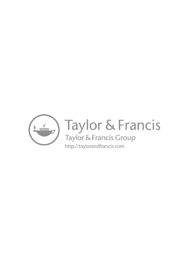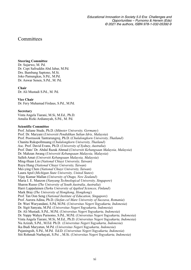#### **[Committees](#page--1-2)**

#### **Steering Committee**

Dr. Sujarwo, M. Pd. Dr. Cepi Safruddin Abd Jabar, M.Pd. Drs. Bambang Saptono, M.Si. Joko Pamungkas, S.Pd., M.Pd. Dr. Anwar Senen, S.Pd., M. Pd.

#### **Chair**

Dr. Ali Mustadi S.Pd., M. Pd.

#### **Vice Chair**

Dr. Fery Muhamad Firdaus, S.Pd., M.Pd.

#### **Secretary**

Vinta Angela Tiarani, M.Si, M.Ed., Ph.D. Amalia Rizki Ardiansyah, S.Pd., M. Pd.

#### **Scientific Committee**

Prof. Juliane Stude, Ph.D. (*Münster University, Germany*) Prof. Dr. Maryani (*Universiti Pendidikan Sultan Idris, Malaysia*) Prof. Poornsook Tantrarungroj, Ph.D. (*Chulalongkorn University, Thailand*) Chanita Rukspollmuang (*Chulalongkorn University, Thailand*) Asc. Prof. David Evans, Ph.D. (*University of Sydney, Australia*) Prof. Dato' Dr. Abdul Razak Ahmad (*Universiti Kebangsaan Malaysia, Malaysia*) Dr. Mahzan Awang (*Universiti Kebangsaan Malaysia, Malaysia*) Salleh Amat (*Universiti Kebangsaan Malaysia, Malaysia*) Ming-Huan Lin (*National Chiayi University, Taiwan*) Ruyu Hung (*National Chiayi University, Taiwan*) Mei-ying Chen (*National Chiayi University, Taiwan*) Laura Apol (*Michigan State University, United States*) Vijay Kumar Mallan (*University of Otago, New Zealand*) Maria I. E. Manzon (*Nanyang Technological University, Singapore*) Sharon Russo (*The University of South Australia, Australia*) Harri Lappalainen (*Turku University of Applied Sciences, Finland*) Mark Bray (*The University of Hongkong, Hongkong*) Prof. Tan Oon Seng (*National Institute of Education, Singapore*) Prof. Aurora Adina, Ph.D. (*Stefan cel Mare University of Suceava, Romania*) Dr. Wuri Wuryandani, S.Pd, M.Pd. (*Universitas Negeri Yogyakarta, Indonesia*) Dr. Sigit Sanyata, M.Pd. (*Universitas Negeri Yogyakarta, Indonesia*) Dr. Ali Mustadi, S.Pd., M.Pd. (*Universitas Negeri Yogyakarta, Indonesia*) Dr. Yoppy Wahyu Purnomo, S.Pd., M.Pd. (*Universitas Negeri Yogyakarta, Indonesia*) Vinta Angela Tiarani, M.Si, M.Ed., Ph.D. (*Universitas Negeri Yogyakarta, Indonesia*) Nu Azizah, S.Pd., M.Ed. Ph.D. (*Universitas Negeri Yogyakarta, Indonesia*) Ika Budi Maryatun, M.Pd. (*Universitas Negeri Yogyakarta, Indonesia*) Pujaningsih, S.Pd., M.Pd. Ed.D. (*Universitas Negeri Yogyakarta, Indonesia*) Siti Rohmah Nurhayati, S.Psi ., M.Si. (*Universitas Negeri Yogyakarta, Indonesia*)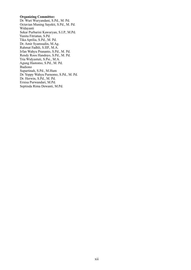#### **Organizing Committee:**

Dr. Wuri Wuryandani, S.Pd., M. Pd. Octavian Muning Sayekti, S.Pd., M. Pd. Widayanti Sekar Purbarini Kawuryan, S.I.P., M.Pd. Yunita Fitriatun, S.Pd. Tika Aprilia, S.Pd., M. Pd. Dr. Amir Syamsudin, M.Ag. Rahmat Fadhli, S.IIP., M.A. Irfan Wahyu Prananto, S.Pd., M. Pd. Rendy Roos Handoyo, S.Pd., M. Pd. Tria Widyastuti, S.Psi., M.A. Agung Hastomo, S.Pd., M. Pd. Budiono Supartinah, S.Pd., M.Hum Dr. Yoppy Wahyu Purnomo, S.Pd., M. Pd. Dr. Herwin, S.Pd., M. Pd. Ernisa Purwandari, M.Pd. Septinda Rima Dewanti, M.Pd.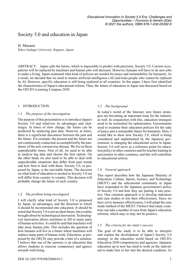#### [Society 5.0 and education in Japan](#page--1-2)

#### H. Masami

*Tokyo Gakugei University, Koganei, Japan*

ABSTRACT: Japan calls the future, which is impossible to predict with precision, Society 5.0. Current occupations will be replaced by machines and human jobs will decrease. However, humans will have to do new jobs to make a living. Japan examined what kind of policies are needed for peace and sustainability for humanity. As a result, we decided that we need to master artificial intelligence (AI) and train people who cannot be replaced by AI. However, specific education is still being explored in all countries. In this paper, I have first identified the characteristics of Japan's educational reform. Then, the future of education in Japan was discussed based on the OECD's Learning Compass 2030.

#### 1 INTRODUCTION

#### 1.1 *The purpose of the investigation*

The purpose of this presentation is to introduce Japan's Society 5.0 and relativize its advantages and challenges. In times of slow change, the future can be predicted by analyzing past data. However, at times, there is a significant disconnect between the past and the future. For example, the present and the future are not continuously connected, as exemplified by the pandemic of the new coronavirus disease. We live in these unpredictable times. First of all, we need to be able to analyze big data and choose the best option. On the other hand, we also need to be able to deal with unpredictable situations that differ from past trends and how best to deal with them. Society 5.0, as proposed by Japan, is the inevitable future. The decision on what kind of education is needed in Society 5.0 era will differ from country to country. This decision will probably change the future of each country.

#### 1.2 *The problem being investigated*

I will clarify what kind of Society 5.0 is proposed by Japan, its advantages, and the direction in which it should be incorporated into education. It should be noted that Society 5.0 is not an ideal future, but a reality brought about by technological innovation.Technological innovation allows machines to fill in many parts of human activities. It could be said that machines will take away human jobs. This includes the question of how humans will live in a future where machines will replace many parts of human work. Education, as proposed by the OECD, may provide a hint of a solution. I believe that one of the answers is an education that allows students to exercise competency and agency towards well-being.

#### 1.3 *The background*

In today's world of the Internet, new future strategies are becoming an important issue for the industry as well. In conjunction with this, education strategies need to be reoriented for optimization. Governments need to examine their education policies for the sake of peace and a sustainable future for humanity. Here, I would like to show how Society 5.0, which is being considered and implemented by the Japanese government, is changing the educational sector in Japan. Society 5.0 will serve as a reference point for education policy in other countries and for teacher training in universities in other countries, and this will contribute to educational reform.

#### 1.4 *General approach*

This report describes how the Japanese Ministry of Education, Culture, Sports, Science, and Technology (MEXT) and the educational community in Japan have responded to the Japanese government's policy of Society 5.0 and how they are putting it into practice. One common approach is to develop indicators and case studies to test their effectiveness. Since we have yet to measure effectiveness, I will adopt the case study method of the MEXT. I believe that many countries can take a number of cues from Japan's education reforms, which may or may not be positive.

#### 1.5 *The criteria for my study's success*

The goal of the study is to be able to interpret and explain the development of Japan's Society 5.0 strategy in the education world based on OECD's Education 2030 competencies and agencies. Japanese education up to now has tried to work on the individual to make him or her into the desired condition. As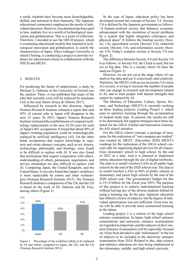a result, students have become more knowledgeable, skilled, and nurtured in their humanity. The Japanese educational community emphasizes the merits of individual education. However, less attention has been paid to how students live in a world of technological innovation and globalization. This is a point of reflection. Therefore, I decided to use the OECD project, which is examining educational models that respond to technological innovation and globalization, to clarify the characteristics of Japan. Tokyo Gakugei University, to which I belong, is conducting a project to provide evidence for educational reform in collaboration with the OECD and MEXT.

#### 2 RESULTS

For predicting the future of employment, a study by Michael A. Osborne of the University of Oxford was the catalyst. There, it was published that many of the jobs that currently exist will be replaced by machines (AI) in the near future (Freya & Osborn 2017).

Influenced by research in this direction, Japan's Nomura Research Institute released a report that said 49% of current jobs in Japan will disappear in the next 15 years. In 2015, Japan's Nomura Research Institute estimated the establishment of computer technology replacements in the next 10-20 years for each of Japan's 601 occupations. It found that about 49% of Japan's working population could be technologically replaced by artificial intelligence (AI). On the other hand, occupations that require knowledge to organize and create abstract concepts, such as art, history, archaeology, philosophy, and theology, were found to be difficult to replace with AI. It was also found that professions that require cooperation with others, understanding of others, persuasion, negotiation, and service orientation are also difficult to replace with AI. Comparing Japan, the United Kingdom, and the United States, it was also found that Japan's workforce is more replaceable by robots and other technologies (Nomura Research Institute 2015). The Nomura Research Institute's comparison of the UK and the US is based on the work of Dr. Osborne and Dr. Frey, among others (Figure 1).



Figure 1. Percentage of the workforce likely to be replaced by AI and robots, compared to Japan, the UK, and the US (Nomura Research Institute 2015).

In the case of Japan, education policy has been developed around the concept of Society 5.0. Society 5.0 is defined by the Japanese government as follows. "A human-centered society that balances economic advancement with the resolution of social problems by a system that highly integrates cyberspace and physical space" It follows the hunting society (Society 1.0), agricultural society (Society 2.0), industrial society (Society 3.0), and information society (Society 4.0). Today's complex society is Society 5.0 (see Figure 2).

The difference between Society 4.0 and Society 5.0 is as follows: in Society 4.0, the Cloud is used, but not yet as big data. This is a society where AI does the analysis (Figure 3).

However, we are not yet at the stage where AI can analyze big data and use it consciously and creatively. Therefore, the MEXT, with an eye on society 5.0 vision of a society, is trying to increase the number of people who can engage in research and development related to AI, and to train people with human strengths that cannot be replaced by AI.

The Ministry of Education, Culture, Sports, Science, and Technology (MEXT) is currently working on three leading projects: Leading Project 1, which aims to optimize learning through the accumulation of student study logs. At present, the results are still to be determined, but support strategies have been initiated for the GIGA (Global and Innovation Gateway for All) school initiative.

For the GIGA school concept, a package of measures for the realization of "one computer per student" was created by MEXT. (December 2020) MEXT's roadmap for the realization of the GIGA school concept calls for organizing digital devices for all classes, from elementary school to high school, by the end of 2022 as a start. And it is planned to implement online education through the use of digital textbooks. The plan is to install wireless LANs in all public high schools by the end of the 2020 school year. The plan is to install wireless LANs in 80% of public schools in elementary and junior high schools by the end of the 2020 school year. The government's budget for this is 231.8 billion for the fiscal year 2019. The purpose of this project is to achieve individualized learning without leaving any of the diverse students behind by using a learning log. In the past, Japanese education has offered a choice of subjects, but the degree of individual optimization was not sufficient. From now on, we will be able to provide more customized learning in the future.

Leading project 2 is a reform of the high school entrance examination. In Japan, high school entrance examinations and university entrance examinations are regarded as important, and the subjects on the Common Entrance Examination will be especially focused on. It has been decided to add "information" to the list of subjects to be included in the university entrance examination from 2024. Related to this, data science and statistics education are also being emphasized in the elementary, middle, and high school curricula.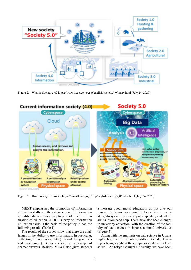

Figure 2. What is Society 5.0? https://www8.cao.go.jp/cstp/english/society5\_0/index.html (July 24, 2020)



Figure 3. How Society 5.0 works, https://www8.cao.go.jp/cstp/english/society5\_0/index.html (July 24, 2020)

MEXT emphasizes the promotion of information utilization skills and the enhancement of information morality education as a way to promote the informatization of education. A 2016 survey on information utilization skills is the basis of the policy. It had the following results (Table 1).

The results of the survey show that there are challenges in the ability to use information. In particular, collecting the necessary data (10) and doing numerical processing (11) has a very low percentage of correct answers. Besides, MEXT also gives students

a message about moral education: do not give out passwords, do not open email links or files immediately, always keep your computer updated, and talk to adults if you need help. There have also been changes in university education, with the creation of the faculty of data science in Japan's national universities (Figure 4).

Along with the emphasis on data science in Japan's high schools and universities, a different kind of teaching is being sought at the compulsory education level as well. At Tokyo Gakugei University, we have been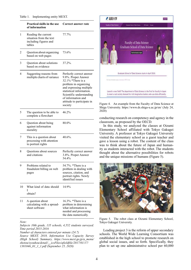|    | Practical skills in the use<br>of information                                     | Correct answer rate                                                                                                                                                                                                                             |
|----|-----------------------------------------------------------------------------------|-------------------------------------------------------------------------------------------------------------------------------------------------------------------------------------------------------------------------------------------------|
| 1  | Reading the current<br>situation from the text<br>including figures and<br>tables | 77.7%                                                                                                                                                                                                                                           |
| 2  | Question about organizing<br>based on web pages                                   | 73.6%                                                                                                                                                                                                                                           |
| 3  | Question about solutions<br>based on evidence                                     | 37.2%.                                                                                                                                                                                                                                          |
| 4  | Suggesting reasons from<br>multiple charts of variance                            | Perfectly correct answer<br>9.8%. Proper Answer<br>32.1% *There is a<br>problem in organizing<br>and expressing multiple<br>statistical information.<br>Scientific understanding<br>of information and<br>attitude to participate in<br>society |
| 5  | The question to be able to<br>complete a flowchart                                | 46.2%                                                                                                                                                                                                                                           |
| 6  | Question about being<br>against information<br>morality                           | 80.0%                                                                                                                                                                                                                                           |
| 7  | This is a question about<br>processing with attention<br>to portrait rights       | 40.6%.                                                                                                                                                                                                                                          |
| 8  | <b>Ouestions about sources</b><br>and citations                                   | Perfectly correct answer<br>3.8%. Proper Answer<br>54.4%                                                                                                                                                                                        |
| 9  | Problems related to<br>fraudulent billing on web<br>pages                         | 54.7%. *There is a<br>problem in dealing with<br>sources, citation, and<br>portrait rights. Newly<br>identified issues                                                                                                                          |
| 10 | What kind of data should<br>I<br>obtain?                                          | 14.9%                                                                                                                                                                                                                                           |
| 11 | A question about<br>calculating with a spread-<br>sheet software                  | 16.3%. *There is a<br>problem in determining<br>what information is<br>needed and processing                                                                                                                                                    |

*Note:*

*Subjects 10th grade, 135 schools, 4,552 students surveyed. Time period 2015-2016*

the data numerically.

*Number of characters entered per minute (24.7) Source MEXT, 2018, Information Use Capacity Survey (High School) Summary, https://www.mext.go.jp/a\_menu/ shotou/zyouhou/detail/\_\_icsFiles/afieldfile/2017/01/17/ 1381046\_01\_1\_1.pdf (September 25, 2020)*



Figure 4. An example from the Faculty of Data Science at Shiga University. https://www.ds.shiga-u.ac.jp/en/ (July 24, 2020)

conducting research on competency and agency in the classroom, as proposed by the OECD.

In this study, we analyzed the classes at Oizumi Elementary School affiliated with Tokyo Gakugei University. A professor at Tokyo Gakugei University visited the elementary school as a guest teacher and gave a lesson using a robot. The content of the class was to think about the future of Japan and humanity as students interacted with the robot. The students thought about the alternative possibilities for robots and the unique missions of humans (Figure 5).



Figure 5. The robot class at Oizumi Elementary School, Tokyo Gakugei University.

Leading project 3 is the reform of upper secondary schools. The World Wide Learning Consortium was established in the high school to promote research on global social issues, and so forth. Specifically, they plan to set up one administrative school per 60,000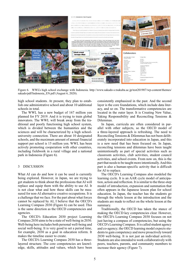

Figure 6. WWL's high school exchange with Indonesia. http://www.sakado-s.tsukuba.ac.jp/test201907/wp-content/themes/ sakado/pdf/Indonesia\_EN.pdf (August 6, 2020).

high school students. At present, they plan to establish one administrative school and about 10 additional schools in total.

The WWL has a new budget of 167 million yen planned for FY 2019. And it is trying to train global innovators. The WWL will break away from the traditional and poorly functioning high school system, which is divided between the humanities and the sciences and will be characterized by a high schooluniversity connection. There are about 10 designated schools, and the maximum amount of annual financial support per school is 15 million yen. WWL has been actively promoting cooperation with other countries, including fieldwork in a rural village and a national park in Indonesia (Figure 6).

#### 3 DISCUSSION

What AI can do and how it can be used is currently being explored. However, in Japan, we are trying to get students to think about the professions that AI will replace and equip them with the ability to use AI. It is not clear what and how these skills can be measured for non-AI alternative creative occupations. It is a challenge that we face. For the part about what forces cannot be replaced by AI, I believe that the OECD's Learning Compass 2030 (Figure 6) can be used. This is the same direction as the OECD competencies and agencies.

The OECD's Education 2030 project Learning Compass 2030 aims to be a state of well-being in 2030. Well-being here includes both personal well-being and social well-being. It is very good to set a period time, for example, 2030 as a goal in education reform. It makes the timeline easier to create.

The OECD's Learning Compass 2030 has a threelayered structure. The core competencies are knowledge, skills, attitudes and values, which have been consistently emphasized in the past. And the second layer is the core foundations, which include data literacy, and so on. The transformative competencies are located in the outer layer. It is Creating New Value, Taking Responsibility and Reconciling Tensions & Dilemmas.

In Japan, curricula are often considered in parallel with other subjects, so the OECD model of a three-layered approach is refreshing. The need to Reconciling Tensions & Dilemmas has not been deliberately incorporated into education in Japan, and this is a new need that has been focused on. In Japan, reconciling tensions and dilemmas have been taught unintentionally as part of special activities such as classroom activities, club activities, student council activities, and school events. From now on, this is the part that needs to be taught more intentionally.And this part is also a human-specific activity that is difficult for AI to replace.

The OECD's Learning Compass also modeled the learning cycle. It is an AAR cycle model of anticipation, action and reflection. It is similar to the three-step model of introduction, expansion and summation that often appears in the Japanese lesson plan for school education. In Japan, the teacher has the students go through the whole lesson at the introduction and the students are made to reflect on the whole lesson at the summary.

Traditionally, the OECD has taken the stance of making the OECD key competencies clear. However, the OECD's Learning Compass 2030 focuses on not just having a compass of competencies, but using the OECD's Learning Compass. It is called student agency and co-agency; the OECD learning model expects students to gain competency and move proactively toward 2030 well-being. It is not just an individual activity. Students are also intended to work collaboratively with peers, teachers, parents, and community members to increase their agency (Figure 7).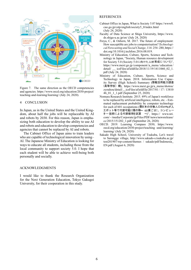

Figure 7. The same direction as the OECD competencies and agencies. https://www.oecd.org/education/2030-project/ teaching-and-learning/learning/ (July 24, 2020).

#### 4 CONCLUSION

In Japan, as in the United States and the United Kingdom, about half the jobs will be replaceable by AI and robots by 2030. For this reason, Japan is emphasizing both education to develop the ability to use AI and robots and education to develop competencies and agencies that cannot be replaced by AI and robots.

The Cabinet Office of Japan aims to train leaders who are capable of technological innovation by using– AI. The Japanese Ministry of Education is looking for ways to educate all students, including those from the local community to support society 5.0. I hope that each student will be able to achieve well-being both personally and socially.

#### ACKNOWLEDGMENTS

I would like to thank the Research Organization for the Next Generation Education, Tokyo Gakugei University, for their cooperation in this study.

#### REFERENCES

- Cabinet Office in Japan, What is Society 5.0? https://www8. cao.go.jp/cstp/english/society5\_0/index.html (July 24, 2020)
- Faculty of Data Science at Shiga University, https://www. ds.shiga-u.ac.jp/en/ (July 24, 2020)
- Freya, C., & Osborn, M. 2017. The future of employment: How susceptible are jobs to computerisation?*Technological Forecasting and Social Change*, 114: 254–280, https:// doi.org/10.1016/j.techfore.2016.08.019.
- Ministry of Education, Culture, Sports, Science and Technology in Japan, "Society, Human resource development for Society 5.0 (Society 5.0に向けた人材育成について)", https://www.mext.go.jp /component /a\_menu / education / detail/ \_\_ icsFiles/afieldfile/2018/11/19/1411060\_02\_1. pdf (July 24, 2020)
- Ministry of Education, Culture, Sports, Science and Technology in Japan. 2018. Information Use Capacity Survey (High School) Summary (情報活用能力調査 ), https://www.mext.go.jp/a\_menu/shotou/ zyouhou/detail/\_\_icsFiles/afieldfile/2017/01 / 17 / 13810 46\_01\_1\_1.pdf (September 25, 2020)
- Nomura Research Institute. 2015. 49% of Japan's workforce to be replaced by artificial intelligence, robots, etc. - Estimated replacement probability by computer technology for each of 601 occupations (要日本の労働人口の49%が入<br>エボット等で代替可能に種の職〜 60業ごとこ、コンピュー ター技術による代替確率を試算 ~)", https:// www.nri. com/ - /media/Corporate/jp/Files/PDF/news/newsrelease/ cc/2015/151202\_1.pdf (September 26, 2020)
- OECD. 2019. Learning Compass 2030, https://www. oecd.org/education/2030-project/teaching -and-learning/ learning/ (July 24, 2020)
- Sakado High School, University of Tsukuba, Let's travel to Sarongge village, http://www.sakado-s.tsukuba.ac.jp/ test201907/wp-content/themes / sakado/pdf/Indonesia\_ EN.pdf (August 6, 2020)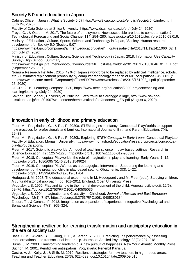## Society 5.0 and education in Japan

Cabinet Office in Japan , What is Society 5.0? https://www8.cao.go.jp/cstp/english/society5\_0/index.html (July 24, 2020).

Faculty of Data Science at Shiga University, https://www.ds.shiga-u.ac.jp/en/ (July 24, 2020).

Freya, C. , & Osborn, M. 2017. The future of employment: How susceptible are jobs to computerisation? Technological Forecasting and Social Change, 114: 254–280, https://doi.org/10.1016/j.techfore.2016.08.019.

Ministry of Education , Culture, Sports, Science and Technology in Japan, "Society, Human resource development for Society 5.0 (Society 5.0)",

https://www.mext.go.jp/component/a\_menu/education/detail/ \_icsFiles/afieldfile/2018/11/19/1411060\_02\_1. pdf (July 24, 2020).

Ministry of Education , Culture, Sports, Science and Technology in Japan. 2018. Information Use Capacity Survey (High School) Summary,

https://www.mext.go.jp/a\_menu/shotou/zyouhou/detail/ \_icsFiles/afieldfile/2017/01/17/1381046\_01\_1\_1.pdf (September 25, 2020)

Nomura Research Institute . 2015. 49% of Japan's workforce to be replaced by artificial intelligence, robots, etc. - Estimated replacement probability by computer technology for each of 601 occupations ( 49 601 )", https://www.nri.com/-/media/Corporate/jp/Files/PDF/news/newsrelease/cc/2015/151202\_1.pdf (September 26, 2020).

OECD . 2019. Learning Compass 2030, https://www.oecd.org/education/2030-project/teaching-andlearning/learning/ (July 24, 2020).

Sakado High School , University of Tsukuba, Let's travel to Sarongge village, http://www.sakados.tsukuba.ac.jp/test201907/wp-content/themes/sakado/pdf/Indonesia\_EN.pdf (August 6, 2020).

## Innovation in early childhood and primary education

Fleer, M. , Fragkiadaki, G. , & Rai, P. 2020a. STEM begins in infancy: Conceptual PlayWorlds to support new practices for professionals and families. International Journal of Birth and Parent Education, 7(4): 29–33.

Fleer, M. , Fragkiadaki, G. , & Rai, P. 2020b. Exploring STEM Concepts in Early Years. Conceptual PlayLab, Faculty of Education, Monash University. https://www.monash.edu/education/research/projects/conceptualplaylab/publications.

Fleer, M. 2017. Scientific playworlds: A model of teaching science in play-based settings. Research in Science Education, 49 : 1257–1278. https://doi.org/10.1007/s11165-017-9653-z

Fleer, M. 2018. Conceptual Playworlds: the role of imagination in play and learning. Early Years, 1–12. https://doi.org/10.1080/09575146.2018.1549024

Fleer, M. 2019. Conceptual PlayWorlds as a pedagogical intervention: Supporting the learning and development of the preschool child in play-based setting. Obutchénie, 3(3): 1–22. https://doi.org/10.14393/OBv3n3.a2019-51704

Hedegaard, M. 2008. The educational experiment, In M. Hedegaard , and M. Fleer (eds.). Studying children. A cultural-historical approach, (pp. 101–201). England, Open University Press.

Vygotsky, L.S. 1966. Play and its role in the mental development of the child. Voprosy psikhologii, 12(6): 62–76. https://doi.org/10.2753/RPO1061-040505036

Vygotsky, L.S. 2004. Imagination and Creativity in Childhood. Journal of Russian and East European Psychology, 42(1): 7–97. https://doi.org/10.2753/RPO1061-0405280184

Zittoun, T. , & Cerchia, F. 2013. Imagination as expansion of experience. Integrative Psychological and Behavioral Science, 47(3): 305–324.

#### Strengthening resilience for learning transformation and anticipatory education in the era of society 5.0

Bass, B. M., Avoilio, B. J., Jung, D. I., & Berson, Y. 2003. Predicting unit performance by assessing transformational and transactional leadership. Journal of Applied Psychology, 88(2): 207–218. Burns, J. M. 2003. Transforming leadership: A new pursuit of happiness. New York: Atlantic Monthly Press. Buchori, M. 2001. Pendidikan antisipatoris. Yogyakarta; Penerbit Kanisius.

Castro, A. J. , Kelly, J. , & Shih, M. 2010. Resilience strategies for new teachers in high-needs areas. Teaching and Teacher Education, 26(3): 622–629. doi:10.1016/j.tate.2009.09.010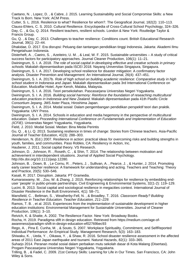Caetano, N. , Lopez, D. , & Cabre, J. 2015. Learning Sustainability and Social Compromise Skills: a New Track Is Born. New York: ACM Press.

Cutter, S. L. 2016. Resileince to what? Resilience for whom?. The Geografical Journal, 182(2): 110–113. Clauss-Ehlers, C. S. 2010. Cultural Resilience. Encyclopedia of Cross-Cultural School Psychology, 324–326. Day, C. , & Gu, Q. 2014. Resilient teachers, resilient schools. London & New York: Routledge Taylor & Francis Group.

Gu, Q. , & Day, C. 2013. Challenges to teacher resilience: Conditions count. British Educational Research Journal, 39(1): 22–44.

Dhakidae, D. 2017. Era disrupsi: Peluang dan tantangan pendidikan tinggi Indonesia. Jakarta: Akademi Ilmu Pengetahuan Indonesia.

Disterheft, A. , Caeiro, S. , Azeiteiro, U. M. , & Leal, W. F. 2015. Sustainable universities – A study of critical success factors for participatory approaches. Journal Cleaner Production, 106(1): 11–21.

Dwiningrum, S. I. A. 2018. The role of social capital in developing effective and creative schools in primary schools. Makalah dipresentasikan pada ISCEI 2018. Nayang Universitas Singapura, Singapura.

Dwiningrum, S. I. A. 2017. Developing school resilience for disaster mitigation: A confirmatory factor analysis. Disaster Prevention and Management: An International Journal, 26(4): 437–451.

Dwiningrum, S. I. A. 2017b. Role of high school on building academic resilience: Comparative study in high school student in Indonesia and Japan. Makalah dipresentasikan pada 3rd International Conference on Education. Mudzaffar Hotel, Ayer Keroh, Malaka, Malaysia.

Dwiningrum, S. I. A. 2016. Teori persekolahan. Pascasarjana Universitas Negeri Yogyakarta. Dwiningrum, S. I. A. 2016. Building social harmony: Reinforce the foundation of reseaching multicultural education practices in Indonesia and New Zealand. Makalah dipresentasikan pada 41th Pasific Circle Consortium Jepang. JMS Aster Plaza, Hiroshima Japan.

Dwiningrum, S. I. A. 2014. Modal sosial: Dalam pengembangan pendidikan perspektif teori dan praktik. Yogyakarta: UNY Press.

Dwiningrum, S. I. A. 2014. Schools in education and media hegemony in the perspective of multicultural education. Dalam Proceeding International Conference on Fundamentals and Implementation of Education (ICFIE). Universitas Negeri Yogyakarta, Yogyakarta.

Field, J. 2010. Modal Sosial. Medan: Bina Medai Perintis

Gu, Q. , & Li, Q. 2013. Sustaining resilience in times of change: Stories from Chinese teachers. Asia-Pacific Journal of Teacher Education, 41(3): 288–303.

Henderson, N. (Ed.) 2007. Resilience in action: practical ideas for overcoming risks and building strengths in youth, families, and communities. Paso Robles, CA: Resiliency in Action, Inc.

Hauberer, J. 2011. Social capital theory. VS Research.

Johnson, D. , Johnson, R. , Roseth, C. , & Shin, T. 2014. The relationship between motivation and achievement in interdependent situations. Journal of Applied Social Psychology.

http://dx.doi.org/10.1111/jasp.12280.

Johnson, B. , Down, B. , Le Cornu, R. , Peters, J. , Sullivan, A. , Pearce, J. , & Hunter, J. 2014. Promoting early career teacher resilience: A framework for understanding and acting. Teachers and Teaching: Theory and Practice, 20(5): 530–546.

Kasali, R. 2017. Disruption. Jakarta: PT Gramedia.

Kumaraswamy, M. , Zou, W. & Zhang, J. 2015. Reinforcing relationships for resilience by embedding enduser 'people' in public-private partnerships. Civil Engineering & Environmental Systems, 32(1-2): 119–129. Lucini, B. 2013. Social capital and sociological resilience in megacities context. International Journal of Disaster Resilience in the Built Environment, 4(1): 58–71.

Mansfield, C., Beltman, S., Weatherby-Fell, N., & Broadley, T. 2016. Classroom Ready? Building Resilience in Teacher Education. Teacher Education, 211–229.

Ramos, T. B. , et al. 2015. Experiences from the implementation of sustainable development in higher education institutions: Environmental Management for Sustainable Universities. Journal of Cleaner Production, 106(1): 3–10.

Reivich, K. & Shatte, A. 2002. The Resilience Factor. New York: Broadway Books.

Rocha, H. 2019. Paradigma sfift in design education. Retrieved from https://medium.com/age-ofawareness/paradigm-shift-in-design-education-ef02769bec93

Rego, A. , Pina E. Cunha, M. , & Souto, S. 2007. Workplace Spirituality, Commitment, and SelfReported Individual Performance: An Empirical Study. Management Research, 5(3): 163–183.

Shiwaku, K. , Ueda, Y. , Oikawa, Y. , & Shaw, R. 2016. School disaster resilience assessment in the affected areas of 2011 East Japan earthquake and tsunami. Natural Hazards, 82(1): 333–365.

Suharjo 2014. Peranan modal sosial dalam perbaikan mutu sekolah dasar di Kota Malang (Disertasi). Progam Pascasarjana Universitas Negeri Yogyakarta, Yogyakarta.

Trilling, B. , & Fadel, C. 2009. 21st Century Skills: Learning for Life in Our Times. San Francisco, CA: John Wiley & Sons.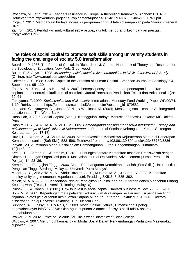Wosnitza, M. , et al. 2014. Teachers resilience in Europe. A theoretical framework. Aachen: ENTREE. Retrieved from http://entree- project.eu/wp content/uploads/2014/11/ENTREE1-new-v2\_EN-1.pdf Yoga, D. 2017. Membangun budaya inovasi di perguruan tinggi. Materi disampaikan pada Stadium General UNY.

Zamroni . 2017. Pendidikan multikultural sebagai upaya untuk mengurangi ketimpangan prestasi. Yogyakarta: UNY.

#### The roles of social capital to promote soft skills among university students in facing the challenge of society 5.0 transformation

Bourdieu, P. 1986. The Forms of Capital. In Richardson, J. G. , ed., Handbook of Theory and Research for the Sociology of Education, New York: Greenwood.

Bullen, P. & Onyx, J. 1998. Measuring social capital in five communities in NSW. Overview of A Study. (Online). http://www.mapl.com.au/Az.htm

Coleman, J. S. 1988. Social Capital in the Creation of Human Capital', American Journal of Sociology, 94, Supplement: 95–120.

Esa, A. , Md Yunos, J. , & Kaprawi, N. 2007. Persepsi pensyarah terhadap penerapan kemahiran kepimpinan menerusi kokurikulum di politeknik. Jurnal Persatuan Pendidikan Teknik dan Vokasional, 1(2): 50–61.

Fukuyama, F. 2000. Social capital and civil society. International Monetary Fund Working Paper WP/00/74. 1-19. Retrieved from https://papers.ssrn.com/sol3/papers.cfm?abstract\_id=879582

Grootaert, C. , Narayan, D. , Jones, V. N. , & Woolcock, M. (2004). Measuring social capital: An integrated questionnaire. The World Bank.

Hasbullah, J. 2006. Sosial Capital (Menuju Keunggulan Budaya Manusia Indonesia). Jakarta: MR United Press.

Hashim, H. R., & Ali, M. N. A. W. D. M. 2005. Pembangunan sahsiah mahasiswa bersepadu: Konsep dan pelaksanaannya di Kolej Universiti Kejuruteraan. In Paper in di Seminar Kebangsaan Kursus Sokongan Kejuruteraan (pp. 17-18).

Huzili, H. , Azman, Z. , & Shukri, M. 2008. Memperkasakan Mahasiswa Kejuruteraan Menerusi Penerapan Kemahiran Insaniah (Soft Skill). 583–596. Retrieved from http://103.86.130.60/handle/123456789/5836 Inayah . 2012. Peranan Modal Sosial dalam Pembangunan. Jurnal Pengembangan Humaniora, 12(1):43–49.

Kee, C. P. , Ahmad, F. , & Ibrahim, F. 2011. Hubungkait antara Kemahiran Insaniah Prasiswazah dengan Dimensi Hubungan Organisasi-publik. Malaysian Journal On Student Advancement (Jurnal Personalia Pelajar), 14: 23–36.

Kementerian Pengajian Tinggi . 2006. Modul Pembangunan Kemahiran Insaniah (Soft Skills) Untuk Institusi Pengajian Tinggi. Serdang, Malaysia: Universiti Putra Malaysia.

Madar, A. R. , Abd Aziz, M. A. , Abdul Razzaq, A. R. , Mustafa, M. Z. , & Buntat, Y. 2008. Kemahiran employability bagi memenuhi keperluan industri. Prosiding SKIKS, 8, 385–392.

Malek, M. A. N. A. 2009. Kesediaan Pelajar Pendidikan Teknikal dan Kejuruteraan dalam Menceburi Bidang Keusahawan. (Tesis, Universiti Teknologi Malaysia).

Prusak, L. , & Cohen, D. (2001). How to invest in social capital. Harvard business review, 79(6): 86–97. Som, M. M. 2001. Kepentingan mata pelajaran kokurikulum di kalangan pelajar institusi pengajian tinggi: tinjauan ke atas pelajar tahun akhir Ijazah Sarjana Muda Kejuruteraan Elektrik di KUiTTHO (Doctoral dissertation, Kolej Universiti Teknologi Tun Hussein Onn).

Supriono, A. , Flassy, D. J. & Rais, S. 2009. Modal Sosial: Definisi, Dimensi dan Tipologi. https://docplayer.info/70783746-Oleh-agus-supriono-2-dance-j-flassy-3-sasli-rais-4-abstrakpendahuluan.html

Walker, V. N. 2002. Office of Co-curicular Life. Sweet Briar: Sweet Briar College.

Wibowo, A. 2007. Menumbuhkembangkan Modal Sosial Dalam Pengembangan Partisipasi Masyarakat. M'power, 5(5).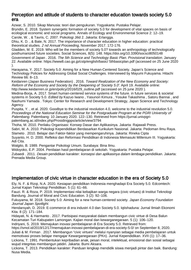#### Perception and attitude of students to character education towards society 5.0 era

Azwar, S. 2010. Sikap Manusia: teori dan pengukuran. Yogyakarta: Pustaka Pelajar.

Bryndin, E. 2018. System synergetic formation of society 5.0 for development of vital spaces on basis of ecological economic and social programs. Annals of Ecology and Environmental Science 2: 12–19. Carole, W. , & Tavris, C. 2007. Psikologi Jilid 2. Jakarta: Erlangga.

Dhiu, K. D. , & Bate, N. 2017. The importance of character education in higher education: practical theoretical studies. 2 nd Annual Proceeding, November 2017. 172-176.

Gladden, M. E. 2019. Who will be the members of society 5.0? towards an anthropology of technologically posthumanized future societies. Social Sciences, 8(5): 148. https://doi.org/10.3390/socsci8050148 Government of Japan . 2016. The 5th Science and Technology Basic Plan. Provisional translation. January 22. Available online: https://www8.cao.go.jp/cstp/english/basic/ 5thbasicplan.pdf (accessed on 25 June 2020 ).

Harayama, Y. 2017. Society 5.0: Aiming for a New Human-Centered Society. Japan's Science and Technology Policies for Addressing Global Social Challenges. Interviewed by Mayumi Fukuyama. Hitachi Review 66: 8–13.

Keidanren (Japan Business Federation) . 2016. Toward Realization of the New Economy and Society: Reform of the Economy and Society by the Deepening of 'Society 5.0′. April 19. Available online: http://www.keidanren.or.jp/en/policy/2016/029\_outline.pdf (accessed on 25 june 2020 ).

Medina-Borja, A. 2017. Smart human-centered service systems of the future. in future services & societal systems in Society 5.0. Edited by Kazuo Iwano, Yasunori Kimura, Yosuke Takashima, Satoru Bannai, and Naohumi Yamada . Tokyo: Center for Research and Development Strategy, Japan Science and Technology Agency.

Puspita, Y. , et al. 2020. Goodbye to the industrial revolution 4.0, welcome to the industrial revolution 5.0. Proceedings of the National Education Seminar for the Postgraduate Program at the PGRI University of Palembang. Palembang: 10 January 2020. 122–130. Retrieved from https://jurnal.univpgripalembang.ac.id/index.php/Prosidingpps/article/view/3794

Thoha, M. 2010. Perilaku Organisasi: Konsep Dasar dan Aplikasinya. Jakarta: Rajawali Press.

Sabri, M. A. 2010. Psikologi Kependidikan Berdasarkan Kurikulum Nasional. Jakarta: Pedoman Ilmu Raya. Slameto . 2010. Belajar dan Faktor-faktor yang mempengaruhinya. Jakarta: Rineka Cipta

Suyanto, H. D. 2000. Refleksi dan Reformasi Pendidikan di Indonesia Memasuki Millenium III. Yogyakarta: Adi Cita.

Walgito, B. 1989. Pengantar Psikologi Umum. Surabaya: Bina Ilmu.

Widoyoko, E.P. 2004. Penilaian hasil pembelajaran di sekolah. Yogyakarta: Pustaka Pelajar.

Zubaedi . 2011. Desain pendidikan karakter: konsepsi dan aplikasinya dalam lembaga pendidikan. Jakarta: Prenada Media Group.

## Implementation of civic virtue in character education in the era of Society 5.0

Ely, N. F. & Rizqi, N.A. 2020. Kesiapan pendidikan Indonesia menghadapi Era Society 5.0. Edcomtech: Jurnal Kajian Teknologi Pendidikan. 5 (1): 61–66.

Fauzi. R. & Roza, P. 2019. Implementasi nilai kebajikan warga negara (civic virtues) di Institut Teknologi Bandung. Journal of Moral and Civic Education. 3 (2): 92–106.

Fukuyama, M. 2018. Society 5.0: Aiming for a new human-centered society. Japan Economy Foundation Journal Japan Spotlight.

Hendarsyah, D. 2019. E-commerce di era industri 4.0 dan Society 5.0. Iqtishaduna: Jurnal Ilmiah Ekonomi Kita. 8 (2): 171–184.

Hidayati, N. & Harmanto . 2017. Partisipasi masyarakat dalam membangun civic virtue di Desa Balun Kecamatan Turi Kabupaten Lamongan. Kajian moral dan kewarganegaraan. 5 (1): 106–120.

Indriyani, S. 2019. Memajukan inovasi pembelajaran di Era Society 5.0. Retrieved from:

https://smol.id/2019/12/17/memajukan-inovasi-pembelajaran-di-era-society-5-0/ on September 8, 2020. Juliati & M. Firman . 2017. Membangun "civic virtues" melalui nyanyian sebagai media pembelajaran untuk

memotivasi proses belajar mengajar Kewarganegaraan (PKn). Jurnal Kependidikan. XVII (1): 17–36. Lickona, T. 1991. Pembentukan kepribadian anak, pesan moral, intelektual, emosional dan sosial sebagai wujud integritas membangun jatidiri. Jakarta: Bumi Aksara.

Lickona, T. 2013. Pendidikan karakter: Panduan lengkap mendidik siswa menjadi pintar dan baik. Bandung: Nusa Media.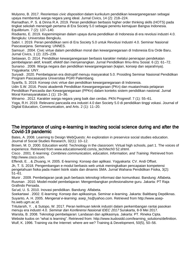Mulyono, B. 2017. Reorientasi *civic disposition* dalam kurikulum pendidikan kewarganegaraan sebagai upaya membentuk warga negara yang ideal. Jurnal Civics, 14 (2): 218–224.

Ramadhan, P. S. & Dinna R.A. 2019. Peran pendidikan berbasis higher order thinking skills (HOTS) pada tingkat sekolah menengah pertama di Era Society 5.0 sebagai penentu kemajuan Bangsa Indonesia. Equilibrium. 7 (2): 137–140.

Risdianto, E. 2019. Kepemimipinan dalam upaya dunia pendidikan di Indonesia di era revolusi industri 4.0. Bengkulu: Universitas Bengkulu.

Sabri. I. 2019. Peran pendidikan seni di Era Society 5.0 untuk Revolusi Industri 4.0. Seminar Nasional Pascasarjana. Semarang: UNNES.

Samsuri . 2004. Civic virtue dalam pendidikan moral dan kewarganegaraan di Indonesia Era Orde Baru. Jurnal Civics, 1 (2): 225–239.

Setiawan, D. 2014. Pendidikan kewarganegaraan berbasis karakter melalui penerapan pendekatan pembelajaran aktif, kreatif, efektif dan menyenangkan. Jurnal Pendidikan Ilmu-Ilmu Sosial. 6 (2): 61–72. Sunarso . 2009. Warga negara dan pendidikan kewarganegaraan (kajian, konsep dan sejarahnya). Yogyakarta: UNY.

Suryadi . 2020. Pembelajaran era distruptif menuju masyarakat 5.0. Prosiding Seminar Nasional Pendidikan Program Pascasarjana Universitas PGRI Palembang.

Syarifa, S. 2019. Konsep civic virtue dan pendidikan kewarganegaraan di Indonesia.

Udin S.W. 2016. Posisi akademik Pendidikan Kewarganegaraan (PKn) dan muatan/mata pelajaran Pendidikan Pancasila dan Kewarganegaraan (PPKn) dalam konteks sistem pendidikan nasional. Jurnal Moral Kemasyarakatan.1 (1): 15–36.

Winarno . 2012. Karakter warga negara yang baik dan cerdas. PKN Progresif. 7 (1): 55–61.

Yoga, R.H. 2019. Relevansi pancasila era industri 4.0 dan Society 5.0 di pendidikan tinggi vokasi. Journal of Digital Education, Communication, and Arts. 2 (1): 11–20.

#### The importance of using e-learning in teaching social science during and after the Covid-19 pandemic

Bates, A. 2008. Learning to Design WebQuests: An exploration in preservice social studies education. Journal of Social Studies Research, 32(1): 10–12.

Brown, M. D. 2000. Education world: Technology in the classroom: Virtual high schools, part 1. The voices of experience. Retrieved from www.educationworld.com/a\_tech/tech0 52.shtml.

Cisco . 2001. E-learning: Combines communication, education, Information, and Training. Retrieved from http://www.cisco.com.

Effendi, E. , & Zhuang, H. 2005. E-learning: Konsep dan aplikasi. Yogyakarta: CV. Andi Offset. Jh, T. S. 2018. Pengembangan e-modul berbasis web untuk meningkatkan pencapaian kompetensi pengetahuan fisika pada materi listrik statis dan dinamis SMA. Jurnal Wahana Pendidikan Fisika, 3(2): 51–61.

Munir . 2009. Pembelajaran jarak jauh berbasis teknologi informasi dan komunikasi. Bandung: Alfabeta. Rusman . 2010. Model-model pembelajaran: Mengembangkan profesionalisme guru. Jakarta: PT Raja Grafindo Persada.

Sa'ud, U. S. 2010. Inovasi pendidikan. Bandung: Alfabeta.

Soekartawi . 2002. E-learning: Konsep dan aplikasinya. Seminar e-learning. Jakarta: Balitbang Depdiknas. Suyanto, A. H. 2005. Mengenal e-learning. asep\_hs@yahoo.com. Retrieved from http://www.asephs.web.ugm.ac.id.

Tritularsih, Y. , & Sutopo, W. 2017. Peran keilmuan teknik industri dalam perkembangan rantai pasokan menuju era industri 4.0. Seminar dan Konferensi Nasional IDEC 2017 Surakarta, 8-9 Mei 2017.

Warsita, B. 2008. Teknologi pembelajaran: Landasan dan aplikasinya. Jakarta: PT. Rineka Cipta. Website kudos on "what is learning". Retrieved from: http://www.kudosidd.com/learning\_solutions/definition. Wulf, K. 1996. Training via the Internet: where are we? Training & Development, 50(5), 50–56.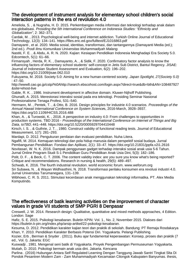### The development of instrument analysis for elementary school children's social interaction patterns in the era of revolution 4.0

Ameliola, S. , & Nugraha, H. D. 2015. Perkembangan media informasi dan teknologi terhadap anak dalam era globalisasi. Prosiding the 5th International Conference on Indonesia Studies: "Ethnicity and Globalization", 2: 362–371.

Cardak, M. , 2013. Psychological well-being and internet addiction. Turkish Online Journal of Educational Technology, 12(3): 134–141. https://files.eric.ed.gov/fulltext/EJ1016863.pdf

Damayanti , et al. 2020. Media sosial, identitas, transformasi, dan tantangannya (Damayanti Media (ed.); 2nd ed.). Prodi Ilmu Komunikasi Universitas Muhammadiyah Malang.

Nastiti, F. E. , & Abdu, A. R. N. 2020. Kajian: Kesiapan Pendidikan Indonesia Menghadapi Era Society 5.0. Edcomtech, 5(1): 61–66.

Firmansyah , Herda, R. K. , Damayanto, A. , & Sidik, F. 2020. Confirmatory factor analysis to know the influencing factors of elementary school students' self-concept in Jetis Sub District, Bantul Regency. JISAE: Journal of Indonesian Student Assessment and Evaluation, 6(2): 196–202. https://doi.org/10.21009/jisae.062.010

Fukuyama, M. 2018. Society 5.0: Aiming for a new human-centered society. Japan Spotlight, 27(Society 5.0) : 47–50.

http://www8.cao.go.jp/cstp/%0Ahttp://search.ebscohost.com/login.aspx?direct=true&db=bth&AN=108487927 &site=ehost-live

Gable, R. K. , 1986. Instrument development in affective domain. Kluwer-Nijhoff Publishing. Ghunaifi, A. 2015. Merestorasi interaksi sosial pada era teknologi. Prosiding Seminar Nasional Profesionalisme Tenaga Profesi, 531–540.

Hermann, M., Pentek, T., & Otto, B. 2016. Design principles for industrie 4.0 scenarios. Proceedings of the Annual Hawaii International Conference on System Sciences, 2016-March, 3928–3937. https://doi.org/10.1109/HICSS.2016.488

Khan, A. , & Turowski, K. , 2016. A perspective on industry 4.0: From challenges to opportunities in production systems. TBD 2016 - Proceedings of the International Conference on Internet of Things and Big Data, IoTBD, 441–448. https://doi.org/10.5220/0005929704410448

Kirsch, I. S. , & Guthrie, J. T. , 1980. Construct validity of functional reading tests. Journal of Educational Measurement, 1(7): 281–293.

Mardapi, D. 2012. Pengukuran penilaian dan evaluasi pendidikan. Nuha Litera.

Ngafifi, M. 2014. Kemajuan teknologi dan pola hidup manusia dalam perspektif sosial budaya. Jurnal Pembangunan Pendidikan: Fondasi dan Aplikasi, 2(1): 33–47. https://doi.org/10.21831/jppfa.v2i1.2616 Novitasari, W. N. K. 2016. Dampak penggunaan gadget terhadap interaksi sosial anak usia 5-6 Tahun. Jurnal Online Program Studi S-1 Pendidikan Guru Pendidikan Anak Usia Dini, 5(3): 182–186.

Polit, D. F. , & Beck, C. T. 2006. The content validity index: are you sure you know what's being reported? Critique and recommendations. Research in nursing & health, 29(5): 489–497.

Schwab, K. 2016. The fourth industrial revolution. world economic forum. www.weforum.org

Sri Subawa, N. , & Wayan Widhiasthini, N. 2018. Transformasi perilaku konsumen era revolusi industri 4.0. Jurnal Universitas Tarumanegara, 131–139.

Wibhowo, C. R. S. 2011. Stimulasi kecerdasan anak menggunakan teknologi informatika. PT. Alex Media Komputindo.

## The effectiveness of batik learning activities on the improvement of character values in grade VII students of SMP PGRI 8 Denpasar

Creswell, J. W. 2014. Research design: Qualitative, quantitative and mixed methods approaches, 4 Edition. London: Sage

Hafiz, S. E. 2015. Psikologi kesabaran. Buletin KPIN: Vol. 1., No. 2, November 2015. Diakses dari https://buletin.k-pin.org/index.php/arsip-artikel/22-psikologi-kesabaran.

Kesuma, D. 2012. Pendidikan karakter kajian teori dan praktik di sekolah. Bandung: PT Remaja Rosdakarya Khan, Y. 2010. Pendidikan Karakter Berbasis Potensi Diri. Yogyakarta. Pelangi Publishing.

Kozier, Erb , Berman & Snyder . (2011). Buku ajar fundamental keperawatan: Konsep, proses dan praktik (7 ed., Vol. I). Jakarta: EGC

Kuswadji . 1981. Mengenal seni batik di Yogyakarta. Proyek Pengembangan Permuseuman Yogyakarta. Mutiah, D. 2010. Psikologi bermain anak usia dini. Jakarta. Kencana

Parlina . (2016) Hubungan Antara Self Regulated Learning Dengan Tanggung Jawab Santri Tingkat Slta Di Pondok Pesantren Modern Zam - Zam Muhammadiyah Kecamatan Cilongok Kabupaten Banyumas. thesis,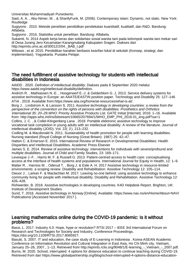Universitas Muhammadiyah Purwokerto.

Said, A. A. , Abu-Nimer, M. , & SharifyFunk, M. (2006). Contemporary islam: Dynamic, not static. New York: Routledge

Sugiyono . 2010. Metode penelitian pendidikan pendekatan kuantitatif, kualitatif, dan R&D. Bandung: Alfabeta.

Sugiyono . 2016. Statistika untuk penelitian. Bandung: Alfabeta.

Sukamti, N. 2014 Aspek kerja keras dan solidaritas sosial wanita tani pada kelompok wanita tani mekar sari di Desa Jurang Jero Kecamatan Karangmalang Kabupaten Sragen. Diakses dari http://eprints.ums.ac.id/30012/2/04. BAB\_I.pdf

Wibowo , et al. 2015. Pendidikan karakter berbasis kearifan lokal di sekolah (Konsep, strategi, dan implementasi). Yogyakarta. Pustaka Pelajar.

#### The need fulfillment of assistive technology for students with intellectual disabilities in Indonesia

AAIDD . 2020. Definition of intellectual disability. Diakses pada 8 September 2020 melalui https://www.aaidd.org/intellectual-disability/definition.

Andrich R. , Mathiassen N.-E. , Hoogerwerf E.-J. & Gelderblom G. J. 2013. Service delivery systems for assistive technology in Europe: an AAATE/EASTIN position paper. Technology and Disability 25: 127–146 ATiA . 2019. Available from:https://www.atia.org/home/at-resources/what-is-at/.

Borg J. , Lindstrom A. & Larsson S. 2011 Assistive technology in developing countries: a review from the perspective of the convention on the rights of persons with disabilities. Prosthetics and Orthotics International 35: 20–29.WHO. Priority Assistive Products List. GATE Initiat [Internet]. 2016: 1–16. Available from: http://apps.who.int/iris/bitstream/10665/207694/1/WHO\_EMP\_PHI\_2016.01\_eng.pdf?ua=1

Collins, J. C. , & Collet-Klingenberg Lana . 2018. Portable elektronic assistive technology to improve vocational task completion in young adults with an intellectual disability: A review of the literature. Journal of intellectual disability (JOID). Vol. 22( 3 ), 213–232.

Codling M. & Macdonald N. 2011. Sustainability of health promotion for people with learning disabilities. Nursing standard (Royal College of Nursing (Great Britain): 1987) 25: 42–47.

Hatton C. & Emerson E. 2015. International Review of Research in Developmental Disabilities: Health Disparities and Intellectual Disabilities. Academic Press Elsevier

James S. E. 2014. Review of assistive technology: interventions for individuals with severe/profound and multiple disabilities. Journal of Child and Family Studies, 23: 169–171.

Levesque J.-F. , Harris M. F. & Russell G. 2013. Patient-centred access to health care: conceptualising access at the interface of health systems and populations. International Journal for Equity in Health, 12: 1–9. Matter R. , Harniss M. , Oderud T. , Borg J. & Eide A. H. 2017 Assistive technology in resource-limited environments: a scoping review. Disability and Rehabilitation: Assistive Technology 12: 105–114.

Owuor J. , Larkan F. & Maclachlan M. 2017. Leaving no-one behind: using assistive technology to enhance community living for people with intellectual disability. Disability and Rehabilitation. Assistive Technology 12: 426–428.

Rohwerder, B. 2018. Assistive technologies in developing countries. K4D Helpdesk Report. Brighton, UK: Institute of Development Studies.

Sund, T. 2016. Assistive technology in Norway [Online]. Available: https://www.nav.no/en/Home/About+NAV/ Publications/ [Accessed November 2017 ].

#### Learning mathematics online during the COVID-19 pandemic: Is it without problems?

Bassi, L. 2017. Industry 4.0: Hope, hype or revolution? RTSI 2017 – IEEE 3rd International Forum on Research and Technologies for Society and Industry, Conference Proceedings. https://doi.org/10.1109/RTSI.2017.8065927.

Basuki, S. 2007. IT and education, the case study of E-Learning in Indonesia . Korea-ASEAN Academic Conference on Information Revolution and Cultural Integration in East Asia, Ho Chi Minh city, Vietnam, January 25–26, 2007., 1–13. Retrieved from http://eprints.rclis.org/9048/1/E-learning\_-\_Vietnam\_-\_2007.pdf. Burns, M. 2020. School, interrupted: 4 options for distance education to continue teaching during COVID-19. Retrieved from dari https://www.globalpartnership.org/blog/school-interrupted-4-options-distance-education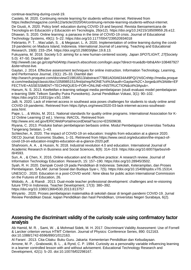continue-teaching-during-covid-19.

Castelo, M. 2020. Continuing remote learning for students without internet. Retrieved from https://edtechmagazine.com/k12/article/2020/04/continuing-remote-learning-students-without-internet. De Giusti, A. 2020. Policy brief: education during COVID-19 and beyond. Revista Iberoamericana de

Tecnología en Educación y Educación en Tecnología, 26(e12). https://doi.org/10.24215/18509959.26.e12. Dhawan, S. 2020. Online learning: a panacea in the time of COVID-19 crisis. Journal of Educational Technology Systems, 49(1): 5–22. https://doi.org/10.1177/0047239520934018

Febrianto, P. T. , Mas'udah, S. , & Megasari, L. A. 2020. Implementation of online learning during the covid-19 pandemic on Madura Island, Indonesia. International Journal of Learning, Teaching and Educational Research, 19(8): 233–254. https://doi.org/10.26803/ijlter.19.8.13.

Fukuvama. M. 2018. Society 5.0: aiming for a new human-centered society. Japan SPOTLIGHT, 27(Society 5.0): 47–50. Diambil dari

http://www8.cao.go.jp/cstp/%0Ahttp://search.ebscohost.com/login.aspx?direct=true&db=bth&AN=108487927 &site=ehost-live.

Gaytan, J. 2014. Effective assessment techniques for online instruction. Information Technology, Learning, and Performance Journal, 23(1): 25–33. Diambil dari

http://search.proquest.com/docview/219816513/abstract/77B81AD0A634A49PQ/1%5Cnhttp://media.proque st.com/media/pq/classic/doc/1058985151/fmt/pi/rep/NONE?cit%3Aauth=Gaytan%2C+Jorge&cit%3Atitle=EF FECTIVE+ASSESSMENT+TECHNIQUES+FOR+ONLINE+INSTRUCTION&cit%3Apub=.

Hanum, N. S. 2013. Keefetifan e-learning sebagai media pembelajaran (studi evaluasi model pembelajaran e-learning SMK Telkom Sandhy Putra Purwokerto). Jurnal Pendidikan Vokasi, 3(1): 90–102. https://doi.org/10.21831/jpv.v3i1.1584.

Jalli, N. 2020. Lack of internet access in southeast asia poses challenges for students to study online amid COVID-19 pandemic. Retrieved from https://phys.org/news/2020-03-lack-internet-access-southeastasia.html.

Pape, L. , & Wicks, M. 2011. National standards for quality online programs. International Association for K-12 Online Learning (2 ed.). Vienna: iNACOL. Retrieved from

http://www.eric.ed.gov/ERICWebPortal/recordDetail?accno=ED509638.

Riyana, C. 2013. Produksi bahan pembelajaran berbasis online. Modul Pembelajaran Universitas Terbuka Tangerang Selatan, 1–43.

Schleicher, A. 2020. The impact of COVID-19 on education: Insights from education at a glance 2020. OECD Journal: Economic Studies, 1–31. Retrieved from https://www.oecd.org/education/the-impact-ofcovid-19-on-education-insights-education-at-a-glance-2020.pdf.

Shahroom, A. A. , & Hussin, N. 2018. Industrial revolution 4.0 and education. International Journal of Academic Research in Business and Social Sciences, 8(9): 314–319. https://doi.org/10.6007/ijarbss/v8 i9/4593.

Sun, A. , & Chen, X. 2016. Online education and its effective practice: A research review. Journal of Information Technology Education: Research, 15: 157–190. https://doi.org/10.28945/3502.

Syah, R. H. 2020. Dampak Covid-19 pada Pendidikan di Indonesia: Sekolah, Keterampilan, dan Proses Pembelajaran. SALAM: Jurnal Sosial dan Budaya Syar-i, 7(5). https://doi.org/10.15408/sjsbs.v7i5.15314. UNESCO . 2020. Education in a post-COVID world : Nine ideas for public action International Commission on the Futures of Education, 26.

Widodo, A. , & Riandi . 2013. Dual-mode teacher professional development: challenges and re-visioning future TPD in Indonesia. Teacher Development, 17(3): 380–392.

https://doi.org/10.1080/13664530.2013.813757

Wiryanto . 2020. Proses pembelajaran matematika di sekolah dasar di tengah pandemi COVID-19. Jurnal Review Pendidikan Dasar, kajian Pendidikan dan hasil Pendidikan, Universitas Negeri Surabaya, 6(2).

#### Assessing the discriminant validity of the curiosity scale using confirmatory factor analysis

Ab Hamid, M. R. , Sami, W. , & Mohmad Sidek, M. H. 2017. Discriminant Validity Assessment: Use of Fornell & Larcker criterion versus HTMT Criterion. Journal of Physics: Conference Series, 890: 012163. doi:10.1088/1742-6596/890/1/012163.

Al Farani . 2013. Cita-Citaku: Buku Guru. Jakarta: Kementerian Pendidikan dan Kebudayaan. Arnone, M. P. , Grabowski, B. L. , & Rynd, C. P. 1994. Curiosity as a personality variable influencing learning in a learner controlled lesson with and without advisement. Educational Technology Research and Development, 42(1): 5–20. doi:10.1007/bf02298167.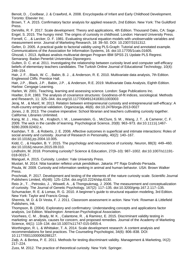Benoit, D. , Coolbear, J. & Crawford, A. 2008. Encyclopedia of Infant and Early Childhood Development. Toronto: Elsevier Inc.

Brown, T. A. 2015. Confirmatory factor analysis for applied research, 2nd Edition. New York: The Guildford Press.

DeVellis, R. F. 2017. Scale development: Theory and applications, 4th Edition. Thousand Oaks, CA: Sage . Engel, S. 2015. The hungry mind: The origins of curiosity in childhood. London: Harvard University Press. Fornell, C. , & Larcker, D. F. 1981. Evaluating structural equation models with unobservable variables and measurement error. Journal of Marketing Research, 18: 39–50. DOI: 10.2307/3151312.

Gefen, D. 2005. A practical guide to factorial validity using PLS-Graph: Tutorial and annotated example. Communications of the Association for Information Systems, 16. doi:10.17705/1cais.01605.

Ghozali, I. 2013. Aplikasi analisis multivariat dengan Program IBM SPSS 21 Update PLS Regresi. Semarang: Badan Penerbit Universitas Diponegoro.

Gulten, D. C. et al. 2011. Investigating the relationship between curiosity level and computer self-efficacy beliefs of elementary teachers candidates. The Turkish Online Journal of Educational Technology, 10(4): 248–154.

Hair, J. F. , Black, W. C. , Babin, B. J. , & Anderson, R. E. 2010. Multivariate data analysis, 7th Edition. Englewood Cliffs: Prentice Hall.

Hair, J.P. , Black, J.P. , Babin, J.P. , & Anderson, R.E. 2019. Multivariate Data Analysis, Eighth Edition. Harlow: Cengage Learning.

Harlen, W. 2001. Teaching, learning and assessing science. London: Sage Publications Inc.

Hoelter, D.R. 1983. The analysis of covariance structures: Goodness-of-fit indices, sociological. Methods and Research, 11: 325–344. doi.org/10.1177/0049124183011003003

Jeraj, M. , & Marič, M. 2013. Relation between entrepreneurial curiosity and entrepreneurial self-efficacy: A multi-country empirical validation. Organizacija, 46(6). doi:10.2478/orga-2013-0027

Jones, J. B. 2013. The creative imperative: School librarian and teachers cultivating curiosity together. California: Libraries Unlimited.

Kang, M. J. , Hsu, M. , Krajbich, I. M. , Loewenstein, G. , McClure, S. M. , Wang, J. T. , & Camerer, C. F. 2009. The wick in the candle of learning. Psychological Science, 20(8): 963–973. doi:10.1111/j.1467- 9280.2009.02402.x.

Kashdan, T. B. , & Roberts, J. E. 2006. Affective outcomes in superficial and intimate interactions: Roles of social anxiety and curiosity. Journal of Research in Personality, 40(2): 140–167. doi:10.1016/j.jrp.2004.10.005.

Kidd, C. , & Hayden, B. Y. 2015. The psychology and neuroscience of curiosity. Neuron, 88(3): 449–460. doi:10.1016/j.neuron.2015.09.010.

Lindholm, M. 2018. Promoting curiosity? Science & Education, 27(9–10): 987–1002. doi:10.1007/s11191- 018-0015-7.

Manguel, A. 2015. Curiosity. London: Yale University Press.

Mustari, M. 2014. Nilai karakter refleksi untuk pendidikan. Jakarta: PT Raja Grafindo Persada.

Pisula, W. 2009. Curiosity and information seeking in animal and human behavior. USA: Brown Walker Press.

Prochniak, P. 2017. Development and testing of the elements of the nature curiosity scale. Scientific Journal Publishers Limited, 45(48): 125–1254. doi.org/10.2224/sbp.6130.

Reio Jr., T. , Petrosko, J. , Wiswell, A. , & Thongsukmag, J. 2006. The measurement and conceptualization of curiosity. The Journal of Genetic Psychology, 167(2): 117–135. doi:10.3200/gntp.167.2.117–135.

Schumacker, R. E. & Lomax, R. G. 2010. A beginner's guide to structural equation modeling, 3rd Edition. New York: Taylor and Francis Group.

Shermis, M. D. & Di Vesta, F. J. 2011. Classroom assessment in action. New York: Rowman & Littlefield Publishers, Ink.

Thompson, B. (2004). Exploratory and confirmatory: Understanding concepts and applications factor analysis, 1st Edition. Washington: American Psychological Association.

Voorhees, C. M. , Brady, M. K. , Calantone, R. , & Ramirez, E. 2015. Discriminant validity testing in marketing: an analysis, causes for concern, and proposed remedies. Journal of the Academy of Marketing Science, 44(1): 119–134. doi:10.1007/s11747-015-0455-4.

Worthington, R. L. & Whittaker, T. A. 2014. Scale development research: A content analysis and recommendations for best practices. The Counseling Psychologist, 34(6): 806–838. DOI: 10.1177/0011000006288127.

Zaiþ, A. & Bertea, P. E. 2011. Methods for testing discriminant validity. Management & Marketing, IX(2): 217–224.

Zuss, M. 2012. The practice of theoretical curiosity. New York: Springer.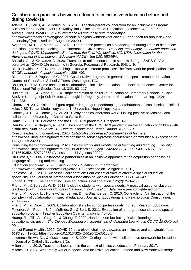#### Collaboration practices between educators in inclusive education before and during Covid-19

Adams, D. , Harris, A. , & Jones, M. S. 2016. Teacher-parent collaboration for an inclusive classroom: Success for every child. MOJES: Malaysian Online Journal of Educational Sciences, 4(3): 58–72. Arcadis . 2020. What COVID-19 can teach us about risk and uncertainty?

https://www.arcadis.com/en/global/arcadis-blog/joris-winters/what-covid-19-can-teach-us-about-risk-anduncertainty/ (Accessed on 9 Augustus 2020 )

Avgerinou, M. D. , & Moros, S. E. 2020. The 5-phase process as a balancing act during times of disruption: transitioning to virtual teaching at an international JK-5 school. Teaching, technology, an teacher education during the COVID-19 pandemic: Stories from the field. Waynesfield, NC, USA: Association for the Advancement of Computing in Education (AACE), Jun (15): 583-594.

Basilaia, G. , & Kvavadze, D. 2020. Transition to online education in schools during a SARS-CoV-2 coronavirus (COVID-19) pandemic in Georgia. Pedagogical Research, 5(4): 1–9.

Black-Hawkins, K. 2014. Researching inclusive classroom practices: The framework for participation. The SAGE handbook of special education, 389–403.

Blanton, L. P. , & Pugach, M.C. 2007. Collaborative programs in general and special teacher education. Council of Chief State School Officers, Washington, DC.

Bouillet, D. 2013. Some aspects of collaboration in inclusive education–teachers' experiences. Center for Educational Policy Studies Journal, 3(2): 93–117.

Budiarti, N. D. , & Sugito, S. 2018. Implementation of Inclusive Education of Elementary Schools: a Case Study in Karangmojo Sub-District, Gunungkidul Regency. Journal of Education and Learning, 12(2): 214–223.

Chomza, N. 2017. Kolaborasi guru reguler dengan guru pendamping berkebutuhan khusus di sekolah inklusi kelas 1 SD Taman Muda Yogyakarta 1. Universitas Negeri Yogyakarta.

Conoley, J. C. , & Conoley, C. W. 2010. Why does collaboration work? Linking positive psychology and collaboration. University of California Santa Barbara.

Daniel, S. J. 2020. Education and the COVID-19 pandemic. Prospects, 1–6.

Daruka, Z. H. , & Nagavci, N. 2020. The impact of the COVID-19 pandemic on the education of children with disabilities. StatCan COVID-19: Data to Insights for a Better Canada, 45280001.

Consulting.learningforward.org . 2020. Establish school-based communities of learners. https://consulting.learningforward.org/consulting-services/professional-learning-communities/. (Accessed on 14 Agustus 2020 ).

Consulting.learningforward.org . 2020. Ensure equity and excellence in teaching and learning… virtually!. https://consulting.learningforward.org/virtual-learning/?\_ga=2.242022663.403991543.1597270858-1218649352.1597270858 (Accessed on 14 Agustus 2020 ).

Du Plessis, S. 2006. Collaborative partnerships in an inclusive approach to the acquisition of english as language of learning and teaching.

Educationcannotwait . 2020. Covid-19 and Education in Emergencies.

https://www.educationcannotwait.org/covid-19/ (accessed on 12 Agustus 2020 ).

Eccleston, St. T. 2010. Successful collaboration: Four essential traits of effective special education

specialists. The Journal of International Association of Special Education, 11 (1), 40–47

Florian, L. 2017. The heart of inclusive education is collaboration. 126(2): 248–253.

Friend, M. , & Bursuck, W. D. 2012. Including students with special needs: A practical guide for classroom teachers (sixth). Library of Congress Cataloging in-Publication Data. www.pearsonlightened.com

Friend, M. , Cook, L. , Hurley-Chamberlain, D. , & Shamberger, C. 2010. Co-teaching: An illustration of the complexity of collaboration in special education. Journal of Educational and Psychological Consultation, 20(1): 9–27.

Friend, M. , & Cook, L. 2003. Collaboration skills for school professionals (4th ed). Pearson Education. Fullerton, A. , Ruben, B. J. , McBride, S. , & Bert, S. 2011. Evaluation of a merged secondary and special education program. Teacher Education Quarrterly, spring, 45–60.

Huang, R. , Tlili, A. , Yang, J. , & Chang, T. 2020. Handbook on facilitating flexible learning during educational disruption, The Chinese Experience in Maintaining Undisrupted Learning in COVID-19 Outbreak. March.

Lancet Planet Health . 2020. COVID-19 as a global challenge : towards an inclusive and sustainable future. 5196(20), 19–21. https://doi.org/10.1016/S2542-5196(20)30168-6

Lawrence-Brown, D. , & Muschaweck, K. S. 2004. Getting started with collaborative teamwork for inclusion. In Journal of Catholic Education, 8(2).

Milteniene, L. 2012. Teacher collaboration in the context of inclusive education. February 2017. Mitchell, D. 2007. What really works in special and inclusive education. London and New York: Routledge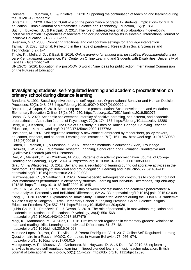Reimers, F. , Education, G. , & Initiative, I. 2020. Supporting the continuation of teaching and learning during the COVID-19 Pandemic.

Sintema, E. J. 2020. Effect of COVID-19 on the performance of grade 12 students: Implications for STEM education. Eurasia Journal of Mathematics, Science and Technology Education, 16(7): 1851.

Suc, L. , Bukovec, B. , & Karpljuk, D. 2017. The role of inter-professional collaboration in developing inclusive education : experiences of teachers and occupational therapists in slovenia. International Journal of Inclusive Education, 21(9): 938–955.

Swenson, N. C. 2000. Comparing traditional and collaborative settings for language intervention. Tarman, B. 2020. Editorial: Reflecting in the shade of pandemic. Research in Social Sciences and Technology, 5(2): 1–4.

Tindle, K. , Mellard, D. , & East, B. 2016. Online learning for student with disabilities: Recommendations for parent engagement. Lawrrence, KS. Center on Online Learning and Students with Disabilities, Univerrsity of Kansas. December, 1–8.

UNESCO . 2020. Education in a post-COVID world : Nine ideas for public action International Commission on the Futures of Education.

#### Investigating students' self-regulated learning and academic procrastination on primary school during distance learning

Bandura, A. 1991. Social cognitive theory of self-regulation. Organizational Behavior and Human Decision Processes, 50(2): 248–287. https://doi.org/10.1016/0749-5978(91)90022-L

Bashir, L. , & Gupta, S. 2019. Measuring academic procrastination: Scale development and validation. Elementary Education Online, 18(2): 939–950. https://doi.org/10.17051/ilkonline.2019.562076

Batool, S. S. 2020. Academic achievement: Interplay of positive parenting, self-esteem, and academic procrastination. Australian Journal of Psychology, 72(2): 174–187. https://doi.org/10.1111/ajpy.12280 Berry, A. , & Kitchen, J. 2020. The Role of Self-study in Times of Radical Change. Studying Teacher Education, 1–4. https://doi.org/10.1080/17425964.2020.1777763

Boekaerts, M. 1997. Self-regulated learning: A new concept embraced by researchers, policy makers, educators, teachers, and students. Learning and Instruction, 7(2): 161–186. https://doi.org/10.1016/S0959- 4752(96)00015-1

Cohen, L. , Manion, L. , & Morrison, K. 2007. Research methods in education (Sixth). Routledge. Creswell, J. W. 2012. Educational Research: Planning, Conducting and Evaluating Quantitative and Qualitative Research (4th ed.). Pearson.

Day, V. , Mensink, D. , & O'Sullivan, M. 2000. Patterns of academic procrastination. Journal of College Reading and Learning, 30(2): 120–134. https://doi.org/10.1080/10790195.2000.10850090

Grau, V. , & Whitebread, D. 2012. Self and social regulation of learning during collaborative activities in the classroom: The interplay of individual and group cognition. Learning and Instruction, 22(6): 401–412. https://doi.org/10.1016/j.learninstruc.2012.03.003

Gunzenhauser, C. , & Saalbach, H. 2020. Domain-specific self-regulation contributes to concurrent but not later mathematics performance in elementary students. Learning and Individual Differences, 78(February): 101845. https://doi.org/10.1016/j.lindif.2020.101845

Kim, K. R. , & Seo, E. H. 2015. The relationship between procrastination and academic performance: A meta-analysis. Personality and Individual Differences, 82: 26–33. https://doi.org/10.1016/j.paid.2015.02.038 Kong, Q. 2020. Practical Exploration of Home Study Guidance for Students during the COVID-19 Pandemic: A Case Study of Hangzhou Liuxia Elementary School in Zhejiang Province, China. Science Insights Education Frontiers, 5(2): 557–561. https://doi.org/10.15354/sief.20.rp026

Ljubin-Golub, T. , Petričević, E. , & Rovan, D. 2019. The role of personality in motivational regulation and academic procrastination. Educational Psychology, 39(4): 550–568.

https://doi.org/10.1080/01443410.2018.1537479

Mägi, K. , Männamaa, M. , & Kikas, E. 2016. Profiles of self-regulation in elementary grades: Relations to math and reading skills. Learning and Individual Differences, 51: 37–48.

https://doi.org/10.1016/j.lindif.2016.08.028

Martinez-Lopez, R. , Yot, C. , Tuovila, I. , & Perera-Rodríguez, V. H. 2017. Online Self-Regulated Learning Questionnaire in a Russian MOOC. Computers in Human Behavior, 75: 966–974. https://doi.org/10.1016/j.chb.2017.06.015

Montgomery, A. P. , Mousavi, A. , Carbonaro, M. , Hayward, D. V. , & Dunn, W. 2019. Using learning analytics to explore self-regulated learning in flipped blended learning music teacher education. British Journal of Educational Technology, 50(1): 114–127. https://doi.org/10.1111/bjet.12590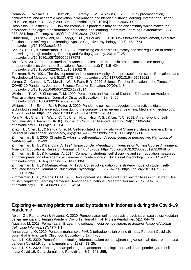Romano, J. , Wallace, T. L. , Helmick, I. J. , Carey, L. M. , & Adkins, L. 2005. Study procrastination, achievement, and academic motivation in web-based and blended distance learning. Internet and Higher Education, 8(4 SPEC. ISS.): 299–305. https://doi.org/10.1016/j.iheduc.2005.09.003

Rospigliosi, P.' asher.' 2020. How the coronavirus pandemic may be the discontinuity which makes the difference in the digital transformation of teaching and learning. Interactive Learning Environments, 28(4): 383–384. https://doi.org/10.1080/10494820.2020.1766753

Rutherford, T. , Buschkuehl, M. , Jaeggi, S. M. , & Farkas, G. 2018. Links between achievement, executive functions, and self-regulated learning. Applied Cognitive Psychology, 32(6): 763–774. https://doi.org/10.1002/acp.3462

Schunk, D. H. , & Zimmerman, B. J. 2007. Influencing children's self-Efficacy and self-regulation of reading and writing through modeling. Reading and Writing Quarterly, 23(1): 7–25.

https://doi.org/10.1080/10573560600837578

Shih, S. S. 2017. Factors related to Taiwanese adolescents' academic procrastination, time management, and perfectionism. Journal of Educational Research, 110(4): 415–424.

https://doi.org/10.1080/00220671.2015.1108278

Tuckman, B. W. 1991. The development and concurrent validity of the procrastination scale. Educational and Psychological Measurement, 51(2): 473–480. https://doi.org/10.1177/0013164491512022

Verma, G. , Campbell, T. , Melville, W. , & Park, B. Y. 2020. Science Teacher Education in the Times of the COVID-19 Pandemic. Journal of Science Teacher Education, 00(00): 1–8.

https://doi.org/10.1080/1046560X.2020.1771514

Wilkinson, T. W. , & Sherman, T. M. 1990. Perceptions and Actions of Distance Educators on Academic Procrastination. American Journal of Distance Education, 4(3): 47–56.

https://doi.org/10.1080/08923649009526716

Williamson, B. , Eynon, R. , & Potter, J. 2020. Pandemic politics, pedagogies and practices: digital technologies and distance education during the coronavirus emergency. Learning, Media and Technology, 45(2): 107–114. https://doi.org/10.1080/17439884.2020.1761641

Yen, M. H. , Chen, S. , Wang, C. Y. , Chen, H. L. , Hsu, Y. S. , & Liu, T. C. 2018. A framework for selfregulated digital learning (SRDL). Journal of Computer Assisted Learning, 34(5): 580–589. https://doi.org/10.1111/jcal.12264

Zhao, H. , Chen, L. , & Panda, S. 2014. Self-regulated learning ability of Chinese distance learners. British Journal of Educational Technology, 45(5): 941–958. https://doi.org/10.1111/bjet.12118

Zimmerman, B. J. 2000. Chapter 2: Attaining self-regulation A social cognitive perspective. Handbook of Self-Regulation, 13–39.

Zimmerman, B. J. , & Bandura, A. 1994. Impact of Self-Regulatory Influences on Writing Course Attainment. American Educational Research Journal, 31(4): 845–862. https://doi.org/10.3102/00028312031004845

Zimmerman, B. J. , & Kitsantas, A. 2014. Comparing students' self-discipline and self-regulation measures and their prediction of academic achievement. Contemporary Educational Psychology, 39(2): 145–155. https://doi.org/10.1016/j.cedpsych.2014.03.004

Zimmerman, B. J. , & Martinez-Pons, M. 1988. Construct validation of a strategy model of student selfregulated learning. Journal of Educational Psychology, 80(3): 284–290. https://doi.org/10.1037//0022- 0663.80.3.284

Zimmerman, B. J. , & Pons, M. M. 1986. Development of a Structured Interview for Assessing Student Use of Self-Regulated Learning Strategies. American Educational Research Journal, 23(4): 614–628. https://doi.org/10.3102/00028312023004614

#### Exploring e-learning platforms used by students in Indonesia during the Covid-19 pandemic

Abidin, Z. , Rumansyah & Arizona, K. 2020. Pembelajaran online berbasis proyek salah satu solusi kegiatan belajar mengajar di tengah Pandemi Covid-19. Jurnal Ilmiah Profesi Pendidikan. 5(1): 64–70.

Agustina, M. 2013. Pemanfaatan E-Learning sebagai media pembelajaran. In Seminar Nasional Aplikasi Teknologi Informasi (SNATI). 1(1).

Anhusadar, L. O. 2020. Persepsi mahasiswa PIAUD terhadap kuliah online di masa Pandemi Covid-19. Journal of Islamic Early Childhood Education. 3(1): 44–58.

Astini, N.K.S. 2020. Pemanfaatan teknologi informasi dalam pembelajaran tingkat sekolah dasar pada masa pandemi Covid-19. Jurnal Lampuhyang. 11 (2): 13–25.

Astini, N.K.S. 2020. Tantangan dan peluang pemanfaatan teknologi informasi dalam pembelajaran online masa Covid-19. Cetta: Jurnal Ilmu Pendidikan. 3(2): 241–255.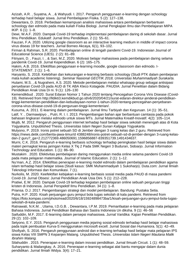Azizah, A.R. , Suyatna, A. , & Wahyudi. I. 2017. Pengaruh penggunaan e-learning dengan schoology terhadap hasil belajar siswa. Jurnal Pembelajaran Fisika. 5 (2): 127–138.

Dewantara, D. 2018. Perbedaan kemampuan analisis mahasiswa antara pembelajaran berbantuan schoology dan edmodo pada mata kuliah Fisika Biologi. Jurnal Pengkajian Ilmu dan Pembelajaran MIPA IKIP. 6 (1): 1–8.

Dewi, W.A.F. 2020. Dampak Covid-19 terhadap implementasi pembelajaran daring di sekolah dasar. Jurnal Ilmu Pendidikan. Edukatif: Jurnal Ilmu Pendidikan. 2 (1): 55–61.

Fauzan, F.A. 2020. Utilizing google classroom as an interactive learning medium in middle of impact corona virus diseas 19 for teachers. Jurnal Borneo Akcaya, 6(1), 93–102.

Firman & Rahman, S.R. 2020. Pembelajaran online di tengah pandemi Covid-19. Indonesian Journal of Educational Science (IJES). 2 (2): 81–89.

Fitriyani, D. , Fauzi, I. , & Sari, M.Z. 2020. Motivasi belajar mahasiswa pada pembelajaran daring selama pandemik Covid-19. Jurnal Kependidikan. 6 (2): 165–175.

Hakim, A.B. 2016. Efektifitas penggunaan e-learning moodle, google classroom dan edmodo. I-STATEMENT. 2 (1): 1–6.

Haryanto, S. 2018. Kelebihan dan kekurangan e-learning berbasis schoology (Studi PTK dalam pembejaran mata kuliah academic listening). Seminar Nasional GEOTIK 2018, Universitas Muhammadiyah Surakarta. Hutami, M.S. , & Nugraheni, A.S. 2020. Metode pembelajaran melalui whatsapp group sebagai antisipasi penyebaran Covid-19 pada AUD di TK ABA Kleco Kotagede. PAUDIA: Jurnal Penelitian dalam Bidang Pendidikan Anak Usia Di ni. 9 (1): 126–130

Kemendikbud . 2020. Surat Edaran Nomor 1 Tahun 2020 tentang Pencegahan Corona Viris Disease (Covid-19). Retrieved from http://lldikti3.kemdikbud.go.id/v6/2020/04/21/surat-edaran-direktur-jenderal-pendidikantinggi-kementerian-pendidikan-dan-kebudayaan-nomor-1-tahun-2020-tentang-pencegahan-penyebarancorona-virus-disiase-covid-19-di-perguruan-tinggi-kementerian/.

Kusuma, A. 2011. E-learning dalam pembelajaran. Jurnal Ilmu Tarbiyah dan Keguruan. 14 (1): 35–51. Latif, Y. , Darmawijoyo ., Putri, R. I. I. 2013. Pengembangan bahan ajar berbantuan camtasia pada pokok bahasan lingkaran melalui edmodo untuk siswa MTs. Jurnal Matematika Kreatif-Inovatif. 4(2): 105–114.

Mujib, M. 2012. Pengaruh penggunaan internet terhadap hasil belajar siswa sekolah menengah atas di Kota Yogyakarta. Unpublished Thesis. Universitas Islam Negeri Sunan Kalijaga Yogyakarta.

Mulyono, P. 2019. Ironis potret sebuah SD di Jember dengan 3 ruang kelas dan 2 guru. Retrieved from https://news.detik.com/berita-jawa-timur/d 4388248/ironis-potret-sebuah-sd-di-jember-dengan 3-ruang-kelasdan-2 guru?\_ga=2.212772369.486050691.1596856887-839351739.1491434637.

Murni, C.K. 2016. Pengaruh e-learning berbasis schoology terhadap peningkatan hasil belajar siswa dalam materi pernagkat keras jaringan Kelas X Tkj 2 Pada SMK Negeri 3 Buduran, Sidoarjo. Jurnal Information Technology and Education. 1 (1): 86–90.

Mustakim . 2020. Efektivitas pembelajaran daring menggunakan media online selama pandemi Covid-19 pada mata pelajaran matematika. Journal of Islamic Education. 2 (1): 1–12.

Nu'man, A.Z. 2014. Efektifitas penerapan e-learning model edmodo dalam pembelajaran pendidikan agama islam terhadap hasil belajar siswa (Studi kasus: SMK Muhammadiyah 1 Sukoharjo). Duta.com: Jurnal Ilmiah Teknologi Informasi dan Komunikasi. 7 (1).

Nurkolis, M. 2020. Keefektifan kebijakan e-learning berbasis sosial media pada PAUD di masa pandemi Covid-19. Jurnal Obsesi: Jurnal Pendidikan Anak Usia Dini. 5 (1): 212–228.

Pratiwi, E.W. 2020. Dampak Covid-19 terhadap kegiatan pembelajaran online sebuah perguruan tinggi kristen di Indonesia. Jurnal Perspektif Ilmu Pendiidkan. 34 (1): 1–8.

Priansa. D.J. 2017. Pengembangan strategi dan model pembelajaran. Bandung: Pustaka Setia. Putra, H.P. 2020. Kisah perjuangan guru jemput bola tugas sekolah di kala pandemi. Retrieved from https://foto.kompas.com/photo/read/2020/6/18/15924898473ba/1/kisah-perjuangan-guru-jemput-bola-tugassekolah-di-kala-pandemi.

Ratnawati, N.K.M. , Utama, I.D.G.B. , Dewantara, I.P.M. 2019. Pemanfaatan e-learning pada mata pelajaran Bahasa Indonesia. Jurnal Pendidikan Bahasa dan Sastra Indonesia Un diksha. 9 (1): 46–56

Saifuddin, M.F. 2017. E-learning dalam persepsi mahasiswa. Jurnal Varidika: Kajian Penelitian Pendidikan. 29 (2): 102–109.

Setyono, E.Y. 2015. Pengaruh penggunaan media jejaring sosial edmodo terhadap hasil belajar mahasiswa pada topik pembuatan Kurva-S menggunakan microsoft excell. Jurnal Sosial dan Humaniora. 5(1): 42–49. Shofiyah, S. 2016. Pengaruh penggunaan android dan e-learning terhadap hasil belajar mata pelajaran IPS siswa Kelas VIII SMPN 3 Kepanjen Malang. Unpublished Thesis. Universitas Islam Negeri Maulana Malik Ibrahim Malang.

Silahuddin . 2015. Penerapan e-learning dalam inovasi pendidikan. Jurnal Ilmuah Circuit. 1 (1): 48–59. Suharyanto & Mailangkay, A. 2016. Penerapan e-learning sebagai alat bantu mengajar dalam dunia pendidikan. Jurnal Ilmiah Widya. 3(4): 17–21.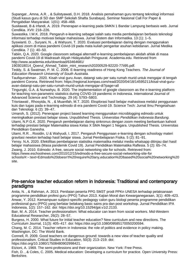Supangat , Amna, A.R. , & Sulistyawati, D.H. 2018. Analisis pemahaman guru tentang teknologi informasi (Studi kasus guru di SD dan SMP Sekolah Shafta Surabaya). Seminar Nasional Call For Paper & Pengabdian Masyarakat. 1(01): 458–468.

Susilawati, B & Irfandi, A. 2019. Penerapan e-learning pada SMKN 1 Bandar Lampung berbasis web. Jurnal Cendikia. XVII: 218–226.

Suwastika. I.W.K. 2018. Pengaruh e-learning sebagai salah satu media pembelajaran berbasis teknologi informasi terhadap motivasi belajar mahasiswa. Jurnal Sistem dan Informatika. 13 (1): 1–5.

Syswianti. D. , Suryani, N. , & Wahyuni, T. 2020. Evaluasi pembelajaran daring dengan menggunakan aplikasi zoom di masa pandemi Covid-19 pada mata kuliah pengantar asuhan kebidanan. Jurnal Medika Cendikia. 7 (1): 40–50.

Tabiin, Q.A. 2020. Google classroom sebagai alternatif e-learning pembelajaran akidah ahlak di masa pandemi Covid-19 di Madrasah Aliyah Hidayatullah Pringsurat. Academia.edu. Retrieved from http://www.academia.edu/download/63464681/

1903018014\_Qoerul\_Ahmad\_Tabiin\_mini\_research20200529-92220-77ii95.pdf.

Teddy, S. & Swatman, P. M. C. 2006. E-learning readiness of Hong Kong Teachers. The Journal of Education Research University of South Australia.

Taufiqurrahman . 2020. Kisah viral guru Avan, datangi satu per satu rumah murid untuk mengajar di tengah pandemi Corona. Retrieved from: https://regional.kompas.com/read/2020/04/18/14595211/kisal-viral-guruavan-datangi-satu-per-satu-rumah-murid-untuk-mengajar-di?page=all

Tingungki, G.A. & Nurwahyu, B. 2020. The implementation of google classroom as the e-learning platform for teaching non-parametric statistics during COVID-19 pandemic in Indonesia. International Journal of Advanced Science and Technology. 29 (4): 5793–5803.

Trisniawati , Rhosyida, N. , & Muanifah, M.T. 2020. Eksplorasi hasil belajar mahasiswa melalui penggunaan kuis dan tugas pada e-learning edmodo di era pandemi Covid-19. Science Tech: Jurnal Ilmu Pengetahuan dan Teknologi. 6 (2): 39–47.

Umaroh, S. (2012). Penerapan project based learning menggunakan microblogging edmodo untuk meningkatkan prestasi belajar siswa. Unpublished Thesis. Universitas Pendidikan Indonesia Bandung. Utami, N.P.G.K. 2020. Pengaruh pembelajaran daring sinkronus dengan zoom meeting berbantuan kahoot terhadap prestasi belajar Matematika siswa Kelas X SMA Negeri 1 Negara. Unpublished Thesis. Universitas Pendidikan Ganesha.

Utami, R.R. , Rosidin, U & Wahyudi, I. 2017. Pengaruh Penggunaan e-learning dengan schoology materi gravitasi newton terhadap hasil belajar siswa. Jurnal Pembelajaran Fisika. 5 (2): 81–91.

Yensy. N.A. 2020. Efektifitas pembelajaran statistika matematika melalui media whatsapp ditinjau dari hasil belajar mahasiswa (Masa pandemik Covid 19). Jurnal Pendidikan Matematika Raflesia. 5 (2): 65–74.

Zwang, J. 2010. Edmodo: A free, secure social networking site for schools. Retrieved from:

https://www.eschoolnews.com/2010/12/15/edmodo-a-free-secure-social-networking-site-for schools/#:~:text=Edmodo%20doesn't%20require%20any,education%2Dbased%20social%20networking%20 site.

#### Pre-service teacher education reform in Indonesia: Traditional and contemporary paradigms

Anita, N. , & Rahman, A. 2013. Penilaian peserta PPG SM3T prodi PPKn UNESA terhadap pelaksanaan programme pendidikan profesi guru (PPG) Tahun 2013. Kajian Moral dan Kewarganegaraan, 3(1): 409–423. Anwar, Y. 2012. Kemampuan subject-specific pedagogy calon guru biologi peserta programme pendidikan profesional guru (PPG) yang berlatar belakang basic sains pra dan post workshop. Jurnal Pendidikan IPA Indonesia, 1(2): 157–162. doi: https://doi.org/10.15294/jpii.v1i2.2133.

Bair, M. A. 2014. Teacher professionalism: What educator can learn from social workers. Mid-Western Educational Researcher, 26(2): 28–57.

Burgess, H. 2000. What future for initial teacher education? New curriculum and new directions. The Curriculum Journal, 11(3): 405–417. doi: https://doi.org/10.1080/09585170050200594.

Chang, M. C. 2014. Teacher reform in Indonesia: the role of politics and evidence in policy making. Washington, DC: The World Bank.

Connell, R. 2009. Good teachers on dangerous ground: towards a new view of teacher quality and professionalism. Critical Studies in Education, 50(3): 213–219. doi: https://doi.org/10.1080/17508480902998421.

Etzioni, A. 1969. The semi-professions and their organization. New York: Free Press.

Fish, D. , & Coles, C. 2005. Medical education: Developing a curriculum for practice. Open University Press: Berkshire.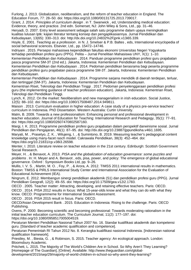Furlong, J. 2013. Globalization, neoliberalism, and the reform of teacher education in England. The Education Forum, 77: 28–50. doi: https://doi.org/10.1080/00131725.2013.739017.

Grant, J. 2014. Principles of curriculum design . in T. Swanwick , ed, Understanding medical education: Evidence, theory, and practice. 2nd edn. Somerset, NJ: John Wiley & Sons, Ltd., pp. 31–46.

Heryadi, D. 2007. Entry level assessment sebagai salah satu programme dalam upaya meningkatkan kualitas lulusan lptk: kajian literatur tentang konsep dan pengaplikasiannya. Jurnal Pendidikan dan Kebudayaan, 13(65): 330–313. doi: http://dx.doi.org/10.24832%2Fjpnk.v13i65.339.

Hoyle, E. 2001. Teaching as a profession . in N. J. Smelser & P.B. Baltes , eds, International encyclopedia of social behavioral sciences. Elsevier, Ltd., pp. 15472–14746.

Indriyani . 2015. Persepsi mahasiswa kependidikan fakultas ekonomi Universitas Negeri Yogyakarta terhadap pendidikan profesi guru (PPG). Pelita – Jurnal Penelitian Mahasiswa UNY, X(1): 1–10.

Kementerian Pendidikan dan Kebudayaan . 2014. Panduan programme pendidikan profesi guru prajabatan pasca programme SM-3T (2nd ed.). Jakarta, Indonesia: Kementerian Pendidikan dan Kebudayaan.

Kementerian Pendidikan dan Kebudayaan . 2014. Pedoman pendidikan berasrama bagi peserta programme pendidikan profesi guru prajabatan pasca programme SM-3T. Jakarta, Indonesia: Kementerian Pendidikan dan Kebudayaan.

Kementerian Pendidikan dan Kebudayaan . 2014. Programme sarjana mendidik di daerah terdepan, terluar, dan tertinggal (SM-3T). Jakarta, Indonesia: Kementerian Pendidikan dan Kebudayaan.

Kementrian Riset, Teknologi dan Pendidikan Tinggi . 2017. Pedoman penyelenggaraan pendidikan profesi guru (the implementing guidance of teacher profession education). Jakarta, Indonesia: Kementrian Riset, Teknologi dan Pendidikan Tinggi.

Lynch, K. 2012. On the market: Neoliberalism and new managerialism in irish education. Social Justice, 12(5): 88–102. doi: https://doi.org/10.1080/17508487.2014.949811.

Maison . 2013. Curriculum evaluation in higher education: A case study of a physics pre-service teachers' curriculum in Indonesia. PhD Dissertation. Western Australia: Curtin University.

Malm, B. 2009. Towards a new professionalism: Enhancing personal and professional development in teacher education. Journal of Education for Teaching: International Research and Pedagogy, 35(1): 77–91. doi: https://doi.org/10.1080/02607470802587160.

Margi, I. K. 2013. Programme pendidikan profesi guru prajabatan dalam perspektif darwinisme sosial. Jurnal Pendidikan dan Pengajaran, 46(1): 87–95. doi: http://dx.doi.org/10.23887/jppundiksha.v46i1.1695.

Maryati, M. , Prasetyo, Z. K. , Wilujeng, I. , & Sumintono, B. 2019. Measuring teacher's pedagogical content knowledge using many-facet rasch model. Cakrawala Pendidikan, 38(3): 452–464. doi: https://doi.org/10.21831/cp.v38i3.26598.

Menter, I. 2010. Literature review on teacher education in the 21st century. Edinburgh: Scottish Government Social Research.

Meyer, H. , & Benavot, A. 2013. PISA and the globalization of educaiton governance: some puzzles and problems . In: H. Meyer and A. Benavot , eds, pisa, power, and policy: The emergence of global educational governance. Oxford : Symposium Books Ltd, pp. 9–26.

Mullis, I. V. S. , Martin, M. O. , Foy, P. , & Arora, A. 2012. TIMSS 2011 international results in mathematics. Boston: TIMSS & PIRLS International Study Center and International Association for the Evaluation of Educational Achievement (IEA).

Ningrum, E. 2012. Membangun sinergi pendidikan akademik (S1) dan pendidikan profesi guru (PPG). Jurnal Pendidikan Geografi, 12(2): 49–55. doi: https://doi.org/10.17509/gea.v12i2.1783.

OECD . 2005. Teacher matter: Attracting, developing, and retaining effective teachers. Paris: OECD. OECD . 2014. PISA 2012 results in focus: What 15-year-olds know and what they can do with what they know. OECD: Programmeme for International Student Assessment.

OECD . 2016. PISA 2015 result in focus. Paris: OECD.

OECD/Asian Development Bank . 2015. Education in Indonesia: Rising to the challenge. Paris: OECD Publishing.

Ovens, P. 2000. Becoming scientific and becoming professional: Towards moderating rationalism in the initial teacher education curriculum. The Curriculum Journal, 11(2): 177–197. doi: https://doi.org/10.1080/0958517005004519.

Peraturan Menteri Pendidikan Nasional Tahun 2007 No. 16. Standar kualifikasi akademik dan kompetensi guru. [Standard of teacher academic qualification and competence].

Peraturan Pemerintah RI Tahun 2012 No. 8. Kerangka kualifikasi nasional Indonesia. [Indonesian national qualification framework].

Priestley, M. , Biesta, G. , & Robinson, S. 2015. Teacher agency: An ecological approach. London: Bloomsbury Academic.

Pritchett, L. 2015. The Majority of The World's Children Are in School. So Why Aren't They Learning? [Homepage of The Guardian], [Online]. Available: http://www.theguardian.com/global-

development/2015/sep/29/majority-of-world-children-in-school-so-why-arent-they-learning?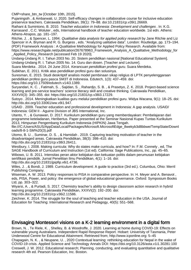CMP=share\_btn\_tw [October 10th, 2015].

Pujaningsih , & Ambarwati, U. 2020. Self-efficacy changes in collaborative course for inclusive education preservice teachers. Cakrawala Pendidikan, 39(1): 79–88. doi:10.21831/cp.v39i1.26669.

Raihani & Sumintono, B. 2010. Teacher education in Indonesia: Development and challenges . In: K.G. Karrasand , C.C. Woluter , eds, International handbook of teacher education worldwide. 1st edn. Athens: Athens-Atrapos, pp. 181–197.

Ritchie, J. , & Spencer, L. 1994. Qualitative data analysis for applied policy research by Jane Ritchie and Liz Spencer in A. Bryman and R. G. Burgess , eds. "Analyzing ualitative data". London: Routledge, pp. 173–194. (PDF) Framework Analysis : A Qualitative Methodology for Applied Policy Research. Available from: https://www.researchgate.net/publication/267678963\_Framework\_Analysis\_A\_Qualitative\_Methodology\_for

Applied Policy Research [accessed Feb 19 2020].

Undang-Undang R. I. Tahun 2003 No. 20. Sistem pendidikan nasional [National Educational System].

Undang-Undang R. I. Tahun 2005 No. 14. Guru dan dosen. [Teacher and Lecturer].

Suara Merdeka . 2014. 24 June 2014. Kerancuan pendidikan profesi guru. Suara Merdeka.

Subkhan, E. 2011. Kritik atas pendidikan profesi guru dan solusinya.

Suresman, E. 2015. Studi deskritptif analisis model pembinaan sikap religius di LPTK penyelenggaraan pendidikan profesi guru pasca SM3T di Indonesia. Edutech, 1(3): 437–459. doi: https://doi.org/10.17509/edutech.v14i3.1389.

Suryandari, K. C. , Fatimah, S. , Sajidan, S. , Rahardjo, S. B. , & Prasetyo, Z. K. 2018. Project-based science learning and pre-service teachers' science literacy skill and creative thinking. Cakrawala Pendidikan, XXXVII(3): 345–355. doi: https://doi.org/10.21831/cp.v38i3.17229.

Sutoyo . 2014. Meningkatkan kualitas guru melalui pendidikan profesi guru. Widya Wacana, 9(1): 18–25. doi: http://dx.doi.org/10.33061/ww.v9i1.947.

USAID . 2009. Teacher education and professional development in Indonesia: A gap analysis. USAID/ Indonesia: GEM II - Aguirre Division of JBS International, Inc.

Utanto, Y. , & Gunawan, D. 2017. Kurikulum pendidikan guru yang memberdayakan: Pembelajaran dari programme keteladanan, Heribertus. Paper presented at the Seminar Nasional Kupas Tuntas Kurikulum 2013, Himpunan Pengembang Kurikulum Indonesia (HIPKIN) Jawa Tengah.

file:///C:/Users/ASUS/AppData/Local/Packages/Microsoft.MicrosoftEdge\_8wekyb3d8bbwe/TempState/Downl oads/8-8-1-SM%20(3).pdf

Utomo, B. U. , Suminar, D. S. , & Hamidah . 2019. Capturing teaching motivation of teacher in the disadvantaged areas. Cakrawala Pendidikan, 38(3): 398–410. doi:

http://dx.doi.org/10.21831/cp.v38i3.26411.

Westbury, I. 2008. Making curricula: Why do states make curricula, and how? In: F.M. Connely , ed, The SAGE Handbook of Curriculum and Instruction (1st ed). California: Sage Publications, Inc., pp. 45–65. Wibowo, U. B. 2011. Intensitas peran aktor kebijakan dan kekuatan politis dalam perumusan kebijakan

sertifikasi pendidik. Jurnal Penelitian Ilmu Pendidikan, 4(1): 1–16. doi:

http://dx.doi.org/10.21831/jpipfip.v6i1.4736.

Wiles, J. , & Bondi, J. 1989. Curriculum development: A guide to practice (3rd ed.). Columbus, Ohio: Merril Publishing Company.

Wiseman, A. W. 2013. Policy responses to PISA in comparative perspective. In: H. Meyer and A. Benavot , eds, PISA, Power, and policy: the emergence of global educational governance. Oxford: Symposium Books Ltd, pp. 303–322.

Wiyarsi, A. , & Purtadi, S. 2017. Chemistry teacher's ability to design classroom action research in hybrid learning programme. Cakrawala Pendidikan, XXXVI(2): 192–200. doi: http://dx.doi.org/10.21831/cp.v36i2.11586.

Zeichner, K. 2014. The struggle for the soul of teaching and teacher education in the USA. Journal of Education for Teaching: International Research and Pedagogy, 40(5): 551–568.

## Envisaging Montessori visions on a K-2 learning environment in a digital form

Brown, N. , Te Riele, K. , Shelley, B. & Woodroffe, J. 2020. Learning at home during COVID-19: Effects on vulnerable young Australians. Independent Rapid Response Report. Hobart: University of Tasmania, Peter Underwood Centre for Educational Attainment. Retrieved from; http://www.icponline.org: 5–45 Chapagain, N. K. , & Neupane, U. , 2020 Contextual learning: rethinking education for Nepal in the wake of COVID-19 crisis. Applied Science and Technology Annals DOI: https://doi.org/10.3126/asta.v1i1.30281:100 Creswell, J. W. 2012. Educational research; Planning, conducting, and evaluating quantitative and qualitative research 4th ed. Pearson Education, Inc. Boston.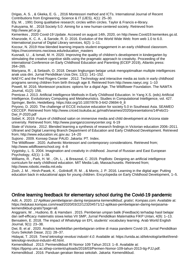Drigas, A. S. , & Gkeka, E. G. , 2016 Montessori method and ICTs. International Journal of Recent Contributions from Engineering, Science & IT (iJES), 4(1): 25–30.

Ely, M. , 1991 Doing qualitative research; circles within circles. Taylor & Francis e-library. Fukuyama, M. , 2018 Society 5.0: Aiming for a new human-centered society. Retrieved from http://www.jef.or.jp.

Kemenkes , 2020 Covid-19 Update. Accesed on august 14th, 2020, on http://www.Covid19.kemenkes.go.id. Khanzode, K. C. A. , & Sarode, R. D. 2016. Evolution of the World Wide Web: from web 1.0 to 6.0. International journal of Digital Library services, 6(2): 1–11.

Kocour, N. 2019 How blended learning impacts student engagement in an early childhood classroom. https://nwcommons.nwciowa.edu/education\_masters

Kusnadi, U. , & Ismail, M. H. 2020. Improving the quality of children's development in kindergarten by stimulating the creative cognitive skills using the pragmatic approach to creativity. Proceeding of the international Conference on Early Childhood Education and Parenting (ECEP 2019), Atlantis press: 264–265.

Mariyana, R. , & Setiasih, O. 2018. Desain lingkungan belajar untuk mengoptimalkan multiple intelligences anak usia dini. Jurnal Pendidikan Usia Dini, 12(1): 141–152.

NAEYC and the Fred Rogers Center . 2012. Technology and interactive media as tools in early childhood programs serving children from birth through age 8. Retrieved from http://www.naeyc.org: 1–10

Powell, M. 2016. Montessori practices: options for a digial Age. The Wildflower Foundation. The NAMTA Journal, 41(2): 156.

Prentzas J. 2013. Artificial Intelligence Methods in Early Childhood Education. In Yang X.S. (eds) Artificial Intelligence, Evolutionary Computing and Metaheuristics. Studies in Computational Intelligence, vol. 427. Springer, Berlin, Heidelberg. https://doi.org/10.1007/978-3-642-29694-9\_8

Priyono, D. 2020. The challenge of ECCE inclusive education for society 5.0 in Southeast Asia. SEAMEO CECCEP. Retrieved from http://www.criced.tsukuba.ac.jp/math/seameo/2020/presentations/14Feb/21- Dwi\_P-2020.pdf

Sobel, K. 2019. Future of childhood salon on immersive media and child development at Arizona state university. Retrieved from; http://www.joanganzcooneycenter.org: 6-19

State of Victoria . 2012. Blended learning a synthesis of research findings in Victorian education 2006–2011. Ultranet and Digital Learning Branch Department of Education and Early Childhood Development. Retrieved from; http://www.education.vic.gov.au: 14–20

Sujiono . 2009. Konsep Dasar PAUD. Jakarta: PT. Index.

The Wildflower . 2020. Authentic Montessori and contemporary considerations. Retrieved from; http://www.wildflowerschool.org: 4–8

Vygotsky, L. S. 2004. Imagination and creativity in childhood. Journal of Russian and East European Psychology, 42(1): 1–38.

Williams, R. , Park, H. W. , Oh, L. , & Breazeal, C. 2019. PopBots: Designing an artificial intelligence curriculum for early childhood education. MIT Media Lab, Massachusetts. Retrieved from; http://www.robotic.media.mit.edu

Zosh, J. M. , Hirsh-Pasek, K. , Golinkoff, R. M. , & Morris, J. P. 2016. Learning in the digital age: Putting education back in educational apps for young children. Encyclopedia on Early Childhood Development, 1–5.

## Online learning feedback for elementary school during the Covid-19 pandemic

Adit, A. 2020. 12 Aplikasi pembelajaran daring kerjasama kemendikbud, gratis!, Kompas.com. Available at: https://edukasi.kompas.com/read/2020/03/22/123204571/12-aplikasi-pembelajaran-daring-kerjasamakemendikbud-gratis?page=all.

Anggraini, W. , Hudiono, B. & Hamdani . 2015. Pemberian umpan balik (Feedback) terhadap hasil belajar dan self-efficacy matematis siswa kelas VII SMP, Jurnal Pendidikan Matematika FIKP Untan, 4(9): 1–13. Bensalem, E. 2018. The impact of WhatsApp on EFL students' vocabulary learning. Arab World English Journal, 9(1): 23–38.

Dwi, B. et al . 2020. Analisis keefektifan pembelajaran online di masa pandemi Covid-19, Jurnal Pendidikan Guru Sekolah Dasar, 2(1): 28–37.

Hidayat, T. 2019. Trend teknologi revolusi industri 4.0. Available at: https://unida.ac.id/teknologi/artikel/trendteknologi-revolusi-industri-40.html.

Kemendikbud . 2013. Permendikbud RI Nomor 109 Tahun 2013: 1–8. Available at:

https://lppmp.uns.ac.id/wp-content/uploads/2018/03/Permen-Nomor-109-tahun-2013-ttg-PJJ.pdf.

Kemendikbud . 2016. Panduan gerakan literasi sekolah. Jakarta: Kemendikbud.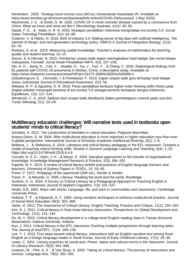Kemenkes . 2020. Tentang novel corona virus (NCov), Kementerian Kesehatan RI. Available at: https://www.kemkes.go.id/resources/download/info-terkini/COVID-19(Accessed: 1 May 2020).

MacKenzie, J. S. , & Smith, D. W. 2020. COVID-19: A novel zoonotic disease caused by a coronavirus from China: What we know and what we don't, Microbiology Australia, 41(1): 45–50.

Nastiti, F. E. , & ' Abdu, A. R. N. 2019. Kesiapan pendidikan Indonesia menghadapi era society 5.0. Jurnal Kajian Teknologi Pendidikan, 5(1): 61–66.

Özdemir, V. & Hekim, N. 2018. Birth of industry 5.0: Making sense of big data with artificial intelligence, "the internet of things" and next-generation technology policy. OMICS A Journal of Integrative Biology, 22(1): 65–76.

Rustiani, S. et al . 2019. Measuring usable knowledge: Teacher's analyses of mathematics for teaching quality and student learning: 13–14.

Seruni, S. & Hikmah, N. 2015. Pemberian umpan balik dalam meningkatkan hasil belajar dan minat belajar mahasiswa, Formatif: Jurnal Ilmiah Pendidikan MIPA, 4(3): 227–236.

Shi, H. H. , Jiang, N. , Cao, Y. , Alwalid, O. , Gu, J. , Fan, Y. , & Zheng, C. 2020. Radiological findings from 81 patients with COVID-19 pneumonia in Wuhan, China: a descriptive study, Available at:

https://www.thelancet.com/action/showPdf?pii=S1473-3099%2820%2930086-4.

Sofyatiningrum, E. , Ulumudin, I. & Perwitasari, F. 2019. Kajian umpan balik guru terhadap hasil belajar siswa, Indonesian Journal of Educational Assesment, 2(2): 56.

Wibawa, R. P. & Agustina, D. R. 2019. Peran pendidikan berbasis higher order thinking skills (Hots) pada tingkat sekolah menengah pertama di era society 5.0 sebagai penentu kemajuan bangsa Indonesia, Equilibrium, 7(2): 137–141.

Windarsih, C. A. 2016. Aplikasi teori umpan balik (feedback) dalam pembelajaran motorik pada usia dini, Tunas Siliwangi, 2(1): 20–29.

#### Multiliteracy education challenges: Will narrative texts used in textbooks open students' minds to critical literacy?

Archakis, A. 2012. The construction of identities in critical education. Palgrave Macmillan.

Ameny-Dixon, G. M. 2004. Why multicultural education is more important in higher education now than ever: A global perspective. International Journal of Scholarly Academic Intellectual Diversity, 8(1): 1–9.

Bobkina, J. , & Stefanova, S. 2016. Literature and critical literacy pedagogy in the EFL classroom: Towards a model of teaching critical thinking skills. Studies in Second Language Learning and Teaching, 6(4): 1–20. https://doi.org/10.14746/ssllt.2016.6.4.6

Connell, N. A. D. , Klein, J. H. , & Meyer, E. 2004. Narrative approaches to the transfer of organisational knowledge. Knowledge Management Research & Practice, 2(3): 184–193.

Fajardo, M. F. 2015. A review of critical literacy beliefs and practices of English language learners and teachers. University of Sydney Papers in TESOL, 10: 29–56.

Freire, P. 1972. Pedagogy of the oppressed (30th ed.). Herder & Herder.

Freire, P. , & Macedo, D. 2005. Literacy: Reading the word and the world. Routledge.

Gustine, G. G. 2018. A Survey on Critical Literacy as a Pedagogical Approach to Teaching English in Indonesia. Indonesian Journal of Applied Linguistics, 7(3): 531–537.

Heath, S.B. 1983. Ways with words: Language, life, and work in communities and classrooms. Cambridge University Press.

Holland, T. P. , & Kilpatrick, A. C. 1993. Using narrative techniques to enhance multicultural practice. Journal of Social Work Education 29(3): 302–308.

Janks, H. 2012. The Importance of Critical Literacy. English Teaching: Practice and Critique, 11(1): 150–163. Kim, S. J. 2012. Critical literacy in East Asian literacy classrooms. Perspectives on Global Development and Technology, 11(1): 131–144.

Ko, M.-Y. 2010. Critical literacy development in a college-level English reading class in Taiwan (Doctoral dissertation). Indiana University, Indiana.

Kuo, J. 2014. Critical literacy in the EFL classroom: Evolving multiple perspectives through learning tasks. The Journal of AsiaTEFL, 11(4): 109–138.

Lee, Y. J. 2015. First steps toward critical literacy: Interactions with an English narrative text among three English as a foreign language reader in South Korea. Journal of Early Childhood Literacy, 17(1): 26–46. Lewis, C. 2001. Literacy practices as social acts: Power, status and cultural norms in the classroom. Journal of Literacy Research, 35(3): 941–946.

Lewison, M. , Flint, A. S. , & Van Sluys, K. 2002. Taking on critical literacy: The journey of newcomers and novices. Language Arts, 79(5): 382–392.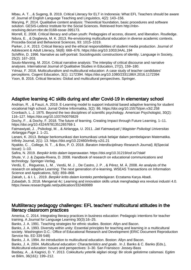Mbau, A. T. , & Sugeng, B. 2019. Critical Literacy for ELT in Indonesia: What EFL Teachers should be aware of. Journal of English Language Teaching and Linguistics, 4(2): 143–156.

Marying, P. 2014. Qualitative content analysis: Theoretical foundation, basic procedures and software solution. GESIS-Leibniz Institute for the Social Sciences. Retrieved from http://nbnresolving.de/urn:nbn:de:0168-ssoar-395173.

Morrell, E. 2008. Critical literacy and urban youth: Pedagogies of access, dissent, and liberation. Routledge. Ndura, E. , & Dogbevia, M. K. 2013. Re-envisioning multicultural education in diverse academic contexts. Procedia-Social and Behavioral Sciences, 93: 1015–1019.

Parker, J. K. 2013. Critical literacy and the ethical responsibilities of student media production. Journal of Adolescent & Adult Literacy, 56(8): 668–676. https://doi.org/10.1002/JAAL.194

Schiffrin, D. 1996. Narrative as self-portrait: Sociolinguistic constructions of identity. Language in Society, 25(2): 167–203.

Souto-Manning, M. 2014. Critical narrative analysis: The interplay of critical discourse and narrative analyses. International Journal of Qualitative Studies in Education, 27(2), 159–180.

Yılmaz, F. 2016. Multiculturalism and multicultural education: A case study of teacher candidates' perceptions. Cogent Education, 3(1): 1172394. https://doi.org/10.1080/2331186X.2016.1172394 Yoon, B. 2016. Critical literacies: Global and multicultural perspectives. Springer.

# Adaptive learning 4C skills during and after Covid-19 in elementary school

Andrian, R. , & Fauzi, A. 2019. E-Learning model to support industrial based adaptive learning for student vocational high school. Jurnal Online Informatika, 3(2): 86. https://doi.org/10.15575/join.v3i2.258 Cronbach, L. J. 1975. Beyond the two disciplines of scientific psychology. American Psychologist, 30(2): 116–127. https://doi.org/10.1037/h0076829

Dochy, F. , & Dochy, F. 2018. The future of learning. Creating Impact through Future Learning, 1–11. https://doi.org/10.4324/9781351265768-1

Fatmawiyati, J. , Psikologi, M. , & Airlangga, U. 2011. Jati Fatmawiyati | Magister Psikologi Universitas Airlangga Page 1. 1–21.

Lanani, K. 2013. Belajar berkomunikasi dan komunikasi untuk belajar dalam pembelajaran Matematika. Infinity Journal, 2(1): 13. https://doi.org/10.22460/infinity.v2i1.21

Nyakito, C. , College, N. T. , & Box, P. O. 2018. Baraton Interdisciplinary Research Journal), 8(Special Issue): 1–10.

Safira, N. 2019. Berpikir kritis dalam keperawatan. https://doi.org/10.31219/osf.io/7dakf

Shute, V. J. & Zapata-Rivera, D. 2008. Handbook of research on educational communications and technology. Springer-Verlag.

Verdú, E. , Regueras, L. M. , Verdú, M. J. , De Castro, J. P. , & Pérez, M. Á. 2008. An analysis of the research on adaptive Learning: The next generation of e-learning. WSEAS Transactions on Information Science and Applications, 5(6): 859–868.

Zakiah, L. & I. L . 2019. Berpikir kritis dalam konteks pembelajaran. Erzatama Karya Abadi.

Zubaidah, S. 2018. Mengenal 4c: Learning and innovation skills untuk menghadapi era revolusi industri 4.0. https://www.researchgate.net/publication/332469989

#### Multiliteracy pedagogy challenges: EFL teachers' multicultural attitudes in the literacy classroom practices

America, C. 2014. Integrating literacy practices in business education: Pedagogic intentions for teacher training. A Journal for Language Learning 30(3):16–25.

Banks, J. A. 1991. Teaching strategies for ethnic studies. Boston: Allyn and Bacon.

Banks, J. A. 1993. Diversity within unity: Essential principles for teaching and learning in a multicultural society. Washington D.C.: Office of Educational Research and Development (ERIC Document Reproduction Service No. ED 339 548)

Banks, J. A. 1994. An introduction to multicultural education. Boston: Allyn and Bacon.

Banks, J. A. 2004. Multicultural education: Characteristics and goals . In J. Banks & C. Banks (Eds.),

Multicultural education: Issues and perspectives: 3–30. San Fransisco: Jossey-Bass

Basbay, A. , & Kagnici, D. Y. 2013. Cokkulturlu yeterlik algilari olcegi: Bir olcek gelistirme calismasi. Egitim ve Bilim, 36(161): 199–212.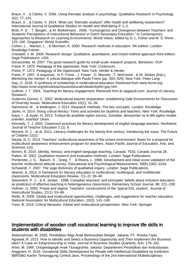Braun, V. , & Clarke, V. 2006. Using thematic analysis in psychology. Qualitative Research in Psychology 3(2): 77–101.

Braun, V. , & Clarke, V. 2014. What can "thematic analysis" offer health and wellbeing researchers? International Journal of Qualitative Studies on Health and Well-Being 9: 1–2.

Brok, P. D. , T. Bergen , & M. Brekelmans . 2006. "Convergence and Divergence between Teachers' and Students' Perceptions of Instructional Behaviour in Dutch Secondary Education." In Contemporary Approaches to Research on Learning Environments: World Views, edited by D. L. Fisher and M. S. Khine , 125–160. Singapore: World Scientific.

Cohen, L. , Manion, L. , & Morrison, K. 2000. Research methods in education. 5th edition. London: Routledge Falmer.

Creswell, J. W. 2009. Research design: Qualitative, quantitative, and mixed method approach third edition. Sage Publications: USA.

Denscombe, M. 2007. The good research guide for small-scale research projects. Berkshire: OUP.

Freire, P. 1970. Pedagogy of the oppressed. New York: Continuum.

Freire, P. 1972. Pedagogy of the Oppressed. New York: Herder & Herder.

Freire, P. 1997. A response . In P. Freire , J. Fraser , D. Macedo , T. McKinnon , & W. Stokes (Eds.), Mentoring the mentor: A critical dialogue with Paulo Freire (pp. 303–329). New York: Peter Lang.

Gay, G. 2018. A synthesis of scholarship in multicultural education. Retrieved from www.Ncrel.org: http://www.ncrel.org/sdrs/areas/issues/educatrs/leadrshp/le=gay.htm

Guthrie, J. T. 2004. Teaching for literacy engagement. Retrieved from jlr.sagepub.com: Journal of Literacy Research

Gutierrez-Gomez, C. 2002. Multicultural teacher preparation: establishing Safe Environments for Discussion of Diversity Issues. Multicultural Education 10(1): 31–39.

Hammond, M. , & Wellington, J. 2013. Research methods: The key concepts. London: Routledge.

Janks, H. 2014. Doing critical literacy: Texts and activities for students and teachers. New York: Routledge. Kaya, I. , & Aydin, H. 2013. Turkiye'de anadilde egitim sorunu: Zorluklar, deneyimler ve ili dilli egitim modeli onerileri. Istanbul: Ukam.

Kennedy, T. J. 2002. Classroom practices for literacy development of english language learners. Northwest Journal of Teacher Education 2 (1): 6.

Murane, R. J. , et al. 2012. Literacy challenges for the twenty-first century: Introducing the issue. The Future of Children 22(2).

Navita, N. C. 2014. Teachers' multicultural awareness of the school environment: Basis for a proposal for multicultural awareness enhancement program for teachers. Asian Pacific Journal of Education, Arts, and Sciences 1(4).

Norton, B. 2010. Identity, literacy, and english-language teaching. Canada: TESL Canada Journal 28. Patton, M. 2002. Qualitative research and evaluation methods. London: Sage Publications.

Ponterotto, J. G. , Baluch, S. , Greig, T. , & Rivera, L. 1998. Development and initial score validation of the teacher multicultural attitude survey. Educational and Psychological Measurement, 58(6):1002–1016. Schwandt, T. 2007. The sage dictionary of qualitative inquiry. London: Sage Publications.

Skerret, A. 2015. A framework for literacy education in multicultural, multilingual, and multiliterate classrooms. Multicultural Education Review, 7(1–2): 26–40.

Stanovitch, P. J. , & A. Jordan . 1998. Canadian teachers' and principals' beliefs about inclusive education as predictors of effective teaching in heterogeneous classrooms. Elementary School Journal, 98: 221–238. Vollmer, G. 2000. Praise and stigma: Teachers' constructions of the 'typical ESL student'. Journal of Intercultural Studies, 21(1): 53–66.

Wells, R. 2008. Global and multicultural opportunities, challenges, and suggestions for teacher education. National Association for Multicultural Education, 10(3): 142–149.

Yoon, B. 2016. Critical literacies: Global and multicultural perspectives. New York: Springer.

#### Implementation of wooden craft vocational learning to improve life skills in students with disabilities

Abdurrahman, M. 2003. Pendidikan Bagi Anak Berkesulitan Belajar. Jakarta: PT. Rineka Cipta. Agrawal, R. 2013. How to identify and Select a Business Opportunity and Then Implement the Business Idea? A Case on Edupreneurship in India. Journal of Business Studies Quarterly, 4(4): 176–182. Amin, M. 1995. Ortopedagogik Anak Ttunagrahita. Jakarta: Departemen Pendidikan dan Kebudayaan. Anggraini, N. 2016. Vocational Skills Development for People with Intellectual Disabilities by Institution BBRSBG Kartini Temanggung Central Java. Proceedings of the 2nd International Multidisciplinary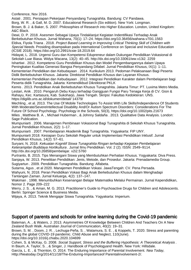Conference, Nov 2016.

Astati . 2001. Persiapan Pekerjaan Penyandang Tunagrahita. Bandung: CV Pandawa.

Borg, W. R. , & Gall, M. D. 2007. Educational Research (Six edition). New York: Longman.

Brown, B. J. & Baker, S. 2007. Philosophies of Research into Higher Education. London, United Kingdom: A&C Black.

Dewi, D. P. 2018. Asesmen Sebagai Upaya Tindaklanjut Kegiatan Indentifikasi Terhadap Anak Berkebutuhan Khusus. Jurnal Wahana, 70(1): 17–24. https://doi.org/10.36456/wahana.v70i1.1563 Eldiva, Fiyola Triana . 2018. Project Based Learning in Improving Critical Thinking Skill of Children with Special Needs. Prosiding disampaikan pada International Conference on Special and Inclusive Education (ICSIE 2018). https://doi.org/10.2991/icsie-18.2019.64

Hidayat, L. 2018. Urgensi Guru dan Kompetensi Edupreneur dalam Dukungan Pendidikan Vokasional di Sekolah Luar Biasa. Widya Wacana, 13(2): 40–45. http://dx.doi.org/10.33061/ww.v13i2. 2259

Ishartiwi . 2012. Kompetensi Guru Pendidikan Khusus dan Model Pengembangannya dalam Upaya Peningkatan Kualitas Generasi Bangsa Penyandang Difabel. Jurnal Pendidikan Khusus, IX(1): 1–11. Kementerian Pendidikan dan Kebudayaan . 2014. Kurikulum 2013. Pedoman Pelaksanaan Bagi Peserta Didik Berkebutuhan Khusus. Jakarta: Direktorat Pendidkan Khusus dan Layanan Khusus.

Kementerian Pendidikan dan Kebudayaan . 2012. Integrasi Pendidikan Karakter dalam Pembelajaran bagi Peserta didik Tunagrahita. Jakarta: Kemendikbud Dikrektorat PKLK

Kemis . 2013. Pendidikan Anak Berkebutuhan Khusus Tunagrahita. Jakarta Timur: PT. Luxima Metro Media. Lestari, Anik . 2010. Pengaruh Debu Kayu terhadap Gangguan Fungsi Paru Tenaga Kerja di CV. Gion & Rahayu, Kec. Kartasura, Kab. Sukoharjo, Jawa Tengah. Skripsi: Fakultas Kedokteran: UNS. https://digilib.uns.ac.id/dokumen/detail/ 14379/

Mechling , et al. 2013. The Use Of Mobile Technologies To Assist With Life Skills/Independence Of Students With Moderate/SevereIntellectual Disability And/Or Autism Spectrum Disorders: Considerations For The Future Of School Psychology. Psychology in the Schools, 50(3), https://doi.org/10.1002/pits.21673 Miles , Matthew B. A. , Michael Huberman , & Johnny Saldaña . 2013. Qualitative Data Analysis. London: Sage Publication.

Mumpuniarti . 2006. Manajemen Pembinaan Vokasional Bagi Tunagrahita di Sekolah Khusus Tunagrahita. Jurnal Pendidikan Khusus, 2(2): 1–17.

Mumpuniarti . 2007. Pembelajaran Akademik Bagi Tunagrahita. Yogyakarta: FIP UNY. Mumpuniarti 2018. Kesiapan Guru Sekolah Reguler untuk Implementasi Pendidikan Inklusif. Jurnal Pendidikan Khusus, 14(2): 57–61.

Suryani, N. 2018. Kekuatan Kognitif Siswa Tunagrahita Ringan terhadap Kegiatan Pembelajaran Keterampilan Budidaya Hortikultura . Jurnal Ilmu Pendidikan. Vol. 2 (2). ISSN: 2549–9114. http://dx.doi.org/10.26858/pembelajar. v2i2.5760

Purtranto, B. 2015. Tips Menangani Siswa yang Membutuhkan Perhatian Khusus. Yogyakarta: Diva Press. Sanjaya, W. 2013. Penelitian Pendidikan: Jenis, Metode, dan Prosedur. Jakarta: Prenadamedia Group. Sugiyartun . 2009. Pendidikan Tunagrahita. Bandung: Alfabeta.

Sutarna, Agus , et al 2020. Manajemen Pendidikan Vokasi. JawaTengah: CV. Pena Persada. Wahyuni, N. 2018. Peran Pendidikan Vokasi Bagi Anak Berkebutuhan Khusus dalam Menghadapi Tantangan Zaman. Jurnal Keluarga, 4(2): 137–147.

Wakiman . 1998. Menumbuhkan Kesenangan Belajar Matematika Melalui Permainan. Jurnal Kependidikan, Nomor 2. Page 209–222

Werry, J. S. , & Aman, M. G. 2013. Practitioner's Guide to Psychoactive Drugs for Children and Adolescents. Berlin: Springer Science & Business Media.

Wijaya, A. 2013. Teknik Mengajar Siswa Tunagrahita. Yogyakarta: Imperium.

## Support of parents and schools for online learning during the Covid-19 pandemic

Bateman, A. , & Waters, J. 2013. Asymmetries Of Knowledge Between Children And Teachers On A New Zealand Bush Walk. Australian Journal of Communication, 40(2): 19–31.

Brown, S. M. , Doom, J. R. , Lechuga-Peña, S. , Watamura, S. E. , & Koppels, T. 2020. Stress and parenting during the global COVID-19 pandemic. Child Abuse and Neglect, 110(June).

https://doi.org/10.1016/j.chiabu.2020.104699

Cohen, S. & McKay, G. 2008. Social Support, Stress and the Buffering Hypothesis: A Theoretical Analysis . In Baum, A. Taylor, S. , & Singer, J. Handbook of Psychologyand Health. New York: Hillsdale.

García, L. E. , & Thornton, O. 2014. The Enduring Importance of Parental Involvement. Nea Today, Http://Neatoday.Org/2014/11/18/The-Enduring-Importanceof Parentalinvolvement-2/.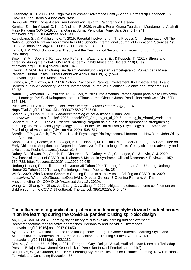Greenberg, K. H. 2005. The Cognitive Enrichment Advantage Family-School Partnership Handbook. Ox Knoxville: Kcd Harris & Associates Press.

Hasbullah . 2001. Dasar-Dasar Ilmu Pendidikan. Jakarta: Rajagrafindo Persada.

Kurniati, E. , Nur Alfaeni, D. K. , & Andriani, F. 2020. Analisis Peran Orang Tua dalam Mendampingi Anak di Masa Pandemi COVID-19. Jurnal Obsesi: Jurnal Pendidikan Anak Usia Dini, 5(1): 241. https://doi.org/10.31004/obsesi.v5i1.541

Kwatubana, S. , & Makhalemele, T. 2015. Parental Involvement In The Process Of Implementation Of The National School Nutrition Programme In Public Schools. International Journal of Educational Sciences, 9(3): 315–323. https://doi.org/10.1080/09751122.2015.11890321

Lantolf, J. P. 2008. Sociocultural Theory and the Teaching Of Second Languages. London: Equinox Publishing.

Brown, S. M. , Doom, J. R. , Lechuga-Peña, S. , Watamura, S. E. , & Koppels, T. (2020). Stress and parenting during the global COVID-19 pandemic. Child Abuse and Neglect, 110(June). https://doi.org/10.1016/j.chiabu.2020.104699

Lilawati, A. 2020. Peran Orang Tua dalam Mendukung Kegiatan Pembelajaran di Rumah pada Masa Pandemi. Jurnal Obsesi: Jurnal Pendidikan Anak Usia Dini, 5(1): 549.

https://doi.org/10.31004/obsesi.v5i1.630

Llamas, A. , & Tuazon, A. P. 2016. School Practices in Parental Involvement, Its Expected Results and Barriers in Public Secondary Schools. International Journal of Educational Science and Research, 6(1): 69–78.

Nahdi, K. , Ramdhani, S. , Yuliatin, R. , & Hadi, Y. 2020. Implementasi Pembelajaran pada Masa Lockdown bagi Lembaga PAUD di Kabupaten Lombok Timur. Jurnal Obsesi: Jurnal Pendidikan Anak Usia Dini, 5(1): 177–186.

Puspitawati, H. 2013. Konsep Dan Teori Keluarga. Gender Dan Keluarga, 1–16. Https://Doi.Org/10.1249/01.Mss.0000074580.79648.9d

Sadler, R., & Doo, M. 2016. Language learning in virtual worlds. Diambil dari

https://www.aupress.ca/books/120254/ebook/99Z\_Gregory\_et\_al\_2016-Learning\_in\_Virtual\_Worlds.pdf Sanders M. R. 2008. Triple P-Positive Parenting Program as a public health approach to strengthening parenting. Journal of family psychology: journal of the Division of Family Psychology of the American Psychological Association (Division 43), 22(4): 506–517.

Sarafino, E.P. , & Smith, T.W. 2011. Health Psychology: Bio Psychosocial Interaction. New York: John Willey and Sans Inc.

Shonkoff, J. P. , Garner, A. S. , Siegel, B. S. , Dobbins, M. I. , Earls, M. F. , McGuinn, L. , ... & Committee on Early Childhood, Adoption, and Dependent Care . 2012. The lifelong effects of early childhood adversity and toxic stress. Pediatrics, 129(1): e232–e246.

Dubey, S. , Biswas, P. , Ghosh, R. , Chatterjee, S. , Dubey, M. J. , Chatterjee, S. , & Lavie, C. J. 2020. Psychosocial impact of COVID-19. Diabetes & Metabolic Syndrome: Clinical Research & Reviews, 14(5): 779–788. https://doi.org/10.1016/j.dsx.2020.05.035

Undang-Undang Republik Indonesia Nomor 35 Tahun 2014 Tentang Perubahan Atas Undang-Undang Nomor 23 Tahun 2002 Tentang Perlindungan Anak, Pub. L. No. 35.

WHO . 2020. Who Director-General's Opening Remarks at the Mission Briefing on COVID-19. 2020. https://Www.Who.Int/Dg/Speeches/Detail/Who-Director-General-S-Opening-Remarks-At-The-Missionbriefing- On-COVID-19 (Accessed July 12 , 2020).

Wang, G. , Zhang, Y. , Zhao, J. , Zhang, J. , & Jiang, F. 2020. Mitigate the effects of home confinement on children during the COVID-19 outbreak. The Lancet, 395(10228): 945–947.

#### The influence of a gamification platform and learning styles toward student scores in online learning during the Covid-19 pandemic using split-plot design

An, D. , & Carr, M. 2017. Learning styles theory fails to explain learning and achievement : Recommendations for alternative approaches. Personality and Individual Differences. https://doi.org/10.1016/j.paid.2017.04.050

Aydın, B. 2015. Examination of the Relationship between Eighth Grade Students' Learning Styles and Attitudes towards Mathematics. Journal of Education and Training Studies, 4(2): 124–130. https://doi.org/10.11114/jets.v4i2.1162

Bire, A. , Geradus, U. , & Bire, J. 2014. Pengaruh Gaya Belajar Visual, Auditorial, dan Kinestetik Terhadap Prestasi Belajar Siswa. Jurnal Kependidikan: Penelitian Inovasi Pembelajaran, 44(2).

Bluejurnes, W. , & Gurdner, D. L. 1995. Learning Styles : Implications for Distance Learning. New Directions For Adult and Continuing Education, 67.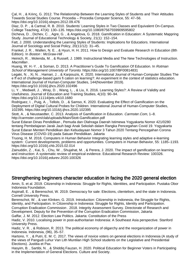Çal, H. , & Kılınç, G. 2012. The Relationship Between the Learning Styles of Students and Their Attitudes Towards Social Studies Course. Procedia – Procedia Computer Science, 55: 47–56. https://doi.org/10.1016/j.sbspro.2012.09.476

Diaz, D. P. , & Cartnal, R. B. 2010. Students' Learning Styles in Two Classes and Equivalent On-Campus. College Teaching, 47(4): 130–135. https://doi.org/10.1080/87567559909595802

Dicheva, D. , Dichev, C. , Agre, G. , & Angelova, G. 2018. Gamification in Education: A Systematic Mappring Study. Journal of Educational Technology & Society, 21(1): 152–154.

Fatt, J. 2000. Understanding the Learning Styles of Students: Implications for Educatiors. International Journal of Sociology and Social Policy, 20(11/12): 31–45.

Frankel, J. R. , Wallen, N. E. , & Hyun, H. H. 2011. How to Design and Evaluate Research in Education (8th Edition). In Boston: McGraw-Hill.

Heinich, R. , Molenda, M. , & Russell, J. 1989. Instructional Media and The New Technologies of Instruction. Macmillan .

Huang, W. H.-Y. , & Soman, D. 2013. A Practitioner's Guide To Gamification Of Education. In Rotman School of Management University of Toronto. https://doi.org/10.1007/BF00814831

Legaki, N. , Xi, N. , Hamari, J. , & Karpouzis, K. 2020. International Journal of Human-Computer Studies The e ff ect of challenge-based gami fi cation on learning?: An experiment in the context of statistics education. International Journal of Human-Computer Studies, 144(November 2019). https://doi.org/10.1016/j.ijhcs.2020.102496

Li, Y. , Medwell, J. , Wray, D. , Wang, L. , & Liu, X. 2016. Learning Styles?: A Review of Validity and Usefulness. Journal of Education and Training Studies, 4(10): 90–94. https://doi.org/10.11114/jets.v4i10.1680

Rodriguez, I. , Puig, A. , Tellols, D. , & Samso, K. 2020. Evaluating the Effect of Gamification on the Deployment of Digital Cultural Probes for Children. International Journal of Human-Computer Studies, 102395. https://doi.org/10.1016/j.ijhcs.2020.102395

Stott, A., & Neustaedter, C. 2013. Analysis of Gamification in Education. Carmster.Com, 1-8. http://carmster.com/clab/uploads/Main/Stott-Gamification.pdf

Surat Edaran Dinas Pendidikan , Pemuda dan Olahraga Daerah Istimewa Yogyakarta Nomor 421/0280 tentang Pembelajaran Jarak Jauh bagi Anak Sekolah dalam Rangka Pencegahan Covid 19. Yogyakarta Surat Edaran Menteri Pendidikan dan Kebudayaan Nomor 3 Tahun 2020 Tentang Pencegahan Corona Virus Disease (COVID-19) pada Satuan Pendidikan. Jakarta

Truong, H. M. 2016. Computers in Human Behavior Integrating learning styles and adaptive e-learning system : Current developments, problems and opportunities. Computers in Human Behavior, 55: 1185–1193. https://doi.org/10.1016/j.chb.2015.02.014

Zainuddin, Z. , Kai, S. , Chu, W. , Shujahat, M. , & Perera, J. 2020. The impact of gamification on learning and instruction: A systematic review of empirical evidence. Educational Research Review: 100326. https://doi.org/10.1016/j.edurev.2020.100326

## Strengthening beginners character education in facing the 2020 general election

Amin, S. et al. 2019. Citizenship in Indonesia: Struggle for Rights, Identities, and Participation. Pustaka Obor Indonesia Foundation.

Aspinall, E. , & Berenschot, W. 2019. Democracy for sale: Elections, clientelism, and the state in Indonesia. Cornell University Press.

Berenschot, W. , & van Klinken, G. 2019. Introduction: Citizenship in Indonesia, the Struggle for Rights, Identity, and Participation. In Citizenship in Indonesia: Struggle for Rights, Identity and Participation.

Corruption Eradication Commission . 2018. Integrity Assessment Survey. Directorate of Research and Development. Deputy for the Prevention of the Corruption Eradication Commission, Jakarta

Gaffar, J. M. 2012. Election Law Politics. Jakarta: Constitution of the Press

Hadiz, V. 2010. Localising power in post-authoritarian Indonesia: A Southeast Asia perspective. Stanford University Press.

Hadiz, V. R. , & Robison, R. 2013. The political economy of oligarchy and the reorganization of power in Indonesia. Indonesia, (96), 35–57.

Hartono, Y. , & Putri, E. M. C. 2017. The views of novice voters on general elections in Indonesia (A study of the views of Pangudi Luhur Van Lith Muntilan High School students on the Legislative and Presidential Elections). Justitia et Pax.

Hasyim, B. , Sartibi, N. , & Shiddiq Fauzan, H. 2020. Political Education for Beginner Voters in Participating in the Implementation of General Elections. Culture and Society.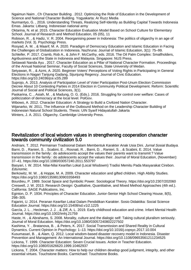Ngaimun Naim , Ch Character Building . 2012. Optimizing the Role of Education in the Development of Science and National Character Building. Yogyakarta: Ar Ruzz Media

Nurmantyo, G. , 2016. Understanding Threats, Realizing Self-Identity as Building Capital Towards Indonesia Emas. Jakarta: Litbang. Indonesian national army

Oktarina, N. et al. 2015. Character Education Evaluation Model Based on School Culture for Elementary School. Journal of Research and Method Education, 05 (05), 11

Robison, R. , & Hadiz, V. R. 2004. Reorganising power in Indonesia: The politics of oligarchy in an age of markets (Vol. 3). Psychology Press.

Rosyad, A. M. , & Maarif, M. A. 2020. Paradigm of Democracy Education and Islamic Education in Facing the Challenges of Globalization in Indonesia. Nazhruna: Journal of Islamic Education, 3(1): 75–99.

Schleifer, P. 2017. Cramb, Rob A., & John F. McCarthy, eds. 2016. The Oil Palm Complex: Smallholders, Agribusiness and the State in Indonesia and Malaysia. Singapore: NUS Press.

Setiawati Nanda Ayu . 2017. Character Education as a Pillar of National Character Formation. Proceedings of the Annual National Seminar, Faculty of Social Sciences, State University of Medan.

Setyawan, R. , & Azmi, A. 2020. Beginner Voters' Perceptions of Voting Rights in Participating in General Elections in Nagari Tanjung Gadang, Sijunjung Regency. Journal of Civic Education. https://doi.org/10.24036/jce.v2i5.289

Suprojo, A. 2013. Analysis of Participation Level of Voter Participation Post-Unum Election Commission Decree About 10 Contesting Parties in 2014 Election in Community Political Development. Reform: Scientific Journal of Social and Political Sciences, 3(1).

Paskarina, C. , Asiah, M. , & Madung, O. G. (Eds.). 2016. Struggling for control over welfare: Cases of politicization of democracy at the local level. PolGov.

Wibowo, A. 2012. Character Education: A Strategy to Build a Civilized Nation Character.

Wijanarko, W. 2011. The Influence of the Outbound Method on the Leadership Character Building of Indonesian Natural School Students. Thesis: UIN Syarif Hidayatullah Jakarta

Winters, J. A. 2011. Oligarchy. Cambridge University Press.

#### Revitalization of local wisdom values in strengthening cooperation character towards community civilization 5.0

Andriani, T. 2012. Permainan Tradisional Dalam Membentuk Karakter Anak Usia Dini. Jurnal Sosial Budaya. Barni, D. , Ranieri, S. , Scabini, E. , Rosnati, R. , Barni, D. , Ranieri, S. , & Scabini, E. 2014. Value transmission in the family : do adolescents accept the values their parents want to transmit ? Value transmission in the family : do adolescents accept the values their. Journal of Moral Education, (November): 37–41. https://doi.org/10.1080/03057240.2011.553797

Basyari, I. W. 2014. Nilai-Nilai Kearifan Lokal (Local Wisdowm) Tradisi Memitu Pada Masyarakat Cirebon. Edunomic.

Berkowitz, M. W. , & Hoppe, M. A. 2009. Character education and gifted children. High Ability Studies. https://doi.org/10.1080/13598130903358493

Bourdieu, P. 1989. Social Space and Symbolic Power. Sociological Theory. https://doi.org/10.2307/202060 Creswell, J. W. 2013. Research Design: Qualitative, Quantitative, and Mixed Method Approaches (4th ed.). California: SAGE Publications, Inc.

Eginton, D. P. 1934. Principles of Character Education. Junior-Senior High School Clearing House, 8(5), 298–305.

Fajarini, U. 2014. Peranan Kearifan Lokal Dalam Pendidikan Karakter. Sosio Didaktika: Social Science Education Journal. https://doi.org/10.15408/sd.v1i2.1225

García, J. L. , Heckman, J. J. , & Ziff, A. L. 2019. Early childhood education and crime. Infant Mental Health Journal. https://doi.org/10.1002/imhj.21759

Haste, H. , & Abrahams, S. 2008. Morality, culture and the dialogic self: Taking cultural pluralism seriously. Journal of Moral Education. https://doi.org/10.1080/03057240802227502

Kashima, Y. , Bratanova, B. , & Peters, K. 2017. Social Transmission and Shared Reality in Cultural Dynamics. Current Opinion in Psychology: 1–13. https://doi.org/10.1016/j.copsyc.2017.10.004

Kusumasari, B. , & Alam, Q. 2012. Local wisdom-based disaster recovery model in Indonesia. Disaster Prevention and Management: An International Journal. https://doi.org/10.1108/09653561211234525 Lickona, T. 1999. Character Education: Seven Crucial Issues. Action in Teacher Education. https://doi.org/10.1080/01626620.1999.10462937

Lickona, T. 2004. Character matters: How to help our children develop good judgment, integrity, and other essential virtues. Touchstone Books. Carmichael: Touchstone Books.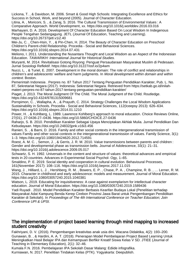Lickona, T. , & Davidson, M. 2006. Smart & Good High Schools: Integrating Excellence and Ethics for Success in School, Work, and beyond (2005). Journal of Character Education.

Litina, A. , Moriconi, S. , & Zanaj, S. 2016. The Cultural Transmission of Environmental Values : A Comparative Approach. World Development, xx. https://doi.org/10.1016/j.worlddev.2016.03.016 Marhayani, D. A. 2016. Development Of Character Education Based On Local Wisdom In Indegenous People Tengahan Sedangagung. JETL (Journal Of Education, Teaching and Learning). https://doi.org/10.26737/jetl.v1i2.40

Mei-Ju, C. , Chen-Hsin, Y. , & Pin-Chen, H. 2014. The Beauty of Character Education on Preschool Children's Parent-child Relationship. Procedia - Social and Behavioral Sciences. https://doi.org/10.1016/j.sbspro.2014.07.431

Meliono, I. 2011. Understanding the Nusantara Thought and Local Wisdom as an Aspect of the Indonesian Education. TAWARIKH: International Journal for Historical Studies.

Muryanti, M. 2014. Revitalisasi Gotong Royong: Penguat Persaudaraan Masyarakat Muslim di Pedesaan. Jurnal Sosiologi Reflektif. https://doi.org/10.31227/osf.io/2p4wm

Nucci, L. , & Turiel, E. 2007. Development in the moral domain: The role of conflict and relationships in children's and adolescents' welfare and harm judgments. In Moral development within domain and within context. Boston.

Pemerintah Indonesia . Perpres no. 87 Tahun 2017 Tentang Penguatan Pendidikan Karakter, Pub. L. No. 87, Sekretariat Negara (2017). Indonesia: Sekretariat Negara. Retrieved from https://setkab.go.id/inilahmateri-perpres-no-87-tahun-2017-tentang-penguatan-pendidikan-karakter/

Piaget, J. 2013. The Moral Judgment Of The Child. The Moral Judgment of the Child. Routledge. https://doi.org/10.4324/9781315009681

Pornpimon, C. , Wallapha, A. , & Prayuth, C. 2014. Strategy Challenges the Local Wisdom Applications Sustainability in Schools. Procedia - Social and Behavioral Sciences, 112(Iceepsy 2013): 626–634. https://doi.org/10.1016/j.sbspro.2014.01.1210

Power, H. , & Kohlberg, L. 1989. Lawrence Kohlberg's approach to moral education. Choice Reviews Online, 27(01), 27-0436-27–0436. https://doi.org/10.5860/CHOICE.27-0436

Raharjo, S. B. 2010. Pendidikan Karakter Sebagai Upaya Menciptakan Akhlak Mulia. Jurnal Pendidikan Dan Kebudayaan. https://doi.org/10.24832/jpnk.v16i3.456

Ranieri, S. , & Barni, D. 2016. Family and other social contexts in the intergenerational transmission of values Family and other social contexts in the intergenerational transmission of values. Family Science, 3(1): 1–3. https://doi.org/10.1080/19424620.2012.714591

Roest, A. M. C. , Semon, J. , & Gerris, J. R. M. 2010. Value transmissions between parents and children : Gender and developmental phase as transmission belts. Journal of Adolescence, 33(1): 21–31. https://doi.org/10.1016/j.adolescence.2009.05.017

Schwartz, S. H. 1992. Universals in the content and structure of values: theoretical advances and empirical tests in 20 countries. Advances in Experimental Social Psychol- Ogy, 1–65.

Smaldino, P. E. 2019. Social identity and cooperation in cultural evolution. Behavioural Processes, 161(November 2017): 108–116. https://doi.org/10.1016/j.beproc.2017.11.015

Wang, J., Hilliard, L. J., Hershberg, R. M., Bowers, E. P., Chase, P. A., Champine, R. B., ... Lerner, R. M. 2015. Character in childhood and early adolescence: models and measurement. Journal of Moral Education. https://doi.org/10.1080/03057240.2015.1040381

Watson, L. 2019. Educating for inquisitiveness: A case against exemplarism for intellectual character education. Journal of Moral Education. https://doi.org/10.1080/03057240.2019.1589436

Yadi Ruyadi . 2010. Model Pendidikan Karakter Berbasis Kearifan Budaya Lokal (Penelitian terhadap Masyarakat Adat Kampung Benda Kerep Cirebon Provinsi Jawa Barat untuk Pengembangan Pendidikan Karakter di Sekolah). In Proceedings of The 4th International Conference on Teacher Education; Join Conference UPI & UPSI.

#### The implementation of project based learning through mind mapping to increased student creativity

Fakhriyani, D. V. (2016). Pengembangan kreativitas anak usia dini. Wacana Didaktika, 4(2): 193–200. Gunawan, B. , & Hardini, A. A. T. (2018). Penerapan Model Pembelajaran Project Based Learning Untuk Meningkatkan Hasil Belajar IPA dan Kemampuan Berfikir Kreatif Siswa Kelas V SD. JTIEE (Journal of Teaching in Elementary Education), 2(1): 32–46.

Kumala F.N. 2016. Pembelajaran IPA Sekolah Dasar Malang: Ediide infografika. Kurniawan, N. 2017. Penelitian Tindakan Kelas (PTK). Yogyakarta: Deepublish.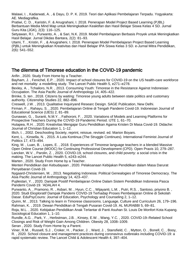Malawi, I. , Kadarwati, A. , & Dayu, D. P. K. 2019. Teori dan Aplikasi Pembelajaran Terpadu. Yogyakarta: AE. Mediagrafika.

Pratiwi, C. D. , Karistin, F. & Anugrahani, I. 2018. Penerapan Model Project Based Learning (PJBL) Berbantuan Media Mind Map untuk Meningkatkan Keaktifan dan Hasil Belajar Siswa Kelas 4 SD. Jurnal Guru Kita (JGK), 2(3): 116–125.

Setyawan, R.I. , Purwanto, A. , & Sari, N.K. 2019. Model Pembelajaran Berbasis Proyek untuk Meningkatkan Hasil Belajar. Jurnal Dikdas Bantara, 2(2): 81–93.

Utami, T. , Kristin, F. , & Anugraheni, I. 2018. Penerapan Model Pembelajaran Project Based Learning (PjBL) untuk Meningkatkan Kreativitas dan Hasil Belajar IPA Siswa Kelas 3 SD. e-Jurnal Mitra Pendidikan, 2(6): 541–552.

## The dilemma of Timorese education in the COVID-19 pandemic

Arifin , 2020. Study From Home by a Teacher.

Bayham, J. , Fenichel, E.P. , 2020. Impact of school closures for COVID-19 on the US health-care workforce and net mortality: a modelling study. The Lancet Public Health 5, e271–e278.

Bexley, A. , Tchailoro, N.R. , 2013. Consuming Youth: Timorese in the Resistance Against Indonesian Occupation. The Asia Pacific Journal of Anthropology 14, 405–422.

Brinke, S. ten , 2018. Citizens by waiting: Timorese young adults between state politics and customary authority. Citizenship Studies 22, 882–896.

Creswell, J.W. , 2013. Qualitative Inquiryand Researc Design. SAGE Publication, New Delhi.

Firman, F. , Rahayu, S. , 2020. Pembelajaran Online di Tengah Pandemi Covid-19. Indonesian Journal of Educational Science (IJES) 2, 81–89.

Gunawan, G. , Suranti, N.M.Y. , Fathoroni, F. , 2020. Variations of Models and Learning Platforms for Prospective Teachers During the COVID-19 Pandemic Period. IJTE 1, 61–70.

Hutapea, R.H. , 2020. Kreativitas Mengajar Guru Pendidikan Agama Kristen Di Masa Covid-19. Didache: Journal of Christian Education 1, 1–12.

Illich, I. , 2002. Deschooling Society, reprint, reissue, revised. ed. Marion Boyars.

Kent, L. , Kinsella, N. , 2015. A Luta Kontinua (The Struggle Continues). International Feminist Journal of Politics 17, 473–494.

King, M. , Luan, B. , Lopes, E. , 2018. Experiences of Timorese language teachers in a blended Massive Open Online Course (MOOC) for Continuing Professional Development (CPD). Open Praxis 10, 279–287. Lancker, W.V. , Parolin, Z. , 2020. COVID-19, school closures, and child poverty: a social crisis in the making. The Lancet Public Health 5, e243–e244.

Marten , 2020. Study From Home by a Teacher.

Menteri Pendidikan dan Kebudayaan , 2020. Pelaksanaan Kebijakan Pendidikan dalam Masa Darurat Penyebaran Covid-19.

Nygaard-Christensen, M. , 2013. Negotiating Indonesia: Political Genealogies of Timorese Democracy. The Asia Pacific Journal of Anthropology 14, 423–437.

Pujilestari, Y. , 2020. Dampak Positif Pembelajaran Online Dalam Sistem Pendidikan Indonesia Pasca Pandemi Covid-19. 'ADALAH 4.

Purwanto, A. , Pramono, R. , Asbari, M. , Hyun, C.C. , Wijayanti, L.M. , Putri, R.S. , Santoso, priyono B. , 2020. Studi Eksploratif Dampak Pandemi COVID-19 Terhadap Proses Pembelajaran Online di Sekolah Dasar. EduPsyCouns: Journal of Education, Psychology and Counseling 2, 1–12.

Quinn, M. , 2013. Talking to learn in Timorese classrooms. Language, Culture and Curriculum 26, 179–196. Rahman, K. , 2019. Dewan Pendidikan di Tengah Pusaran Covid-19. AL MURABBI 5, 69–81.

Roja, M.L. , 2020. Kebijakan Pendidikan Anak Terlantar di Panti Asuhan St. Louis De Monfort Kota Kupang. Sociological Education 1, 1–10.

Rundle, A.G. , Park, Y. , Herbstman, J.B. , Kinsey, E.W. , Wang, Y.C. , 2020. COVID-19–Related School Closings and Risk of Weight Gain Among Children. Obesity 28, 1008–1009.

Seran , 2020. Study From Home by a Parent.

Viner, R.M. , Russell, S.J. , Croker, H. , Packer, J. , Ward, J. , Stansfield, C. , Mytton, O. , Bonell, C. , Booy, R. , 2020. School closure and management practices during coronavirus outbreaks including COVID-19: a rapid systematic review. The Lancet Child & Adolescent Health 4, 397–404.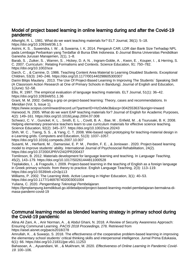### Model of project based learning in online learning during and after the Covid-19 pandemic

Allwright, R. L. 1981. What do we want teaching materials for? ELT Journal, 36(1): 5–18. https://doi.org/10.1093/elt/36.1.5

Astrini, K. S. , Suwendra, I. W. , & Suwarna, I. K. 2014. Pengaruh CAR, LDR dan Bank Size Terhadap NPL pada Lembaga Perbankan yang Terdaftar di Bursa Efek Indonesia. E-Journal Bisma Universitas Pendidikan Ganesha Jurusan Manajemen, 2(1), 1–8.

Barab, S. , Zuiker, S. , Warren, S. , Hickey, D. A. N. , Ingram-Goble, A. , Kwon, E. , Kouper, I. , & Herring, S. C. 2007. Curriculum : Relating Formalisms and Contexts. Science Education, 91: 750–782. https://doi.org/10.1002/sce

Darch, C. , & Carnine, D. 1986. Teaching Content Area Material to Learning Disabled Students. Exceptional Children, 53(3): 240–246. https://doi.org/10.1177/001440298605300307

Darini Bilqis Maulany . 2013. The Use Of Project-Based Learning In Improving The Students` Speaking Skill (A Classroom Action Research at One of Primary Schools in Bandung). Journal of English and Education, 1(June): 52–58.

Ellis, R. 1997. The empirical evaluation of language teaching materials. ELT Journal, 51(1): 36–42. https://doi.org/10.1093/elt/51.1.36

Grant, M. M. 2002. Getting a grip on project-based learning: Theory, cases and recommendations. In Meridian (Vol. 5, Issue 1).

https://www.scopus.com/inward/record.uri?partnerID=HzOxMe3b&scp=3042553637&origin=inward Harwood, N. 2005. What do we want EAP teaching materials for? Journal of English for Academic Purposes, 4(2): 149–161. https://doi.org/10.1016/j.jeap.2004.07.008

Schwarz, C. V. , Gunckel, K. L. , Smith, E. L. , Covitt, B. A. , Bae, M. , Enfield, M. , & Tsurusaki, B. K. 2008. Helping elementary preservice teachers learn to use curriculum materials for effective science teaching. Science Education, 92(2): 345–377. https://doi.org/10.1002/sce.20243

Shih, W. C. , Tseng, S. S. , & Yang, C. T. 2008. Wiki-based rapid prototyping for teaching-material design in e-Learning grids. Computers and Education, 51(3): 1037–1057.

https://doi.org/10.1016/j.compedu.2007.10.007

Susanti, M. , Herfianti, M. , Damarsiwi, E. P. M. , Perdim, F. E. , & Joniswan . 2020. Project-based learning model to improve students' ability. International Journal of Psychosocial Rehabilitation, 24(2). https://doi.org/10.37200/IJPR/V24I2/PR200437

Tomlinson, B. 2012. Materials development for language learning and teaching. In Language Teaching, 45(2), 143–179. https://doi.org/10.1017/S0261444811000528

Tsiplakides, I. , & Fragoulis, I. 2009. Project-based learning in the teaching of English as a foreign language in Greek primary schools: from theory to practice. English Language Teaching, 2(3): 113–119. https://doi.org/10.5539/elt.v2n3p113

Williams, P. 2002. The Learning Web. Active Learning in Higher Education, 3(1): 40–53.

https://doi.org/10.1177/1469787402003001004

Yuliana, C. 2020. Pengembang Teknologi Pembelajaran.

https://lpmplampung.kemdikbud.go.id/detailpost/project-based-learning-model-pembelajaran-bermakna-dimasa-pandemi-covid-19

#### Communal learning model as blended learning strategy in primary school during the Covid-19 pandemic

Alina Ali Zani, A. , Anir Norman, A. , & Abdul Ghani, N. 2018. A Review of Security Awareness Approach: Ensuring Communal Learning. PACIS 2018 Proceedings, 278. Retrieved from https://aisel.aisnet.org/pacis2018/278

Amrullah, K. , & Suwarjo, S. 2018. The effectiveness of the cooperative problem-based learning in improving the elementary school students' critical thinking skills and interpersonal intelligence. Jurnal Prima Edukasia, 6(1): 66. https://doi.org/10.21831/jpe.v6i1.11253

Bahasoan, A., Ayuandiani, W., & Mukhram, M. 2020. Effectiveness of Online Learning In Pandemic Covid-19. 100–106.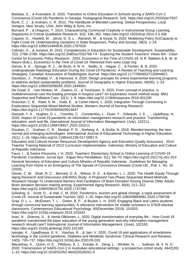Basilaia, G. , & Kvavadze, D. 2020. Transition to Online Education in Schools during a SARS-CoV-2 Coronavirus (Covid-19) Pandemic in Georgia. Pedagogical Research, 5(4). https://doi.org/10.29333/pr/7937 Bonk, C. J. , & Graham, C. R. 2012. The Handbook of Blended Learning: Global Perspectives, Local Designs. New Jersey, USA: John Wiley & Sons, Inc.

Burnard, P. , & Dragovic, T. 2014. Characterizing Communal Creativity in Instrumental Group Learning. Departures in Critical Qualitative Research, 3(3): 336–362. https://doi.org/10.1525/dcqr.2014.3.3.336 Capano, G. , Howlett, M. , Jarvis, D. S. L. , Ramesh, M. , & Goyal, N. 2020. Mobilizing Policy (In)Capacity to Fight Covid-19: Understanding Variations in State Responses. Policy and Society, 39(3): 1–24. https://doi.org/10.1080/14494035.2020.1787628

Cebrián, G. , & Junyent, M. 2015. Competencies in Education for Sustainable Development. Sustainability, 7(3): 2768–2786. https://doi.org/10.3390/su7032768 T4 - Exploring the Student Teachers' Views M4 - Citavi Centre for Economic Policy Research . 2020. Economics in the Time of COVID-19. In R. Baldwin & B. W. di Mauro (Eds.), Economics in the Time of Covid-19. Retrieved from www.csepr.org

Darras, K. E. , Spouge, R. J. , de Bruin, A. B. H. , Sedlic, A. , Hague, C. , & Forster, B. B. 2020. Undergraduate Radiology Education During the Covid-19 Pandemic: A Review of Teaching and Learning Strategies. Canadian Association of Radiologists Journal. https://doi.org/10.1177/0846537120944821 Davidson, J. , Prahalad, V. , & Harwood, A. 2020. Design precepts for online experiential learning programs to address wicked sustainability problems. Journal of Geography in Higher Education, 00(00): 1–23. https://doi.org/10.1080/03098265.2020.1849061

De Graaf, E. , Van Klinken, M. , Zweers, D. , & Teunissen, S. 2020. From concept to practice, is multidimensional care the leading principle in hospice care? An exploratory mixed method study. BMJ Supportive and Palliative Care, 10(1): 1–9. https://doi.org/10.1136/bmjspcare-2016-001200

Draucker, C. B. , Rawl, S. M. , Vode, E. , & Carter-Harris, L. 2020. Integration Through Connecting in Explanatory Sequential Mixed Method Studies. Western Journal of Nursing Research. https://doi.org/10.1177/0193945920914647

Dwivedi, Y. K. , Hughes, D. L. , Coombs, C. , Constantiou, I. , Duan, Y. , Edwards, J. S. , … Upadhyay, N. 2020. Impact of Covid-19 pandemic on information management research and practice: Transforming education, work and life. International Journal of Information Management, (July), 102211. https://doi.org/10.1016/J.IJINFOMGT.2020.102211

Dziuban, C. , Graham, C. R. , Moskal, P. D. , Norberg, A. , & Sicilia, N. 2018. Blended learning: the new normal and emerging technologies. International Journal of Educational Technology in Higher Education, 15(1): 1–16. https://doi.org/10.1186/s41239-017-0087-5

Education and Cultural Human Resources Development Agency and Education Quality Assurance . 2014. Teacher Training Material of 2013 Curriculum Implementation. Indonesia: Ministry of Education and Culture of Republic Indonesia.

Fauzi, I. , & Sastra Khusuma, I. H. 2020. Teachers' Elementary School in Online Learning of COVID-19 Pandemic Conditions. Jurnal Iqra' : Kajian Ilmu Pendidikan, 5(1): 58–70. https://doi.org/10.25217/ji.v5i1.914 General Secretary of Education and Culture Ministry of Republic Indonesia . Guidelines for Managing Learning from Home in an Emergency of The Spread of Coronavirus Disease (Covid-19)., Pub. L. No. 15 (2020).

Glover, C. M. , Shah, R. C. , Bennett, D. A. , Wilson, R. S. , & Barnes, L. L. 2020. The Health Equity Through Aging Research And Discussion (HEARD) Study: A Proposed Two-Phase Sequential Mixed-Methods Research Design To Understand Barriers And Facilitators Of Brain Donation Among Diverse Older Adults: Brain donation decision making among. Experimental Aging Research, 46(4): 311–322. https://doi.org/10.1080/0361073X.2020.1747266

Gössling, S. , Scott, D. , & Hall, C. M. 2020. Pandemics, tourism and global change: a rapid assessment of Covid-19. Journal of Sustainable Tourism, 0(0): 1–20. https://doi.org/10.1080/09669582.2020.1758708 Gray, D. L. L. , McElveen, T. L. , Green, B. P. , & Bryant, L. H. 2020. Engaging Black and Latinx students through communal learning opportunities: A relevance intervention for middle schoolers in STEM elective classrooms. Contemporary Educational Psychology, 60(December 2019), 101833. https://doi.org/10.1016/j.cedpsych.2019.101833

Iivari, N. , Sharma, S. , & Ventä-Olkkonen, L. 2020. Digital transformation of everyday life – How Covid-19 pandemic transformed the basic education of the young generation and why information management research should care? International Journal of Information Management, (June), 102183. https://doi.org/10.1016/j.ijinfomgt.2020.102183

Iyengar, K. , Upadhyaya, G. K. , Vaishya, R. , & Jain, V. 2020. Covid-19 and applications of smartphone technology in the current pandemic. Diabetes and Metabolic Syndrome: Clinical Research and Reviews, 14(5): 733–737. https://doi.org/10.1016/j.dsx.2020.05.033

Macartney, K. , Quinn, H. E. , Pillsbury, A. J. , Koirala, A. , Deng, L. , Winkler, N. , … Sullivan, M. V. N. O. 2020. Transmission of SARS-CoV-2 in Australian educational settings : a prospective cohort study. 4642(20): 1–10. https://doi.org/10.1016/S2352-4642(20)30251-0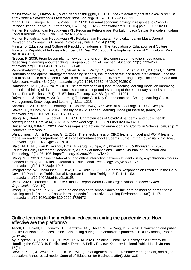Maliszewska, M. , Mattoo, A. , & van der Mensbrugghe, D. 2020. The Potential Impact of Covid-19 on GDP and Trade: A Preliminary Assessment. https://doi.org/10.1596/1813-9450-9211

Mann, F. D. , Krueger, R. F. , & Vohs, K. D. 2020. Personal economic anxiety in response to Covid-19. Personality and Individual Differences, 167(July), 110233. https://doi.org/10.1016/j.paid.2020.110233 Menteri Pendidikan dan Kebudayaan RI . Pedoman Pelaksanaan Kurikulum pada Satuan Pendidikan dalam Kondisi Khusus., Pub. L. No. 719/P/2020 (2020).

Menteri Pendidikan dan Kebudayaan RI . Pelaksanaan Kebijakan Pendidikan dalam Masa Darurat Penyebaran Coronavirus Disease (Covid-19)., Pub. L. No. 4 (2020).

Minister of Education and Culture of Republic of Indonesia . The Regulation of Education and Culture Minister of Republic of Indonesia Number 81A Year 2013 about The Implementation of Curriculum., Pub. L. No. 81A (2013).

Nilsson, P. 2009. From lesson plan to new comprehension: Exploring student teachers' pedagogical reasoning in learning about teaching. European Journal of Teacher Education, 32(3): 239–258. https://doi.org/10.1080/02619760802553048

Panovska-Griffiths, J. , Kerr, C. C. , Stuart, R. M. , Mistry, D. , Klein, D. J. , Viner, R. M. , & Bonell, C. 2020. Determining the optimal strategy for reopening schools, the impact of test and trace interventions , and the risk of occurrence of a second Covid-19 epidemic wave in the UK : a modelling study. The Lancet Child and Adolescent Health, 4642(20). https://doi.org/10.1016/S2352-4642(20)30250-9

Ramadhani, M. I. , & Ayriza, Y. 2019. The effectiveness of quantum teaching learning model on improving the critical thinking skills and the social science concept understanding of the elementary school students. Jurnal Prima Edukasia, 7(1): 47–57. https://doi.org/10.21831/jpe.v7i1.11291

Rožman, L. , & Koren, A. 2013. Learning To Learn As a Key Competence and Setting Learning Goals. Management, Knowledge and Learning, 1211–1218.

Sharma, P. 2010. Blended learning. ELT Journal, 64(4): 456–458. https://doi.org/10.1093/elt/ccq043 Staker, H. , & Horn, M. B. 2012. Classifying K-12 Blended Learning. Innosight Institute, (May), 22. https://doi.org/10.1007/s10639-007-9037-5

Stang, A. , Standl, F. , & Jöckel, K. H. 2020. Characteristics of Covid-19 pandemic and public health consequences. Herz, 45(4): 313–315. https://doi.org/10.1007/s00059-020-04932-0

Unicef, WHO, & IFRC . 2020. Key Messages and Actions for Prevention and Control in Schools. Unicef, p. 2. Retrieved from who.int

Wahyuningsih, A. , & Kiswaga, G. E. 2019. The effectiveness of CIRC learning model and PQ4R learning model on reading comprehension skills of elementary school students. Jurnal Prima Edukasia, 7(1): 82–93. https://doi.org/10.21831/jpe.v7i1.9701

Wajdi, M. B. N. , Iwan Kuswandi , Umar Al Faruq , Zulhijra, Z. , Khairudin, K. , & Khoiriyah, K. 2020. Education Policy Overcome Coronavirus, A Study of Indonesians. Edutec : Journal of Education And Technology, 3(2): 96–106. https://doi.org/10.29062/edu.v3i2.42

Wang, M. J. 2010. Online collaboration and offline interaction between students using asynchronous tools in blended learning. Australasian Journal of Educational Technology, 26(6): 830–846. https://doi.org/10.14742/ajet.1045

Wargadinata, W. , Maimunah, I. , Dewi, E. , & Rofiq, Z. 2020. Student's Responses on Learning in the Early Covid-19 Pandemic. Tadris: Jurnal Keguruan Dan Ilmu Tarbiyah, 5(1): 141–153. https://doi.org/10.24042/tadris.v5i1.6153

WHO . 2020. Coronavirus Disease Situation Report World Health Organization. In World Health Organization (Vol. 19).

Wong, R. , & Wong, R. 2020. When no one can go to school : does online learning meet students ' basic learning needs ? students ' basic learning needs ? Interactive Learning Environments, 0(0): 1–17. https://doi.org/10.1080/10494820.2020.1789672

#### Online learning in the medicinal education during the pandemic era: How effective are the platforms?

Allcott, H. , Boxell, L. , Conway, J. , Gentzkow, M. , Thaler, M. , & Yang, D. Y. 2020. Polarization and public health: Partisan differences in social distancing during the Coronavirus pandemic. NBER Working Paper, (w26946).

Ayuningtyas, D. , Haq, H. U. , & Utami, R. R. M. 2020. Initiating Global Civil Society as a Strategy for Handling the COVID-19 Public Health Threat: A Policy Review. Kesmas: National Public Health Journal, 15(2).

Brewer, P. D. , & Brewer, K. L. 2010. Knowledge management, human resource management, and higher education: A theoretical model. Journal of Education for Business, 85(6), 330–335.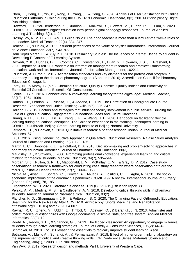Chen, T. , Peng, L. , Yin, X. , Rong, J. , Yang, J. , & Cong, G. 2020. Analysis of User Satisfaction with Online Education Platforms in China during the COVID-19 Pandemic. Healthcare, 8(3), 200. Multidisciplinary Digital Publishing Institute.

Crawford, J. , Butler-Henderson, K. , Rudolph, J. , Malkawi, B. , Glowatz, M. , Burton, R. , … Lam, S. 2020. COVID-19: 20 countries' higher education intra-period digital pedagogy responses. Journal of Applied Learning & Teaching, 3(1), 1–20.

Crosby Joy, R. M. H. 2000. AMEE Guide No 20: The good teacher is more than a lecturer-the twelve roles of the teacher. Medical Teacher, 22(4), 334–347.

Deacon, C. , & Hajek, A. 2011. Student perceptions of the value of physics laboratories. International Journal of Science Education, 33(7), 943–977.

Doni Septu Marsa, I. , & Yuyun, F. 2018. Preliminary Studies: The Influences of Internet Usage by Student in Developing E-Content of E-Learning System.

Dwivedi, Y. K. , Hughes, D. L. , Coombs, C. , Constantiou, I. , Duan, Y. , Edwards, J. S. , … Prashant, P. 2020. Impact of COVID-19 Pandemic on information management research and practice: Transforming education, work and life. International Journal of Information Management, 102211.

Education, A. C. for P . 2015. Accreditation standards and key elements for the professional program in pharmacy leading to the doctor of pharmacy degree. (Standards 2016). Accreditation Council for Pharmacy Education Chicago, IL.

Fathy, N. , & Morsy, S. (n.d.). Chemical Structure, Quality Chemical Quality Indices and Bioactivity of Essential Oil Constituents Essential Oil Constituents.

Goldie, J. G. S. 2016. Connectivism: A knowledge learning theory for the digital age? Medical Teacher, 38(10), 1064–1069.

Haritani, H. , Febriani, Y. , Puspita, T. , & Arviana, E. 2019. The Correlation of Undergraduate Course Research Experience and Critical Thinking Skills. 5(6), 336–347.

Holland, B. 2019. Factors and strategies that influence faculty involvement in public service. Building the Field of Higher Education Engagement: Foundational Ideas and Future Directions.

Huang, R. H. , Liu, D. J. , Tlili, A. , Yang, J. F. , & Wang, H. H. 2020. Handbook on facilitating flexible learning during educational disruption: The Chinese experience in maintaining undisrupted learning in COVID-19 Outbreak. Beijing: Smart Learning Institute of Beijing Normal University.

Kemparaj, U. , & Chavan, S. 2013. Qualitative research: a brief description. Indian Journal of Medical Sciences, 67.

Liu, L. 2016. Using Generic Inductive Approach in Qualitative Educational Research: A Case Study Analysis. Journal of Education and Learning, 5(2), 129–135.

Martin, L. C. , Donohoe, K. L. , & Holdford, D. A. 2016. Decision-making and problem-solving approaches in pharmacy education. American Journal of Pharmaceutical Education, 80(3).

Maudsley, G. , & Strivens, J. 2000. Promoting professional knowledge, experiential learning and critical thinking for medical students. Medical Education, 34(7), 535–544.

Morgan, S. J. , Pullon, S. R. H. , Macdonald, L. M. , McKinlay, E. M. , & Gray, B. V. 2017. Case study observational research: A framework for conducting case study research where observation data are the focus. Qualitative Health Research, 27(7), 1060–1068.

Nicola, M. , Alsafi, Z. , Sohrabi, C. , Kerwan, A. , Al-Jabir, A. , Iosifidis, C. , … Agha, R. 2020. The socioeconomic implications of the coronavirus pandemic (COVID-19): A review. International Journal of Surgery (London, England), 78, 185.

Organization, W. H. 2020. Coronavirus disease 2019 (COVID-19): situation report, 88.

Persky, A. M. , Medina, M. S. , & Castleberry, A. N. 2019. Developing critical thinking skills in pharmacy students. American Journal of Pharmaceutical Education, 83(2).

Plancher, K. D. , Shanmugam, J. P. , & Petterson, S. C. 2020. The Changing Face of Orthopedic Education: Searching for the New Reality After COVID-19. Arthroscopy, Sports Medicine, and Rehabilitation. https://doi.org/10.1016/j.asmr.2020.04.007

Rayhan, R. U. , Zheng, Y. , Uddin, E. , Timbol, C. , Adewuyi, O. , & Baraniuk, J. N. 2013. Administer and collect medical questionnaires with Google documents: a simple, safe, and free system. Applied Medical Informatics, 33(3): 12.

Roehl, A. , Reddy, S. L. , & Shannon, G. J. 2013. The flipped classroom: An opportunity to engage millennial students through active learning strategies. Journal of Family & Consumer Sciences, 105(2): 44–49. Schmoker, M. 2018. Focus: Elevating the essentials to radically improve student learning. Ascd.

Setiawan, A. , Malik, A. , Suhandi, A. , & Permanasari, A. 2018. Effect of higher order thinking laboratory on the improvement of critical and creative thinking skills. IOP Conference Series: Materials Science and Engineering, 306(1), 12008. IOP Publishing.

Van Wyk, B. 2012. Research design and methods Part I. University of Western Cape.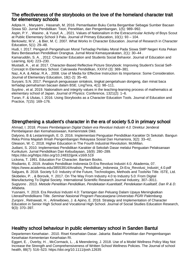#### The effectiveness of the storybooks on the love of the homeland character trait for elementary schools

Adipta H. , Maryaeni , Hasanah, M. 2016. Pemanfaatan Buku Cerita Bergambar Sebagai Sumber Bacaan Siswa SD. Jurnal Pendidikan: Teori, Penelitian, dan Pengembangan, 1(5): 989–992.

Aspin, P.Y. , Wasino , & Yusuf, A. , 2021. Values of Nationalism in the Extracurricular Activity of Boys Scout at Public Elementary School 3 Palu. Journal of Primary Education, 10(1): 93 – 104.

Berkowitz, M.V. , & Bier, M. C. 2007. What Works In Character Education. Journal of Research in Character Education, 5(1): 29–48.

Hudi, I. 2017. Pengaruh Pengetahuan Moral Terhadap Perilaku Moral Pada Siswa SMP Negeri Kota Pekan Baru Berdasarkan Pendidikan Orangtua. Jurnal Moral Kemasyarakatan, 2(1): 30–44 .

Kamaruddin, S. A. , 2012. Character Education and Students Social Behavior. Journal of Education and Learning, 6(4): 223–230.

Mustadi, A. , et al. 2017. Character-Based Reflective Picture Storybook: Improving Student's Social Self-Concept In Elementary School. Cakrawala Pendidikan, XXXVI (3): 369–381.

Naz, A.A. & Akbar, R.A. , 2008. Use of Media for Effective Instruction its Importance: Some Consideration. Journal of Elementary Education, 18(1-2): 35–40.

Suryani, S.N. 2017. Pengaruh penguasaan sintaksis, tingkat pengetahuan dongeng, dan minat baca terhadap pemahaman bacaan dalam BSE. LingTera, 4(1): 98–111.

Suyitno , et al. 2019. Nationalism and integrity values in the teaching-learning process of mathematics at elementary school of Japan. Journal of Physics: Conference, 1321(2): 1–6.

Turan, F. & Ulutas, I. 2016. Using Storybooks as a Character Education Tools. Journal of Education and Practice, 7(15): 169–176.

## Strengthening a student's character in the era of society 5.0 in primary school

Ahmad, I. 2018. Proses Pembelajaran Digital Dalam era Revolusi Industri 4.0. Direktur Jenderal Pembelajaran dan Kemahasiswaan, Kemenristek Dikti.

Dalyono, B & Lestariningsih, E. D. 2016. Implementasi Penguatan Pendidikan Karakter Di Sekolah. Bangun Reka Prima Majalah Ilmiah Pengembangan Rekayasa Sosial Dan Humaniora, 3(2): 33–42.

Gleason, W. C. 2018. Higher Education in The Fourth Industrial Revolution. McMillan.

Judiani, S. 2010. Implementasi Pendidikan Karakter di Sekolah Dasar melalui Penguatan Pelaksanaan Kurikulum. Jurnal Pendidikan Dan Kebudayaan, 16(9): 280–289.

https://doi.org/https://doi.org/10.24832/jpnk.v16i9.519

Lickona, T. 1991. Education For Character. Bantam Books.

Risdianto, E. 2019. Analisis Pendidikan Indonesia Di Era Revolusi Industri 4.0. Akademia, 07.

https://www.academia.edu/38553914/Analisis\_Pendidikan\_Indonesia\_Di-Era\_Revolusi\_Industri\_4.0.pdf Salgues, B. 2018. Society 5.0: Industry of the Future, Technologies, Methods and ToolsNo Title. ISTE, Ltd. Skobelev, P. , & Borovik, Y. 2017. On The Way From Industry 4.0 to Industry 5.0: From Digital Manufacturing To Digital Society. International Scientific Research Journal Industry, 307–3011.

Sugiyono . 2013. Metode Penelitian Pendidikan, Pendekatan Kuantitatif, Pendekatan Kualitatif, Dan R & D. Alfabeta.

Yusnaini, Y. 2019. Era Revolusi Industri 4.0: Tantangan dan Peluang Dalam Upaya Meningkatkan LiterasiPendidikano Title. Seminar Nasional Program Pascasarjana Universitas PGRI Palembang. Zurqoni , Retnawati, H. , Arlinwibowo, J. & Apino, E. 2018. Strategy and Implementation of Character Education in Senior High School and Vocational High School. Journal of Social Studies Education Research, 9(3): 370–397.

# Healthy school behaviour in public elementary school in Sanden Bantul

Departemen Kesehatan . 2010. Riset Kesehatan Dasar. Jakarta: Badan Penelitian dan Pengembangan Kesehatan Kementerian Kesehatan RI.

Eggert, E. , Overby, H. , McCormack, L. , & Meendering, J. 2018. Use of a Model Wellness Policy May Not Increase the Strength and Comprehensiveness of Written School Wellness Policies. The Journal of school health, 88(7): 516–523. https://doi.org/10.1111/josh.12635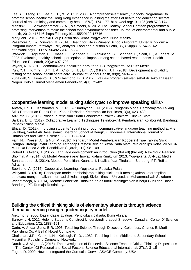Lee, A. , Tsang, C. , Lee, S. H. , & To, C. Y. 2003. A comprehensive "Healthy Schools Programme" to promote school health: the Hong Kong experience in joining the efforts of health and education sectors. Journal of epidemiology and community health, 57(3): 174–177. https://doi.org/10.1136/jech.57.3.174 Mensink, F. , Schwinghammer, S. A. , & Smeets, A. 2012. The Healthy School Canteen programme: a promising intervention to make the school food environment healthier. Journal of environmental and public health, 2012, 415746. https://doi.org/10.1155/2012/415746

Maryuani . 2013. Perilaku Hidup Bersih dan Sehat. Yogyakarta: Nuha Medika.

Passmore, S., & Donovan, M. (2014). Health for Life in Primary Schools Program, United Kingdom: a Program Impact Pathways (PIP) analysis. Food and nutrition bulletin, 35(3 Suppl), S154–S162. https://doi.org/10.1177/15648265140353S209

Warwick, I. , Aggleton, P. , Chase, E. , Schagen, S. , Blenkinsop, S. , Schagen, I. , Scott, E. , & Eggers, M. 2005. Evaluating healthy schools: perceptions of impact among school-based respondents. Health Education Research, 20(6): 697–708.

Wiyani, N. A. 2013. Membumikan Pendidikan Karakter di SD. Yogyakarta: Ar-Ruzz Media.

Yun, Y. H. , Kim, Y. , Sim, J. A. , Choi, S. H. , Lim, C. , & Kang, J. H. (2018). Development and validity testing of the school health score card. Journal of School Health, 88(8), 569–575.

Zubaidah, S. , Ismanto, B. , & Sulasmono, B. S. 2017. Evaluasi program sekolah sehat di Sekolah Dasar Negeri. Kelola: Jurnal Manajemen Pendidikan, 4(1): 72–82.

## Cooperative learning model talking stick type: To improve speaking skills?

Antara, I. N. P. , Kristiantari, M. G. R. , & Suadnyana, I. N. (2019). Pengaruh Model Pembelajaran Talking Stick Berbantuan Rubrik Surat Kabar Terhadap Keterampilan Berbicara, 3(4), 423–430.

Arikunto, S. (2016). Prosedur Penelitian Suatu Pendekatan Praktek. Jakarta: Rineka Cipta.

Barkley, E. E. (2012). Collaborative Learning Techniques Teknik-teknik Pembelajaran Kolaboratif. Bandung: Penerbit Nusa Media.

Efrizal, D. (2012). Improving students ' speaking through communicative language teaching method at Mts Ja-alhaq, Sentot Ali Basa Islamic Boarding School of Bengkulu, Indonesia. International Journal of Hhmanities and Social Science, 2(20), 127–134.

Fajri, N. , Yoesef, A. , & Nur, M. (2016). Pengaruh Model Pembelajaran Kooperatif Tipe Talking Stick Dengan Strategi Joyful Learning Terhadap Prestasi Belajar Siswa Pada Mata Pelajaran Ips Kelas VII MTSN Meuraxa Banda Aceh. Pendidikan Sejarah, 1(1), 98–109.

Robert E. Owens, J. (2012). Language development: an introduction (8rd ed) (8rd ed). New York: Pearson. Shoimin, A. (2014). 68 Model Pembelajaran Inovatif dalam Kurikulum 2013. Yogyakarta: Ar-Ruzz Media. Suharsaputra, U. (2014). Metode Penelitian: Kuantitatif, Kualitatif dan Tindakan. Bandung: PT. Refika Aditama.

Suprijono, A. (2015). Cooperative Learning. Yogyakarta: Pustaka Pelajar.

Widiyanti, D. (2018). Penerapan model pembelajaran talking stick untuk meningkatkan keterampilan berbicara menyampaikan informasi di kelas tinggi. Skripsi thesis: Universitas Muhammadiyah Sukabumi. Wiriaatmadja, R. (2014). Metode Penelitian Tindakan Kelas untuk Meningkatkan Kinerja Guru dan Dosen. Bandung: PT. Remaja Rosdakarya.

## Building the critical thinking skills of elementary students through science thematic learning using a guided inquiry model

Arikunto, S. 2006. Dasar-dasar Evaluasi Pendidikan. Jakarta: Bumi Aksara.

Barrow, L.H. 2012. Helping Students Construct Understanding about Shadows. Canadian Center 0f Science and Education, 1(2): 1888–191.

Carin, A. A. dan Sund, B.R. 1995. Teaching Science Through Discovery. Columbus: Charles E, Meril Publishing Co. A Bell & Howel Company.

Challahan. J.R. , Clark., L.H. , Kellough. R. D. , 1982. Teaching in the Middle and Secondary Schools. Macmillan Pubishing Company. Newyork.

Duruk, U & Akgun, A (2016). The Investigation of Preservice Science Teacher Critical Thinking Dispositions In The Context Of Personal and Social Factors. Science Educational International. 27(1): 3–15 Fogarti R. 2009. How to Integrated the Curricula. Corwin ASAGE Company: USA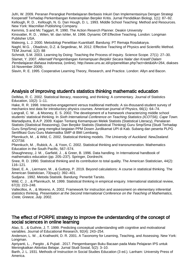Jufri, W. 2009. Peranan Perangkat Pembelajaran Berbasis Inkuiri Dan Implementasinya Dengan Strategi Kooperatif Terhadap Perkembangan Keterampilan Berpikir Kritis. Jurnal Pendidikan Biologi, 1(1): 87–92. Kellough, R. D. , Kellough, N. G. Dan Hough, D. L. 1993. Middle School Teaching: Method and Resources. New York: Macmillan Publishing Company.

Kemmis, S and Mc Taggart, R. 1990. The Action Reserch Planner. Deakin University Kinsvatter, R. D. , Wilen, W. dan Ishler, M. 1996. Dynamic Off Effective Teaching. London: Longman Publisher USA.

Maleong, L. J. 2000. Metodologi Penelitian Kuantitatif. Bandung: PT Remaja Rosdakarya. Naghl, M.G. , Obadovic, D.Z. & Segedinac, M. 2012. Effective Teaching of Physics and Scientific Method.

TEM Journal, 1(2): 88 Schmidt, S.M. 2003. Learning by Doing: Teaching the Process of Inquiry. Science Scope. 27(1): 27–30. Slamet, Y. 2007. Alternatif Pengembangan Kemampuan Berpikir Secara Nalar dan Kreatif Dalam Pembelajaran Bahasa Indonesia, (online), http://www.uns.ac.id/cp/penelitian.php?act=det&idA=264, diakses 16 November 2009).

Slavin, R. E. 1995. Cooperative Learning Theory, Research, and Practice. London: Allyn and Bacon.

## Analysis of improving student's statistics thinking mathematic education

DelMas, R. C. 2002. Statistical literacy, reasoning, and thinking: A commentary. Journal of Statistics Education, 10(2): 1–11.

Hake, R. R. 1998. Interactive-engagement versus traditional methods: A six-thousand-student survey of mechanics test data for introductory physics courses. American journal of Physics, 66(1): 64–74.

Langrall, C. W. , & Mooney, E. S. 2002. The development of a framework characterizing middle school students' statistical thinking. In Sixth International Conference on Teaching Statistics (ICOTS6), Cape Town. Martadiputra, B.A.P. 2009. Kajian Tentang Kemampuan Melek Statistis (Statistical Literacy), Penalaran Statistis (Statistical Reasoning), Dan Berpikir Statistis (Statistical Thinking) Guru Smp/Sma (Studi Terhadap Guru Smp/Sma) yang mengikut kegiatan PPM Dosen Jurdikamat UPI di Kab. Subang dan peserta PLPG Sertifikasi Guru Guru Matematika SMP di BMI Lembang.

Pfannkuch, M. , & Wild, C. 2002. Statistical thinking models. The University of Auckland. NewZealand. ICOTS6.

Pfannkuch, M. , Rubick, A. , & Yoon, C. 2002. Statistical thinking and transnumeration. Mathematics Education in the South Pacific, 567–574.

Shaughnessy, J. M. , Garfield, J. , & Greer, B. 1996. Data handling. In International handbook of mathematics education (pp. 205–237). Springer, Dordrecht.

Snee, R. D. 1990. Statistical thinking and its contribution to total quality. The American Statistician, 44(2): 116–121.

Steel, E. A. , Liermann, M. , & Guttorp, P. 2019. Beyond calculations: A course in statistical thinking. The American Statistician, 73(sup1): 392–401.

Sudjana . 1992. Metoda Statistik. Bandung: Penerbit Tarsito.

Wild, C. J. , & Pfannkuch, M. 1999. Statistical thinking in empirical enquiry. International statistical review, 67(3): 223–248.

Vallecillos, A. , & Moreno, A. 2002. Framework for instruction and assessment on elementary inferential statistics thinking. Presentation at the Second International Conference on the Teaching of Mathematics, Crete, Greece, July. 2002.

#### The effect of PORPE strategy to improve the understanding of the concept of social sciences in online learning

Alao, S. , & Guthrie, J. T. 1999. Predicting conceptual understanding with cognitive and motivational variables. Journal of Educational Research, 92(4): 243–254.

Anderson, L. W. , & Krathwohl, D. R. 2001. A Taxonomy for Learning, Teaching, and Assessing. New York: Longman.

Apriyanti, L. , Pargito , & Pujiati . 2017. Pengembangan Buku Bacaan pada Mata Pelajaran IPS untuk Meningkatkan Aktivitas Belajar. Jurnal Studi Sosial, 5(2): 3–10.

Barth, J. L. 1931. Methods of Instruction in Social Studies Education (3 ed.). Lanham: University Press of America.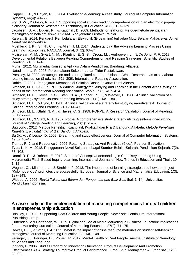Cappel, J. J. , & Hayen, R. L. 2004. Evaluating e-learning: A case study. Journal of Computer Information Systems, 44(4): 49–56.

Fry, S. W. , & Gosky, R. 2007. Supporting social studies reading comprehension with an electronic pop-up dictionary. Journal of Research on Technology in Education, 40(2): 127–139.

Jacobsen, D. A. , Eggen, P. , & Kauchak, D. 2009. Methods for teahcing: Metode-metode pengajaran meningkatkan belajarn siswa TK-SMA. Yogyakarta: Pustaka Pelajar.

Karwati, E. 2014. Pengaruh Pembelajaran Elektronik (E-Learning) terhadap Mutu Belajar Mahasiswa. Jurnal Penelitian Komunikasi.

Muehleck, J. K. , Smith, C. L. , & Allen, J. M. 2014. Understanding the Advising Learning Process Using Learning Taxonomies. NACADA Journal, 34(2): 63–74.

Muijselaar, M. M. , Swart, N. M. , Planting, E. G. S. , Droop, M. , Verhoeven, L. , & De Jong, P. F. 2017. Developmental Relations Between Reading Comprehension and Reading Strategies. Scientific Studies of Reading, 21(3): 1–16.

Munir . 2012. Multimedia Konsep & Aplikasi Dalam Pendidikan. Bandung: Alfabeta.

Natadjumena, R. 2006. Perpustakaan Sekolah-Lahan Tidur Pustakawan.

Pressley, M. 2002. Metacognition and self-regulated comprehension. In What Reserach has to say about reading instruction (3 ed., hal. 291–309). International Reading Association.

Rahim, F. 2007. Pengajaran Membaca di Sekolah Dasar. Jakarta: Bumi Aksara.

Simpson, M. L. 1986. PORPE: A Writing Strategy for Studying and Learning in the Content Areas. Wiley on behalf of the International Reading Association Stable, 29(5): 407–414.

Simpson, M. L. , Hayes, C. G. , Stahl, N. A. , Connor, R. T. , & Weaver, D. 1988. An initial validation of a study strategy system. Journal of reading behavior, 20(2): 149–180.

Simpson, M. L. , & Hynd, C. 1988. An initial validation of a strategy for studying narrative text. Journal of College Reading and Learning, 21(1): 41–47.

Simpson, M. L. , Stahl, N. A. , & Hayes, C. G. 1989. PORPE: A Research Validation. Journal of Reading, 33(1): 22–28.

Simpson, M. , & Stahl, N. A. 1987. Porpe: A comprehensive study strategy utilizing self-assigned writing. Journal of College Reading and Learning, 20(1): 51–57.

Sugiyono . 2012. Metode Penelitian Kuantitatif, Kualitatif dan R & D.Bandung:Alfabeta. Metode Penelitian Kuantitatif, Kualitatif dan R & D.Bandung:Alfabeta.

Sulčič, V., & Lesjak, D. 2009. E-learning and study effectiveness. Journal of Computer Information Systems, 49(3): 40–47.

Tierney R. J. and Readence J. 2005. Reading Strategies And Practices (6 ed.). Pearson Education. Tyas, K. K. M. 2018. Penggunaan Novel Sejarah sebagai Sumber Belajar Sejarah. Pendidikan Sejarah, 7(2): 85–103.

Utami, R. P. , & Rohaeti, E. 2019. Students' Concept Understanding in Chemistry Learning Using Macromedia Flash Based Inquiry Learning. International Journal on New Trends in Education and Their, 10, 1–12.

Wegner, C. , Minnaert, L. , & Strehlke, F. 2013. The importance of learning strategies and how the project "Kolombus-Kids" promotes the successfully. European Journal of Science and Mathematics Education, 1(3): 137–143.

Widodo, A. 2006. Revisi Taksonomi Bloom dan Pengembangan Butir Soal (hal. 1–14). Universitas Pendidikan Indonesia.

#### A case study on the implementation of marketing competencies for deaf children in entrepreneurship education

Brinkley, D. 2011. Supporting Deaf Children and Young People. New York: Continuum International Publishing Group.

Crittenden, V & Crittenden, W. 2015. Digital and Social Media Marketing in Business Education: Implications for the Marketing Curriculum. Journal of Marketing Education. 37(2): 71– 75.

Dowell, D.J. , & Small, F.A. 2011. What is the impact of online resource materials on student self-learning strategies? Journal of Marketing Education, 33: 140–148.

Fellinger, J. , Holzinger, D. , Pollard, R. 2012. Mental Health of Deaf People. Austria: Institute of Neurology of Senses and Language

Indriani, F. 2006. Studies Regarding Innovation Orientation, Product Development And Promotion Effectiveness As A Strategy To Improve Product Performance. Jurnal Studi Manajemen & Organisasi, 3(2): 82–92.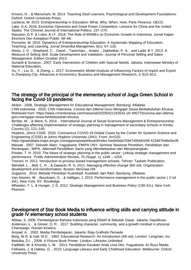Knoors, H. , & Marschark, M. 2014. Teaching Deaf Learners: Psychological and Development Foundations. Oxford: Oxford University Press.

Lackeus, M. 2015. Entrepreneurship in Education: What, Why, When, How. Paris Perancis: OECD. Lake, D.A. 2018. Economic Openness and Great Power Competition: Lessons for China and the United States. The Chinese Journal of International Politics. 237–270.

Nasution, D.P. & Lubis, A.I.F. 2018. The Role of MSMEs on Economic Growth in Indonesia. Jurnal Kajian Ekonomi Dan Kebijakan Publik. 58–66.

Purnomo, M. 2015. Dynamics of Entrepreneurship Education: A Systematic Mapping of Education, Teaching, and Learning. Jurnal Dinamika Manajemen, 6(1): 97–120.

Rentz, J. O. , Shepherd, C. , David ., Tashchian ., Araien ., Dabholkar, P. A. , and Ladd, R.T. 2013. A Measure of Selling Skill: Scale Development and Validation. Journal of Personal Selling and Sales Management. Edition October 2013.

Sunardi & Sunaryo . 2007. Early Intervention of Children with Special Needs. Jakarta: Indonesian Ministry of National Education.

Xu, Y. , Liu, D. , & Zheng, L. 2017. Econometric Model Analysis of Influencing Factors of Import and Export in Zhanjiang City. Advances in Economics, Business and Management Research, 3: 810–813.

#### The strategy of the principal of the elementary school of Jogja Green School in facing the Covid-19 pandemic

Akdon . 2006. Strategic Management for Educational Management. Bandung: Alfabeta CNN Indonesia . 2020. CNN Indonesia. Corona dan Dilema Guru Mengajar Siswa Berkebutuhan Khusus. Retrieved from: https://www.cnnindonesia.com/nasional/20200421163541-20-495770/corona-dan-dilemaguru-mengajar-siswa-berkebutuhan-khusus

Ilembe, W. , & Were, S. 2014. . International Journal of Social Sciences Management & Entrepreneurship. Challenges affecting implementation of strategic planning in management of secondary schools in Kimbu Country (2), 121–140.

Hopkins, Johns CSSE. 2020. Coronavirus COVID-19 Global Cases by the Center for Systems Science and Engineering (CSSE) at Johns Hopkins University (JHU). From: ArcGIS:

https://gisanddata.maps.arcgis.com/apps/opsdashboard/index.html#/bda7594740fd40299 423467b48e9ecf6 Maryati . 2007. Sekolah Alam. Yogyakarta: FMIPA UNY. Seminar Nasional Penelitian, Pendidikan dan Penerapan., MIPA. Alternatif Pendidikan Sains yang Membebaskan dan Menyenangkan.

Poister, T. H. 2010. The future of strategic planning in the public sector: Linking strategic management and performance . Public Administration Review, 70 (Suppl. 1), s246 – s254.

Toorani, H. 2012. Introduction to process-based management schools. Tehran: Tazkieh Publication.

Wendell, L. , Bell, C. H. , & Zawacki, R. A. 2011. Managing effective change (6th ed). Organization development and transformation. Boston: McGraw-Hill.

Sugiyono . 2014. Metode Penelitian Kuantitatif, Kualitatif, dan R&D. Bandung. Alfabeta.

Van Dooren, W. , Bouckaert, G. , & Halligan, J. 2015. Performance management in the public sector ( 2 nd Ed.). New York, NY: Routledge.

Wheelen, T. L. & Hunger, J. D. 2012. Strategic Management and Business Policy (13th Ed.). New York: Pearson

#### Development of Star Book Media to influence writing skills and carrying attitude in grade IV elementary school students

Abbas, S. 2006. Pembelajaran Bahasa Indonesia yang Efektif di Sekolah Dasar. Jakarta: Depdiknas. Anderson, L. , & Glover, D. R. , 2017. Building character, community, and a growth mindset in physical. Champaign: Human Kinetics.

Arsyad, A. , 2002. Media Pembelajaran. Jakarta: Raja Grafindo Persada

Borg, W.R. & Gall, M.D. , 1983. Educational Research: An Introduction (4th ed). London: Longman, Inc. Matulka, D.I. , 2008. A Picture Book Primer. London: Libraries Unlimited.

Fadlillah, M. & Khorida, L. M. , 2013. Pendidikan Karakter Anak Usia Dini. Yogyakarta: Ar-Ruzz Media. Fellowes, J. & Oakley, G. , 2010. Language Literacy and Early Childhood Education. Melbourne: Oxford University Press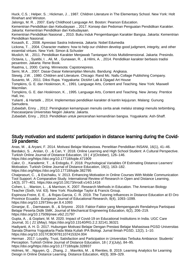Huck, C.S. ; Helper, S. ; Hickman, J. , 1987. Children Literature in The Elementary School. New York: Holt Rinehart and Winston.

Jalongo, M. R. , 2007. Early Childhood Language Art. Boston: Pearson Education.

Kementrian Pendidikan dan Kebudayaan ., 2017. Konsep dan Pedoman Penguatan Pendidikan Karakter. Jakarta: Kementrian Pendidikan dan Kebudayaan.

Kementrian Pendidikan Nasional ., 2010. Buku Induk Pengembangan Karakter Bangsa. Jakarta: Kementrian Pendidikan Nasional.

Kosasih, E. , 2008. Apresiasi Sastra Indonesia. Jakarta: Nobel Edumedia

Lickona, T. , 2004. Character matters: how to help our children develop good judgment, integrity, and other essential virtues. New York: Simon & Schuster

Muslich, M. , 2011. Pendidikan Karakter Menjawab Tantangan Krisis Multidimensional. Jakarta: Presindo. Octavia, L. , Syatibi, I. , Ali, M. , Gunawan, R. , & Hilmi, A. , 2014. Pendidikan karakter berbasis tradisi pesantren. Jakarta: Rene Book.

Raatma, L. 2000. Caring. Minnesota: Capstonepress.

Semi, M.A. , 2007. Dasar-Dasar Keterampilan Menulis. Bandung: Angkasa.

Stewig. J.W. , 1980. Children and Literature. Chicago: Rand Mc. Nallu Collage Publishing Company.

Susanto, M. , 2011. Diksi Rupa. Yogyakarta: DictiArt Lab & Djagad Art House

Tompkins, G. E. dan Hoskinson, K. , 1991. Language Arts, Content and Teaching. New York: Maxwell Macmilan.

Tompkins, G. E. dan Hoskinson, K. , 1995. Language Arts, Content and Teaching. New Jersey. Prentice Hall, Inc.

Yulianti , & Hartatik ., 2014. Implementasi pendidikan karakter di kantin kejujuran. Malang: Gunung Samudera.

Zubaidah, Enny ., 2012. Peningkatan kemampuan menulis cerita anak melalui strategi menulis terbimbing. Pascasarjana Universitas Negeri Jakarta: Jakarta.

Zubaidah, Enny ., 2013. Pendidikan untuk pencerahan kemandirian bangsa. Yogyakarta: Ash-Shaff.

#### Study motivation and students' participation in distance learning during the Covid-19 pandemic

Anas, M. , & Aryani, F. 2014. Motivasi Belajar Mahasiswa. Penelitian Pendidikan INSANI, 16(1), 41–46. Bardakci, S. , Arslan, O. , & Can, Y. 2018. Online Learning and High School Student: A Cultural Perspective. Turkish Online Journal of Distance Education, 19 ( 4 )(October), 126–146. https://doi.org/https://doi.org/10.17718/tojde.471909

Cakır, O. , Karademir, T. , & Erdogdu, F. 2018. Psychological Variables Of Estimating Distance Learners' Motivation. Turkish Online Journal of Distance Education, 19(1), 163–182.

https://doi.org/https://doi.org/10.17718/tojde.382795

Chaiprasurt, C. , & Esichaiku, V. 2013. Enhancing Motivation in Online Courses With Mobile Communication Tool Support: A Comparative Study. International Review of Research in Open and Distance Learning, 14(3), 377–401. https://doi.org/10.19173/irrodl.v14i3.1416

Cohen, L. , Manion, L. , & Marrison, K. 2007. Research Methods in Education. The American Biology Teacher (Sixth, Vol. 63). New York: Routledge Taylor & Francis Group.

Espinoza-Freire, E. E. , & Rojas-Garcia, C. R. 2019. The Tutoring Influences in Distance Education at El Oro Province Ecuador. European Journal of Educational Research, 8(4), 1093–1099. https://doi.org/10.12973/eu-jer.8.4.1093

Ginanjar, E. , Darmawan, B. , & Sriyono . 2019. Faktor-Faktor yang Mempengaruhi Rendahnya Partisipasi Belajar Peserta Didik SMK. Journal of Mechanical Engineering Education, 6(2), 206–219. https://doi.org/10.17509/jmee.v6i2.21797

Gupta, A. , & Goplani, M. M. 2020. Impact of Covid-19 on Educational Institutions in India. UGC Care Journal, 31 ( 21 )(May). https://doi.org/10.13140/RG.2.2.32141.36321

Hadiyanti, A. H. D. 2017. Hubungan Motivasi Belajar Dengan Prestasi Belajar Mahasiswa PGSD Universitas Sanata Dharma Yogyakarta Pada Mata Kuliah IPA Biologi. Jurnal Ilmiah PGSD, 12(2), 1–10. https://doi.org/10.1017/CBO9781107415324.004

Herman . 2017. Loyality, Trust, Satisfaction and Participation in Universitas Terbuka Ambiance: Students' Perception. Turkish Online Journal of Distance Education, 18 ( 3 )(July), 84–95. https://doi.org/https://doi.org/10.17718/tojde.328937

Holmes, W. , Nguyen, Q. , Zhang, J. , Mavrikis, M. , & Rienties, B. 2019. Learning Analytics for Learning Design in Online Distance Learning. Distance Education, 40(3), 309–329.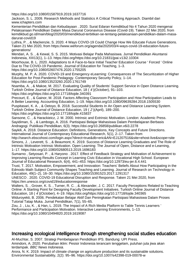https://doi.org/10.1080/01587919.2019.1637716

Jackson, S. L. 2009. Research Methods and Statistics A Critical Thinking Approach. Diambil dari www.ichapters.com

Kementerian Pendidikan dan Kebudayaan . 2020. Surat Edaran Kemdikbud No 4 Tahun 2020 mengenai Pelaksanaan Pendidikan Dalam Masa Darurat Coronavirus Disease (Covid-19). Taken 22 Mei 2020, from kemdikbud.go.id/main/blog/2020/03/mendikbud-terbitkan-se-tentang-pelaksanaan-pendidikan-dalam-masadarurat-covid19

Luthra, P. , & Mackenzie, S. 2020. 4 Ways COVID-19 Could Change How We Educate Future Generations. Taken 21 Mei 2020, from https://www.weforum.org/agenda/2020/03/4-ways-covid-19-education-futuregenerations/

Mendari, A. S. , & Kewal, S. S. 2015. Motivasi Belajar Pada Mahasiswa. Jurnal Pendidikan Akuntansi Indonesia, XIII13(1), 1–13. https://doi.org/https://doi.org/10.21831/jpai.v13i2.10304

Moorhouse, B. L. 2020. Adaptations to A Face-to-face Initial Teacher Education Course ' Forced ' Online Due to The COVID-19 Pandemic. Journal of Education for Teaching, 1–3.

https://doi.org/10.1080/02607476.2020.1755205

Murphy, M. P. A. 2020. COVID-19 and Emergency eLearning: Consequences of The Securitization of Higher Education for Post-Pandemic Pedagogy. Contemporary Security Policy, 1–14. https://doi.org/10.1080/13523260.2020.1761749

Nsamba, A. , & Makoe, M. 2017. Evaluating Quality of Students' Support Service in Open Distance Learning. Turkish Online Journal of Distance Education, 18 ( 4 )(October), 91–103.

https://doi.org/https://doi.org/10.17718/tojde.340391

Precourt, E. , & Gainor, M. 2018. Factors Affecting Classroom Participation and How Participation Leads to A Better Learning. Accounting Education, 1–19. https://doi.org/10.1080/09639284.2018.1505530

Puspitasari, K. A. , & Oetoyo, B. 2018. Successful Students In An Open and Distance Learning System. Turkish Online Journal of Distance Education, 19 ( 2 )(April), 189–200.

https://doi.org/https://doi.org/10.17718/tojde.415837

Sansone, C. , & Harackieicz, J. M. 2000. Intrinsic and Extrinsic Motivation. London: Academic Press. Sayidiman, S. , & Lambogo, A. 2016. Partisipasi Belajar Mahasiswa Dalam Pembelajaran Berbasis Andragogi. Publikasi Pendidikan, 6(3). https://doi.org/10.26858/publikan.v6i3.2278

Saykili, A. 2018. Distance Education: Definitions, Generations, Key Concepts and Future Directions. International Journal of Contemporary Educational Research, 5(1), 2–17. Taken from

http://search.ebscohost.com/login.aspx?direct=true&db=eric&AN=EJ1207516&site=ehost-live&scope=site Simons, J. , Leverett, S. , & Beaumont, K. 2019. Success of Distance Learning Graduates and The Role of

Intrinsic Motivation Intrinsic Motivation. Open Learning: The Journal of Open, Distance and e-Learning, 1–17. https://doi.org/10.1080/02680513.2019.1696183

Sumarno , Setyosari, P. , & Haryono . 2017. Effect of Feedback Strategy and Motivation of Achievement to Improving Learning Results Concept in Learning Civic Education in Vocational High School. European Journal of Educational Research, 6(4), 441–453. https://doi.org/10.12973/eu-jer.6.4.441

Trust, T. 2017. Motivation, Empowerment, and Innovation: Teachers' Beliefs About How Participating in the Edmodo Math Subject Community Shapes Teaching and Learning. Journal of Research on Technology in Education, 49(1–2), 16–30. https://doi.org/10.1080/15391523.2017.1291317

UNESCO . 2020. COVID-19 Educational Disruption and Response. Taken 21 Mei 2020, from https://en.unesco.org/covid19/educationresponse

Walters, S. , Grover, K. S. , Turner, R. C. , & Alexander, J. C. 2017. Faculty Perceptions Related to Teaching Online: A Starting Point for Designing Faculty Development Initiatives. Turkish Online Journal of Distance Education, 18 ( 4 )(October), 4–19. https://doi.org/https://doi.org/10.17718/tojde.340365

Widuroyekti, B. 2006. Pendekatan Belajar Aktif Dan Peningkatan Partisipasi Mahasiswa Dalam Proses Tutorial Tatap Muka. Jurnal Pendidikan, 7(1), 55–65.

Zou, J. , Liu, K. , & Han, L. 2019. The Impact of A Rich Media Platform to Table Tennis Learners ' Performance and Participation Motivation. Interactive Learning Environments, 1–13. https://doi.org/10.1080/10494820.2019.1619087

## Increasing ecological intelligence through strengthening social studies education

Al-Muchtar, S. 2007. Strategi Pembelajaran Pendidikan IPS. Bandung: UPI Press. Amindoni, A. 2020. Perubahan iklim: Pesisir Indonesia terancam tenggelam, puluhan juta jiwa akan terdampak. BBC News Indonesia.

Arora, N. K. 2019. Impact of climate change on agriculture production and its sustainable solutions. Environmental Sustainability, 2(2): 95–96. https://doi.org/10.1007/s42398-019-00078-w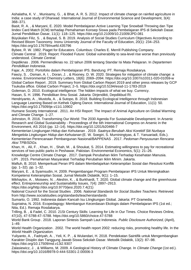Ashalatha, K. V. , Munisamy, G. , & Bhat, A. R. S. 2012. Impact of climate change on rainfed agriculture in India: a case study of Dharwad. International Journal of Environmental Science and Development, 3(4): 368–371.

Basit, R. A. , & Maryani, E. 2020. Model Pembelajaran Active Learning Tipe Snowball Throwing dan Tipe Iindex Card Match (ICM) terhadap Pemahaman Konsep Siswa pada Pembelajaran IPS di Sekolah Dasar. Jurnal Pendidikan Dasar, 11(1): 118–125. https://doi.org/10.21009/10.21009/JPD.081

Büyükalan Filiz, S. , & Baysal, S. B. 2019. Analysis of Social Studies Curriculum Objectives According to Revised Bloom Taxonomy. Inonu University Journal of the Faculty of Education, 20(1): 234–253. https://doi.org/10.17679/inuefd.435796

Bybee, R. W. 1982. Piaget for Educators. Columbus: Charles E. Merrill Publishing Company.

Climate Central . 2019. Report: Flooded Future: Global vulnerability to sea-level rise worse than previously understood. Climate Central.

Depdiknas . 2006. Permendiknas no. 22 tahun 2006 tentang Standar Isi Mata Pelajaran. In Departemen Pendidikan Indonesia.

Fajar, A. 2002. Portofolio dalam Pembelajaran IPS. Bandung: PT. Remaja Rosdakarya.

Fawzy, S. , Osman, A. I. , Doran, J. , & Rooney, D. W. 2020. Strategies for mitigation of climate change: a review. Environmental Chemistry Letters, 18(6): 2069–2094. https://doi.org/10.1007/s10311-020-01059-w Global Carbon Report . 2019. Summary from Global Carbon Report 2019 and other press releases by GCP Tsukuba office. Global Carbon Project, 2–5. https://doi.org/10.5194/essd-11-1783-2019

Goleman, D. 2010. Ecological intelligence: The hidden impacts of what we buy. Currency.

Hasan, S. H. 1996. Pendidikan Ilmu Sosial. Jakarta: Dirjendikti, Depdikbud RI.

Hendriyanto, A. , Mustofa, A. , & Sutopo, B. 2018. Building Ecological Intelligence through Indonesian Language Learning Based on Kethek Ogleng Dance. International Journal of Education, 11(1): 50. https://doi.org/10.17509/ije.v11i1.10902

Humane Society International . 2011. An HSI Report: The Impact of Animal Agriculture on Global Warming and Climate Change. 1–27.

Johnston, R. 2016. Transforming Our World: The 2030 Agenda For Sustainable Development. In Arsenic Research and Global Sustainability - Proceedings of the 6th International Congress on Arsenic in the Environment, AS 2016 (pp. 12–14). https://doi.org/10.1201/b20466-7

Kementerian Lingkungan Hidup dan Kehutanan . 2019. Saatnya Berubah Aksi Korektif Siti Nurbaya Mengelola Lingkungan Hidup dan Kehutanan (E. W. Soegiri, S. Murniningtyas, & T. Yanuariadi, Eds.). Kementerian Perencanaan Pembangunan Nasional/BAPPENAS . 2017. Pedoman Penyusunan Rencana Aksi TPB/SDGs.

Khan, H. , Ali, F. , Khan, H. , Shah, M. , & Shoukat, S. 2014. Estimating willingness to pay for recreational services of two public parks in Peshawar, Pakistan. Environmental Economics, 5(1): 21–26.

Knowledge Centre Climate Change . 2017. Dampak Perubahan Iklim Terhadap Kesehatan Manusia.

LIPI . 2015. Pemahaman Masyarakat Terhadap Perubahan Iklim Minim. Jakarta.

Maftuh, B. 2010. Memperkuat Peran IPS dalam Membelajarkan Keterampilan Sosial dan Resolusi Konflik (pp. 1–32). pp. 1–32.

Maryani, E. , & Syamsudin, H. 2009. Pengembangan Program Pembelajaran IPS Untuk Meningkatkan Kompetensi Keterampilan Sosial. Jurnal Metodik Didaktik, 9(1): 1–15.

Mikhaylov, A. , Moiseev, N. , Aleshin, K. , & Burkhardt, T. 2020. Global climate change and the greenhouse effect. Entrepreneurship and Sustainability Issues, 7(4): 2897–2913.

https://doi.org/http://doi.org/10.9770/jesi.2020.7.4(21)

National Council for the Social Studies . 2006. National Standards for Social Studies Teachers. Retrieved from http://www.socialstudies.org/standards/teacherstandards

Sumarto, O. 1992. Indonesia dalam Kancah Isu LIingkungan Global. Jakarta: PT Gramedia.

Supriatna, N. 2016. Ecopedagogy: Membangun Kecerdasan Ekologis dalam Pembelajaran IPS (1st ed.; Nita, Ed.). Remaja Rosdakarya.

Trilling, B. , & Fadel, C. 2010. 21St Century Skills: Learning for Life in Our Times. Choice Reviews Online, 47(10), 47-5788-47–5788. https://doi.org/10.5860/choice.47-5788

World Bank Group . 2018. Laporan Sintesis Sampah Laut Indonesia. Public Disclosure Authorized, (April), 1–49.

World Health Organization . 2002. The world health report 2002: reducing risks, promoting healthy life. In the World Health Organization.

Yuliyanto, A. , Fadriyah, A. , Yeli, K. P. , & Wulandari, H. 2018. Pendekatan Saintifik untuk Mengembangkan Karakter Disiplin dan Tanggung Jawab Siswa Sekolah Dasar. Metodik Didaktik, 13(2): 87–98. https://doi.org/10.17509/md.v13i2.9307

Zalasiewicz, J., & Williams, M. 2009. A Geological History of Climate Change. In Climate Change (1st ed.). https://doi.org/10.1016/B978-0-444-53301-2.00006-3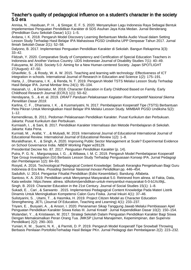### Teacher's quality of pedagogical influence on a student's character in the society 5.0 era

Annisa, N. , Hasibuan, P. H. , & Siregar, E. F. S. 2020. Menyanyikan Lagu Indonesia Raya Sebagai Bentuk Impelementasi Penguatan Pendidikan Karakter di SDS Asuhan Jaya Kota Medan. Jurnal Benderang (Pendidikan Guru Sekolah Dasar) 1(1): 1–5.

Ardana, I. K. 2018. Pengaruh Model Discovery Learning Berbantuan Media Audio Visual dalam Setting Lesson Study Terhadap Hasil Belajar IPA Mahasiswa PGSD Undiksha UPP Denpasar Tahun 2017. Jurnal Ilmiah Sekolah Dasar 2(1): 52–58.

Dalyono, B. 2017. Implementasi Penguatan Pendidikan Karakter di Sekolah. Bangun Rekaprima 3(3): 33–42.

Fildzah, Y. 2020. Comparative Study of Competency and Certification of Special Education Teachers in Indonesia and Another Various Country. IJDS Indonesian Journal of Disability Studies 7(1): 40–49. Fukuyama, M. 2018. Society 5.0: Aiming for a New Human-centered Society. Japan SPOTLIGHT 27(August): 47–50.

Ghavifekr, S. , & Rosdy, W. A. W. 2015. Teaching and learning with technology: Effectiveness of ICT integration in schools. International Journal of Research in Education and Science 1(2): 175–191.

Harta, J. , Dharsana, I. K. , & Renda, N. T. 2019. Pengaruh Model TSTS Melalui Lesson Study Terhadap Hasil Belajar IPA. Jurnal Mimbar Ilmu 24(1): 95–104.

Hasanah, U. , & Deiniatur, M. 2018. Character Education in Early Childhood Based on Family. Early Childhood Research Journal (ECRJ) 1(1): 50–62.

Hendavana, S., & et. al. 2019. DRAFT Panduan Pelaksanaan Kegiatan Riset Kompetitif Nasional Skema Penelitian Dasar 2019.

Karlina, C. F. , Dharsana, I. K. , & Kusmariyatni, N. 2017. Pembelajaran Kooperatif Tipe (TSTS) Berbantuan Peta Pikiran Untuk Meningkatkan Hasil Belajar IPA Melalui Lesson Study. MIMBAR PGSD Undiksha 5(2): 1–12.

Kemendiknas, B. 2011. Pedoman Pelaksanaan Pendidikan Karakter. Pusat Kurikulum dan Perbukuan. Jakarta: Pusat Kurikulum dan Perbukuan.

Kurniasih, I. , & Sani, B. 2017. Pendidikan Karakter Internalisasi dan Metode Pembelajaran di Sekolah. Jakarta: Kata Pena.

Kurniati, M. , Arafat, Y. , & Mulyadi, M. 2019. International Journal of Educational International Journal of Educational Review. International Journal of Educational Review 1(2): 1–8.

Muralidharan, K. , & Singh, A. 2020. Improving Public Sector Management at Scale? Experimental Evidence on School Governance India. NBER Working Paper w28129.

Presidential Decree No. 87. 2017. Penguatan Pendidikan Karakter (p. 14).

Putra, P. G. N. , Margunayasa, I. G. , & Wibawa, I. M. C. 2019. Pengaruh Model Pembelajaran Kooperatif Tipe Group Investigation (GI) Berbasis Lesson Study Terhadap Penguasaan Konsep IPA. Jurnal Pedagogi dan Pembelajaran 1(2): 84–93.

Rosyid, A. 2016. Technological Pedagogical Content Knowledge: Sebuah Kerangka Pengetahuan Bagi Guru Indonesia di Era Mea. Prosiding Seminar Nasional Inovasi Pendidikan pp. 446–454.

Sadulloh, U. 2014. Pengantar Filsafat Pendidikan (Edisi Kesembilan). Bandung: Alfabeta.

Santoso, K. A. 2019. Pendidikan untuk Menyamput Masyarakat 5.0. Retrieved from alinea. id Fakta, Data, Kata website: https://www. alinea. id/kolom/pendidikan-untuk-menyambut-masyarakat-5-0-b1XcI9ijL.

Singh, B. 2019. Character Education in the 21st Century. Journal of Social Studies 15(1): 1–8.

Sukadi, E. , Cari , & Sarwanto . 2015. Implementasi Pedagogical Content Knowledge Pada Materi Listrik Dinamis Untuk Meningkatkan Kompetensi Calon Guru Fisika. Jurnal Inkuiri 4(1): 37–46.

Sulistyarini, S. , Utami, T. , & Hasmika, H. 2019. Project Citizen Model as Character Education Strengthening. JETL (Journal Of Education, Teaching and Learning) 4(1): 233–237.

Triyani, E. , Busyairi, A. , & Ansori, I. 2020. Penanaman Sikap Tanggung Jawab Melalui Pembiasaan Apel Penguatan Pendidikan Karakter Siswa Kelas III. Jurnal Kreatif : Jurnal Kependidikan Dasar 10(2): 150–154. Wulandari, Y. , & Kristiawan, M. 2017. Strategi Sekolah Dalam Penguatan Pendidikan Karakter Bagi Siswa Dengan Memaksimalkan Peran Orang Tua. JMKSP (Jurnal Manajemen, Kepemimpinan, dan Supervisi Pendidikan) 2(2): 290–303.

Yuniari, K. M. , Suarni, N. K. , & Parmiti, D. P. 2019. Pengaruh Model Kooperatif Tipe Snowball Throwing Berbasis Penilaian PortofolioTerhadap Hasil Belajar PKn. Jurnal Pedagogi dan Pembelajaran 2(2): 223–232.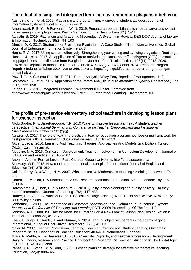# The effect of a simplified integrated learning environment on plagiarism behavior

Aasheim, C. L. , et al. 2019. Plagiarism and programming: A survey of student attitudes. Journal of information systems education 23(3): 297–313.

Ambarawati, P. E. Y. , & Purwanto, I. W. N. 2019. Pengaturan pengambilan tulisan pada karya tulis skripsi dalam menghindari plagiarisme. Kertha Semaya: Journal Ilmu Hukum 8(1): 1–12.

Awasthi, S. 2019. Plagiarism and Academic Misconduct: A Systematic Review. DESIDOC Journal of Library & Information Technology 39(2): 94–100

Dhusia, D. K. 2017. Strategies for Preventing Plagiarism - A Case Study of Top Indian Universities. Global Journal of Enterprise Information System 9(2): 84.

Harris, R. A. 2017. Using sources effectively: Strengthening your writing and avoiding plagiarism. Routledge. Hossen, J. , et al. 2017. An application of Pareto analysis and cause-and-effect diagram (CED) to examine stoppage losses: a textile case from Bangladesh. Journal of the Textile Institute 108(11): 2013–2020. Law of the Republic of Indonesia Number 28 of 2014. Hak Cipta. 16 Oktober 2014. Lembaran Negara Republik Indonesia Tahun 2014 Nomor 266. Jakarta. https://dgip.go.id/peraturan-perundang-undanganterkait-hak-cipta

Powell, T. , & Sammut-Bonnici, T. 2014. Pareto Analysis. Wiley Encyclopedia of Management, 1–2. Stojčetović, B. , et al. 2016. Application of the Pareto Analysis in. 9 th International Quality Conference (June 2015): 655–658.

Zeidan, B. A. 2018. Integrated Learning Environment ILE Editor. Retrieved from

https://www.researchgate.net/publication/327871719\_Integrated\_Learning\_Environment\_ILE

#### The profile of pre-service elementary school teachers in developing lesson plans for science instruction

AbdulGaafor, K. & UmerFarooque, T.K. 2010 Ways to improve lesson planning: A student teacher perspective. International Seminar cum Conference on Teacher Empowerment and Institutional Effectiveness November 2010: (9pg)

Aglazor, G. 2017. The role of teaching practice in teacher education programmes. Designing framework for best practice. Global Journal of Educational Research 16: 101–110

Akdeniz , et al. 2016. Learning And Teaching. Theories, Approaches And Models. 2nd Edition. Turkey: Çözüm Egitim Yayincilik.

Alsubaie, M.A. 2016. Curriculum Development: Teacher Involvement in Curriculum Development Journal of Education and Practice 7(9): 106–107

Anonim. Anonim Format Lesson Plan. Canada: Queen University. http://educ.queensu.ca Bin-Hady, W.R. 2018. How can I prepare an ideal lesson-plan? International Journal of English and Education 7(4): 275–289

Cai, J. , Perry, R. & Wong, N. Y. 2007. What is effective Mathematics teaching? A dialogue between East and

Cohen, L. , Manion, L. & Morrison, K. 2005. Research Methods in Education. 5th ed. London: Taylor & Francis

Dorovolomo, J. , Phan, H.P. & Maebuta, J. 2010. Quality lesson planning and quality delivery: Do they relate? International Journal of Learning 17(3): 447–455

Hunter, D.A. 2009. A Practical Guide Ti Critical Thinking: Deciding What To Do and Believe. New Jersey: John Wiley & Sons

Jabbarifar, T. 2009. The Importance of Classroom Assessment and Evaluation In Educational System International Conference Of Teaching And Learning (ICTL 2009) Proceedings Of The 2nd: 1-9

Johnson, A. P. 2000. It's Time for Madeline Hunter to Go: A New Look at Lesson Plan Design. Action in Teacher Education 22(3): 72–78

Khan, T. Singh, T. Hande, S. and Khumar, V. 2014. learning objectives:perfect is the enemy of good. International Journal of User-Driven Healthcare. 2 ( 3 ):45–63

Meier, M. 2007. Teacher Professional Learning, Teaching Practice and Student Learning Outcomes: Important Issues. Handbook of Teacher Education: 409–414. Netherlands: Springer

Misra, P. Mehta, R. , & Henriksen, D. 2015. Creativity, Digitality, and Teacher Professional Development: Unifying Theory, Research and Practice. Handbook Of Research On Teacher Education In The Digital Age: 691–721. USA: IGI Global

Panasuk, R. , Stone, W. & Todd, J. 2002. Lesson planning strategy for effective mathematics teaching. Education, 122(4): 808–827.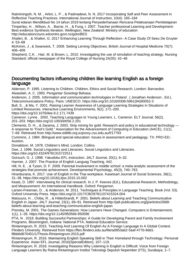Ratminingsih, N. M. , Artini, L. P. , & Padmadewi, N. N. 2017 Incorporating Self and Peer Assessment in Reflective Teaching Practices. International Journal of Instruction, 10(4): 165–184

Surat edaran Mendikbud No 14 tahun 2019 tentang Penyederhanaan Rencana Pelaksanaan Pembelajaran Timperley, H. , Wilson, A. , Barrar, H. , & Fung, I. 2007. Teacher professional Learning and Development: Best evidence Synthesis Iteration. Wellington, New Zealand: Ministry of education http://educationcouns.edcentre.govt.nz/goto/BES

Xhaferi, B. , & Xhaferi, G. 2017 Enhancing Learning Through Reflection– A Case Study Of Seeu De Gruyter 4: 53–68

McKimm, J , & Swanwick, T. 2009. Setting Lerning Objectives. British Journal of Hospital Medicine 70(7): 406–409

Shepherd, C.K. , Hair, M. & Brown, L. 2010. Investigating the use of simulation of teachng strategy. Nursing Standard: official newspaper of the Royal College of Nursing 24(35): 42–48

#### Documenting factors influencing children like learning English as a foreign language

Alderson, P. 1995. Listening to Children. Children, Ethics and Social Research, London: Barnardos. Alwasilah, A. C. 1993. Pengantar Sosiologi Bahasa.

Anderson, J. 2005. Information and communication technologies in Poland . (Jonathan Anderson, Ed.), Telecommunications Policy. Paris: UNESCO. https://doi.org/10.1016/0308-5961(94)90052-3

Bull, S. , & Ma, Y. 2001. Raising Learner Awareness of Language Learning Strategies in Situations of Limited Resources. Interactive Learning Environments, 9(2), 171–200.

https://doi.org/10.1076/ilee.9.2.171.7439

Cameron. Lynne . 2002. Teaching Languages to Young Learners. L. Cameron. ELT Journal, 56(2), 201–203. https://doi.org/10.1093/elt/56.2.201

Clements, D. H. , & Sarama, J. 2003. Strip mining for gold: Research and policy in educational technology — A response to "Fool's Gold." Association for the Advancement of Computing in Education (AACE), 11(1), 7–69. Retrieved from http://www.editlib.org.ezproxy.csu.edu.au/f/17793

Cummins, J. 1984. Bilingual and special education: Issues in assessment and pedagogy. TX: PRO-ED.: Austion.

Donaldson, M. 1978. Children's Mind. London: Collins.

Gee, J. 1996. Social Linguistics and Literacies. Social Linguistics and Literacies.

https://doi.org/10.4324/9781315722511

Gorsuch, G. J. 1998. Yakudoku EFL instruction. JALT Journal, 20(1), 6–32.

Harmer, J. 2007. The Practice of English Languag Teaching, 442.

Hill, N. E. , & Tyson, D. F. 2009. Parental involvement in middle school: a meta-analytic assessment of the strategies that promote achievement. Developmental Psychology, 45(3), 740–763.

Hiranburana, K. 2017. Use of English in the Thai workplace. Kasetsart Journal of Social Sciences, 38(1), 31–38. https://doi.org/10.1016/j.kjss.2015.10.002

Keats, D. 1997. Interviewing for clinical research. In J. P. Keeves (Ed.), Educational Research, Methodology, and Measurement: An International Handbook. Oxford: Pergamon.

Larsen-Freeman, D. , & Anderson, M. 2011. Techniques & Principles in Language Teaching. Book (Vol. 53). Oxford University Press. https://doi.org/10.1017/CBO9781107415324.004

Matsuura, H. , Chiba, R. , & Hilderbrandt, P. 2001. Beliefs about Learning and Teaching Communicative English in Japan. JALT Journal, 23(1), 69–91. Retrieved from http://jalt-publications.org/jj/articles/2668 beliefs-about-learning-and-teaching-communicative-english-japan

Prensky, M. 2001. The Games Generations: How Learners Have Changed. Computers in Entertainment, 1(1), 1–26. https://doi.org/10.1145/950566.950596

PTA, N . 2018. Building Successful Partnerships: A Guide for Developing Parent and Family Involvement Programs. Bloomington, Indiana: National PTA, National Education Service.

Rintaningrum, R. 2015. Teaching And Learning Of English As A Foreign Language In A Global Context. Flinders University. Retrieved from https://flex.flinders.edu.au/file/a0853ab2-5aaf-477b-9dd1 f8bb6d670451/1/Thesis-Rintaningrum-2015.pdf

Rintaningrum, R. 2016. Maintaining English Speaking Skill in Their Homeland through Technology: Personal Experience. Asian EFL Journal, 2016(SpecialEdition), 107–119.

Rintaningrum, R. 2018. Investigating Reasons Why Listening in English is Difficult: Voice from Foreign Language Learners By Ratna Rintaningrum Institut Teknologi Sepuluh Nopember (ITS), Surabaya, 1–7.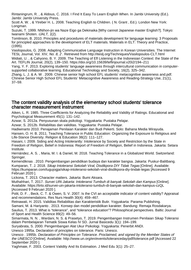Rintaningrum, R. , & Aldous, C. 2016. I Find It Easy To Learn English When. In Jambi University (Ed.). Jambi: Jambi University Press.

Scott A. W. , & Ytreber H. L. 2008. Teaching English to Children. ( N. Grant , Ed.). London New York: Longman.

Suzuki, T. 1999. NNihon-jin wa Naze Eigo ga Dekinaika [Why cannot Japanese master English?]. Tokyo: Iwanami Shoten. IJALT, 1(2).

Tomlinson, B. 2010. Principles and procedures of materials development for language learning: 3 Proposals for principled approaches to the development of ELT materials. Materials in ELT: Theory and Practice, (1995).

Vasilopoulos, G. 2008. Adapting Communicative Language Instruction in Korean Universities. The Internet TESL Journal, Vol. XIV, No. 8, 2 . Retrieved from http://iteslj.org/Techniques/Vasilopoulos-CLT.html Widiati, U. , & Cahyono, B. Y. 2009. The Teaching of Efl Listening in the Indonesian Context: the State of the Art. TEFLIN Journal, 20(2), 139–150. https://doi.org/10.15639/teflinjournal.v20i2/194–211

Yang, Y. F. 2013. Exploring students' language awareness through intercultural communication in computersupported collaborative learning. Educational Technology and Society, 16(2), 325–342.

Zhang, L. J. & A. W . 2009. Chinese senior high school EFL students' metacognitive awareness and.pdf. Chinese Senior High School EFL Students' Metacognitive Awareness and Reading-Strategy Use, 21(1), 37–59.

## The content validity analysis of the elementary school students' tolerance character measurement instrument

Aiken, L. R. 1985. Three Coefficients for Analyzing the Reliability and Validity of Ratings. Educational and Psychological Measurement 45(1): 131–142.

Azwar, S. 2012a. Penyusunan skala psikologi. Yogyakarta: Pustaka Pelajar.

Azwar, S. 2012b. Reliabilitas dan validitas. Yogyakarta: Pustaka Pelajar.

Hadiwinarto 2010. Penajaman Penilaian Karakter dan Budi Pekerti. Solo: Bahana Media Wirayuda.

Hansen, O. H. B. 2011. Teaching Tolerance in Public Education: Organizing the Exposure to Religious and Life-Stance Diversity. Religion & Education 38(2): 111–127.

Hasani, I. 2009. Siding and Acting Intolerantly: Intolerance by Society and Restriction by the State in Freedom of Religion, Belief in Indonesia: Report of Freedom of Religion, Belief in Indonesia. Jakarta: Setara Institute.

Hernández, A. S. , Maria, M. I. & Daniel, M. 2018. Teaching Tolerance in a Globalized World. Switzerland: Springer.

Kemendiknas . 2010. Pengembangan pendidikan budaya dan karakter bangsa. Jakarta: Puskur-Balitbang. Kumparan, T. J. 2018. Sikap Intoleransi Sekolah Viral, Disdikpora DIY Tidak Tegas [Online]. Available: https://kumparan.com/tugujogja/sikap-intoleransi-sekolah-viral-disdikpora-diy-tindak-tegas [Accessed 9 Februari 2020 ].

Lickona, T. 2013. Character matters. Jakarta: Bumi Aksara.

Muthahhari, T. 2017. Survei UIN Jakarta: Intoleransi Tumbuh di banyak Sekolah dan Kampus [Online]. Available: https://tirto.id/survei-uin-jakarta-intoleransi-tumbuh-di-banyak-sekolah-dan-kampus-czQL [Accessed 9 Februari 2020 ].

Polit, D. F. , Beck, C. T. & Owen, S. V. 2007. Is the CVI an acceptable indicator of content validity? Appraisal and recommendations. Res Nurs Health 30(4): 459–467.

Retnawati, H. 2015. Validitas Reliabilitas dan Karakteristik Butir. Yogyakarta: Parama Publishing.

Samani, M. & Hariyanto . 2013. Konsep dan model pendidikan karakter. Bandung: Remaja Rosdakarya. Saulius, T. 2013. What is "tolerance", and "tolerance education"? Philosophical perspectives. Baltic Journal of Sport and Health Science 89(2): 49–56.

Simarmata, N. N. , Wardani, N. S. & Prasetyo, T. 2019. Pengembangan Instrumen Penilaian Sikap Toleransi dalam Pembelajaran Tematik Siswa Kelas IV SD. Jurnal Basicedu 3(1): 194–199.

Suryabrata, S. 2000. Pengembangan Alat Ukur Psikologi. Yogyakarta: Penerbit ANDI.

Unesco 1995a. Declaration of principles on tolerance. Paris: Unesco.

Unesco . 1995b. Declaration of Principles on Tolerance. Proclaimed, and signed by the Member States of the UNESCO [Online]. Available: http://www.un.org/en/events/toleranceday/pdf/tolerance.pdf [Accessed 22 September 2020 ].

Yaghmaie, F. 2003. Content Validity And Its Estimation. J Med Edu 3(1): 25–27.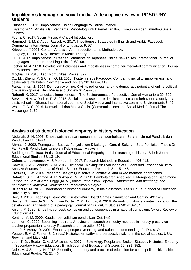#### Impoliteness language on social media: A descriptive review of PGSD UNY students

Culpeper, J. 2011. Impoliteness: Using Language to Cause Offence.

Eriyanto 2011. Analisis Isi: Pengantar Metodologi untuk Penelitian Ilmu Komunikasi dan Ilmu-Ilmu Sosial Lainnya.

Fuchs, C. 2017. Social Media: A Critical Introduction.

Hammod, N. M. & Abdul-Rassul, A. 2017. Impoliteness Strategies in English and Arabic Facebook Comments. International Journal of Linguistics 9: 97.

Krippendorff 2004. Content Analysis: An Introduction to Its Methodology.

Laughey, D. 2007. Key Themes in Media Theory.

Liu, X. 2017. Impoliteness in Reader Comments on Japanese Online News Sites. International Journal of Languages, Literature and Linguistics 3: 62–68.

Locher, M. A. 2010. Introduction: Politeness and impoliteness in computer-mediated communication. Journal of Politeness Research 6: 1–5.

McQuail, D. 2010. Teori Komunikasi Massa. 392.

Oz, M. , Zheng, P. & Chen, G. M. 2018. Twitter versus Facebook: Comparing incivility, impoliteness, and deliberative attributes. New Media and Society 20: 3400–3419.

Papacharissi, Z. 2004. Democracy online: Civility, politeness, and the democratic potential of online political discussion groups. New Media and Society 6: 259–283.

Rahardi, K. 2017. Linguistic Impoliteness in The Sociopragmatic Perspective. Jurnal Humaniora 29: 309. Serwaa, N. A. & Dadzie, P. S. 2015. Social media use and its implications on child behaviour: a study of a basic school in Ghana. International Journal of Social Media and Interactive Learning Environments 3: 49. Watie, E. D. S. 2016. Komunikasi dan Media Sosial (Communications and Social Media). Jurnal The Messenger 3: 69.

## Analysis of students' historical empathy in history education

Abdullah, S. H. 2007. Empati sejarah dalam pengajaran dan pembelajaran Sejarah. Jurnal Pendidik dan Pendidikan 22: 61–74.

Ahmad, J. 2002. Pemupukan Budaya Penyelidikan Dikalangan Guru di Sekolah: Satu Penilaian. Thesis Dr. Fal. Fakulti Pendidikan, Universiti Kebangsaan Malaysia.

Boddington, T. 1980. British Journal of Educational Empathy and the teaching of history. British Journal of Educational Studies 28: 13–19.

Cohen, L. , Lawrence, M. & Morrison, K. 2017. Research Methods in Education. 406-413.

Cowgill, D. A. & Waring, S. M. 2017. Historical Thinking: An Evaluation of Student and Teacher Ability to Analyze Sources. Journal of Social Studies Education Research 8: 115–145.

Creswell, J. W. 2014. Research Design: Qualitative, quantitative, and mixed methods approaches. Dahalan, S. C. , Ahmad, A. R. & Awang, M. M. 2018. Pembelajaran Abad ke-21, Mengapa dan Bagaimana Kemahiran Berfikir Aras Tinggi (KBAT) dalam Pendidikan Sejarah. Transformasi dan pembangunan pendidikan di Malaysia. Kementerian Pendidikan Malaysia.

Dillenburg, M. 2017. Understanding historical empathy in the classroom. Tesis Dr. Fal, School of Education, University of Boston.

Hoy, B. 2018. Teaching History With Custom-Built Board Games. Simulation and Gaming 49: 1–19.

Huijgen, T. , van de Grift, W. , van Boxtel, C. & Holthuis, P. 2018. Promoting historical contextualization: the development and testing of a pedagogy. Journal of Curriculum Studies 50: 410–434.

Knight, P. 1989. Empathy: concept, confusion and consequences in a national curriculum. Oxford Review of Education: 43.

Konting, M. M. 2000. Kaedah penyelidikan pendidikan. Cet. Ke5.

Lammert, C. 2020. Becoming inquirers: A review of research on inquiry methods in literacy preservice teacher preparation. Literacy Research and Instruction 8071.

Lee, P. & Ashby, R. 2001. Empathy, perspective taking, and rational understanding. In: Davis, O. L. ,

Yeager, E. A. & Foster, S. J. (eds.) Historical empathy and perspective taking in the social studies. USA: Rowman and Littlefield.

Leur, T. D. , Boxtel, C. V. & Wilschut, A. 2017. 'I Saw Angry People and Broken Statues': Historical Empathy in Secondary History Education. British Journal of Educational Studies 65: 331–352.

Osler, A. & Starkey, H. 2018. Extending the theory and practice of education for cosmopolitan citizenship. Educational Review 70: 31–40.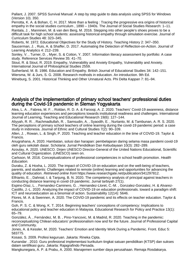Pallant, J. 2007. SPSS Survival Manual: A step by step guide to data analysis using SPSS for Windows (Version 10). 350.

Perrotta, K. A. & Bohan, C. H. 2017. More than a feeling : Tracing the progressive era origins of historical empathy in the social studies curriculum , 1890 – 1940s. The Journal of Social Studies Research: 1–11. Rantala, J. , Manninen, M. & van den Berg, M. 2016. Stepping into other people's shoes proves to be a difficult task for high school students: assessing historical empathy through simulation exercise. Journal of Curriculum Studies 48: 323–345.

Roberts, M. 1972. Educational Objectives for the Study of History. Teaching History 2: 347–350. Saucerman, J. , Ruis, A. & Shaffer, D. 2017. Automating the Detection of Reflection-on-Action. Journal of Learning Analytics 4: 212–239.

Sonley, V. , Turner, D. , Myer, S. & Cotton, Y. 2007. Information literacy assessment by portfolio: A case study. Reference Services Review 35: 41–70.

Stout, R. & Stout, R. 2019. Empathy, Vulnerability and Anxiety Empathy, Vulnerability and Anxiety. International Journal of Philosophical Studies 2559.

Sutherland, M. B. 1986. Education and Empathy. British Journal of Educational Studies 34: 142–151. Wiersma, W. & Jurs, S. G. 2008. Research mothods in education. An introduction. 9th Ed.

Wineburg, S. 2001. Historical Thinking and Other Unnatural Acts. Phi Delta Kappan 7: 81–94.

### Analysis of the implementation of primary school teachers' professional duties during the Covid-19 pandemic in Sleman Yogyakarta

Alea, L. A. , Fabrea, M. F. , Roldan, R. D. A. & Farooqi, A. Z. 2020. Teachers' Covid-19 awareness, distance learning education experiences and perceptions towards institutional readiness and challenges. International Journal of Learning, Teaching and Educational Research 19(6): 127–144.

Aliyyah, R. R. , Rachmadtullah, R. , Samsudin, A. , Syaodih, E. , Nurtanto, M. & Tambunan, A. R. S. 2020. The perceptions of primary school teachers of online learning during the covid-19 pandemic period: a case study in indonesia. Journal of Ethnic and Cultural Studies 7(2): 90–109.

Allen, J. , Rowan, L. & Singh, P. 2020. Teaching and teacher education in the time of COVID-19. Taylor & Francis.

Anugrahana, A. 2020. Hambatan, solusi dan harapan: pembelajaran daring selama masa pandemi covid-19 oleh guru sekolah dasar. Scholaria: Jurnal Pendidikan Dan Kebudayaan 10(3): 282–289.

Azoulay, A. 2020. UNESCO. Dirjen UNESCO Director-General of the United Nations Educational, Scientific and Cultural Organization. (UNESCO) seen on.

Carlsson, M. 2016. Conceptualizations of professional competencies in school health promotion. Health **Education** 

Duraku, Z. & Hoxha, L. 2020. The impact of COVID-19 on education and on the well-being of teachers, parents, and students: Challenges related to remote (online) learning and opportunities for advancing the quality of education. Retrieved online from https://www.researchgate.net/publication/341297812.

Elfrianto, E. , Dahnial, I. & Tanjung, B. N. 2020. The competency analysis of principal against teachers in conducting distance learning in covid-19 pandemic. Jurnal tarbiyah 27(1).

Espino-Díaz, L. , Fernandez-Caminero, G. , Hernandez-Lloret, C.-M. , Gonzalez-Gonzalez, H. & Alvarez-Castillo, J.-L. 2020. Analyzing the impact of COVID-19 on education professionals. toward a paradigm shift: ICT and neuroeducation as a binomial of action. Sustainability 12(14): 5646.

Flores, M. A. & Swennen, A. 2020. The COVID-19 pandemic and its effects on teacher education. Taylor & Francis.

Goh, P. S. C. & Wong, K. T. 2014. Beginning teachers' conceptions of competency: Implications to educational policy and teacher education in Malaysia. Educational Research for Policy and Practice 13(1): 65–79.

González, Á. , Fernández, M. B. , Pino-Yancovic, M. & Madrid, R. 2020. Teaching in the pandemic: reconceptualizing Chilean educators' professionalism now and for the future. Journal of Professional Capital and Community.

Jones, A. & Kessler, M. 2020. Teachers' Emotion and Identity Work During a Pandemic. Front. Educ 5: 583775.

Kosasi, S. 2009. Profesi keguruan. Jakarta: Rineka Cipta.

Kunandar . 2010. Guru profesional implementasi kurikulum tingkat satuan pendidikan (KTSP) dan sukses dalam sertifikasi guru. Jakarta: Rajagrafindo Persada.

Mangkunegara, A. P. & Prabu, A. 2000. Manajemen sumber daya perusahaan. Remaja Rosdakarya.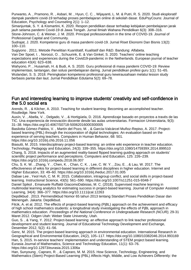Purwanto, A. , Pramono, R. , Asbari, M. , Hyun, C. C. , Wijayanti, L. M. & Putri, R. S. 2020. Studi eksploratif dampak pandemi covid-19 terhadap proses pembelajaran online di sekolah dasar. EduPsyCouns: Journal of Education, Psychology and Counseling 2(1): 1–12.

Simanjuntak, S. Y. & Kismartini, K. 2020. Respon pendidikan dasar terhadap kebijakan pembelajaran jarak jauh selama pandemi Covid-19 di Jawa Tengah. Jurnal Ilmiah Wahana Pendidikan 6(3): 308–316. Stone-Johnson, C. & Weiner, J. M. 2020. Principal professionalism in the time of COVID-19. Journal of Professional Capital and Community.

Sudrajat, J. 2020. Kompetensi guru di masa pandemi covid-19. Jurnal Riset Ekonomi Dan Bisnis 13(2): 100–110.

Sugiyono . 2011. Metode Penelitian Kuantitatif, Kualitatif dan R&D. Bandung: Alfabeta.

Van Der Spoel, I. , Noroozi, O. , Schuurink, E. & Van Ginkel, S. 2020. Teachers' online teaching expectations and experiences during the Covid19-pandemic in the Netherlands. European journal of teacher education 43(4): 623–638.

Wahyono, P. , Husamah, H. & Budi, A. S. 2020. Guru profesional di masa pandemi COVID-19: Review implementasi, tantangan, dan solusi pembelajaran daring. Jurnal pendidikan profesi guru 1(1): 51–65. Wulandari, S. S. 2018. Peningkatan kompetensi profesional guru kewirausahaan melalui lesson study berbasis pantai dan laut. Jurnal Pendidikan Edutama 5(2): 69–78.

#### Fun and interesting learning to improve students' creativity and self-confidence in the 5.0 social era

Arends, R. , & Kilcher, A. 2010. Teaching for student learning: Becoming an accomplished teacher. Routledge. New York.

Ausín, V. , Abella, V. , Delgado, V. , & Hortigüela, D. 2016. Aprendizaje basado en proyectos a través de las TIC. Una experiencia de innovación docente desde las aulas universitarias. Formacion Universitaria, 9(3): 31–38. https://doi.org/10.4067/S0718-50062016000300005

Basilotta Gómez-Pablos, V. , Martín del Pozo, M. , & García-Valcárcel Muñoz-Repiso, A. 2017. Projectbased learning (PBL) through the incorporation of digital technologies: An evaluation based on the experience of serving teachers. Computers in Human Behavior, 68: 501.

https://doi.org/10.1016/j.chb.2016.11.056

Biasutti, M. 2015. Interdisciplinary project-based learning: an online wiki experience in teacher education. Technology, Pedagogy and Education, 24(3): 339–355. https://doi.org/10.1080/1475939X.2014.899510 Chang, S. 2018. Impacts of an augmented reality-based flipped learning guiding approach on students' scientific project performance and perceptions. Computers and Education, 125: 226–239. https://doi.org/10.1016/j.compedu.2018.06.007

Chu, S. K. W. , Zhang, Y. , Chen, K. , Chan, C. K. , Lee, C. W. Y. , Zou, E. , & Lau, W. 2017. The effectiveness of wikis for project-based learning in different disciplines in higher education. Internet and Higher Education, 33: 49–60. https://doi.org/10.1016/j.iheduc.2017.01.005

Dabae Lee , Yeol Huh, C. M. R. 2015. Collaboration, intragroup conflict, and social skills in project-based learning. Instructional Science, 43(5): 561–590. https://doi.org/10.1007/s11251-015-9348-7

Daniel Spikol , Emanuele Ruffaldi GiacomoDabisias, M. C. (2018). Supervised machine learning in multimodal learning analytics for estimating success in project-based learning. Journal of Computer Assisted Learning, 34(4): 366–377. https://doi.org/10.1111/jcal.12263

Depdikbud . 2013. Permendikbud Nomor 65 tahun 2013 tentang Standart Proses Pendidikan Dasar dan Menengah. Jakarta: Depdikbud.

Filcik, A. et al. 2012. The effects of project-based learning (PjBL) approach on the achievement and efficacy of high school mathematics students: a longitudinal study investigating the effects of PjBL approach in mathematics education. Proceedings of the National Conference in Undergraduate Research (NCUR), 29-31 Maret 2012. Odgen Utah: Weber State University, Utah.

Guo, S. , & Yang, Y. 2012. Project-based learning: an effective approach to link teacher professional development and student learning. Journal of Educational Technology Development and Exchange, Desember 2012, 5(2): 41–56.

Genc, M. 2015. The project-based learning approach in environmental education. International Research in Geographical and Environmental Education, 24(2), 105–117. https://doi.org/10.1080/10382046.2014.993169 Han, S. 2015. In-service teachers' implementation and understanding of STEM project based learning. Eurasia Journal of Mathematics, Science and Technology Education, 11(1): 63–76. https://doi.org/10.12973/eurasia.2015.1306a

Han, Sunyoung , Capraro, R. , & Capraro, M. M. 2015. How Science, Technology, Engineering, and Mathematics (Stem) Project-Based Learning (PBL) Affects High, Middle, and Low Achievers Differently: the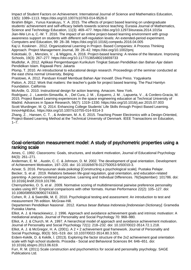Impact of Student Factors on Achievement. International Journal of Science and Mathematics Education, 13(5): 1089–1113. https://doi.org/10.1007/s10763-014-9526-0

Ibrahim Bilgin , Yunus Karakuyu, Y. A. 2015. The effects of project based learning on undergraduate students' achievement and self-efficacy beliefs towards science teaching. Eurasia Journal of Mathematics, Science and Technology Education, 11(3): 469–477. https://doi.org/10.12973/eurasia.2014.1015a

Jian-Wei Lin a, C.-W. T. 2016. The impact of an online project-based learning environment with group awareness support on students with different self-regulation levels: An extended-period experiment. Computers and Education, 99: 28–38. https://doi.org/10.1016/j.compedu.2016.04.005

Kaj U. Koskinen . 2012. Organizational Learning in Project- Based Companies: A Process Thinking Approach. Project Management Journal, 39: 28–42. https://doi.org/10.1002/pmj

Kokotsaki, D. , Menzies, V. , & Wiggins, A. 2016. Project-based learning: A review of the literature. Improving Schools, 19(3): 267–277. https://doi.org/10.1177/1365480216659733

Mudlofar, A. 2012. Aplikasi Pengembangan Kurikulum Tingkat Satuan Pendidikan dan Bahan Ajar dalam Pendidikan Islam. Rajawali Pers: Jakarta

Plomp, T. 2010. An introductional to educational design research. Proceedings of the seminar conducted at the east china normal University, Beijing

Prastowo, A. 2012. Panduan Kreatif Membuat Bahan Ajar Inovatif. Diva Press. Yogyakarta Patton, A. 2012. Work that matters: the teacher's guide for project based learning. The Paul Hamlyn Foundation. California

McArdle, G. 2010. Instructional design for action learning. Amacom. New York.

Rodríguez, J. , Laverón-Simavilla, A. , Del Cura, J. M. , Ezquerro, J. M. , Lapuerta, V. , & Cordero-Gracia, M. 2015. Project Based Learning experiences in the space engineering education at Technical University of Madrid. Advances in Space Research, 56(7): 1319–1330. https://doi.org/10.1016/j.asr.2015.07.003 Scott Wurdinger, M. Q. 2014. Enhancing College Students' Life Skills through Project Based Learning. InnovHighEduc. https://doi.org/10.1007/s10755-014-9314-3

Zhang, Z. , Hansen, C. T. , & Andersen, M. A. E. 2015. Teaching Power Electronics with a Design-Oriented, Project-Based Learning Method at the Technical University of Denmark. IEEE Transactions on Education,  $1-\overline{7}$ .

#### Goal-orientation measurement model: A study of psychometric properties using a ranking scale

Ames, C. 1992. Classrooms: Goals, structures, and student motivation, Journal of Educational Psychology 84(3): 261–271.

Anderman, E. M. , Austin, C. C. & Johnson, D. M. 2002. The development of goal orientation. Development of Achievement Motivation, 197–220. doi: 10.1016/b978-012750053-9/50010-3.

Azwar, S. 2016. Penyusunan skala psikologi [Constructing a psychological scale]. Pustaka Pelajar. Becker, S. et al . 2019. Relations between life-goal regulation, goal orientation, and education-related parenting- A person-centered perspective. Learning and Individual Differences. 76(September): 101786. doi: 10.1016/j.lindif.2019.101786.

Chernyshenko, O. S. et al . 2009. Normative scoring of multidimensional pairwise preference personality scales using IRT: Empirical comparisons with other formats. Human Performance 22(2): 105–127. doi: 10.1080/08959280902743303.

Cohen, R. J. & Swerdlik, M. E. 2010. Psychological testing and assessment: An introduction to test and measurement 7th edition. McGraw-Hill.

Departemen Pendidikan Nasional . 2012. Kamus besar Bahasa Indonesia [Indonesian Dictionary]. Gramedia Pustaka Utama.

Elliot, A. J. & Harackiewicz, J. 1996. Approach and avoidance achievement goals and intrinsic motivation: A mediational analysis. Journal of Personality and Social Psychology 70: 968–980.

Elliot, A. J. & Church, M. A. 1997. A hierarchical model of approach and avoidance achievement motivation. Journal of Personality and Social Psychology 72(1): 218–232. doi: 10.1037/0022-3514.72.1.218.

Elliot, A. J. & McGregor, H. A. (2001). A 2 × 2 achievement goal framework. Journal of Personality and Social Psychology, 80(3): 501–519. doi: 10.1037/0022-3514.80.3.501.

Erdem-Keklik, D. & Keklik, İ. (2013). Exploring the factor structure of the 2x2 achievement goal orientation scale with high school students. Procedia - Social and Behavioral Sciences 84: 646–651. doi: 10.1016/j.sbspro.2013.06.619.

Furr, R. M. (2011) Scale construction and psychometrics for social and personality psychology. SAGE Publications Ltd.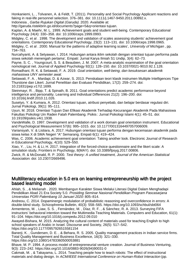Honkaniemi, L. , Tolvanen, A. & Feldt, T. (2011). Personality and Social Psychology Applicant reactions and faking in real-life personnel selection. 376–381. doi: 10.1111/j.1467-9450.2011.00892.x.

Indonesia , Garba Rujukan Digital (Garuda). 2020. Available at:

http://garuda.ristekbrin.go.id/documents?page=5&q=orientasi tujuan.

Kaplan, A. & Maehr, M. L. 1999. Achievement goals and student well-being. Contemporary Educational Psychology 24(4): 330–358. doi: 10.1006/ceps.1999.0993.

Midgley, C. et al . 1998. The development and validation of scales assessing students' achievement goal orientations. Contemporary Educational Psychology, 23(2): 113–131. doi: 10.1006/ceps.1998.0965. Midgley, C. et al . 2000. Manual for the patterns of adaptive learning scales', University of Michigan , pp. 734–763.

Nurcahyanti, A. & Setyawan, I. 2014. Hubungan antara iklim sekolah dengan orientasi tujuan performa pada siswa sekolah menengah pertama', Empati: Jurnal Karya Ilmiah S1 Undip, 3(4): 62–73.

Payne, S. C. , Youngcourt, S. S. & Beaubien, J. M. 2007. A meta-analytic examination of the goal orientation nomological net. Journal of Applied Psychology 92(1): 128–150. doi: 10.1037/0021-9010.92.1.128.

Romadhani, R. K. & Setiawati, F. A. 2019. Goal orientation, well-being, dan kesuksesan akademik mahasiswa UNY semester awal.

Setiawati, F. A. , Mardapi, D. & Azwar, S. 2013. Penskalaan teori klasik instrumen Multiple Intelligences Tipe Thurstone dan Likert. Jurnal Penelitian dan Evaluasi Pendidikan, 17(2): 259–274. doi: 10.21831/pep.v17i2.1699.

Steinmayr, R. , Bipp, T. & Spinath, B. 2011. Goal orientations predict academic performance beyond intelligence and personality. Learning and Individual Differences 21(2): 196–200. doi: 10.1016/j.lindif.2010.11.026.

Susetyo, Y. & Kumara, A. 2012. Orientasi tujuan, atribusi penyebab, dan belajar berdasar regulasi diri. Jurnal Psikologi, 39(1): 95–111.

Uyun, M. 2018. Orientasi Tujuan Dan Efikasi Akademik Terhadap Kecurangan Akademik Pada Mahasiswa Fakultas Psikologi Uin Raden Fatah Palembang. Psikis : Jurnal Psikologi Islami 4(1): 45–51. doi: 10.19109/psikis.v4i1.1938.

VandeWalle, D. 1997. Development and validation of a work domain goal orientation instrument. Educational and Psychological Measurement 57(6): 995–1015. doi: 10.1177/0013164497057006009.

Variansyah, V. & Listiara, A. 2017. Hubungan orientasi tujuan performa dengan kecemasan akademik pada siswa kelas X di SMA Negeri "A" Semarang. Empati 6(1): 419–424.

Was, C. 2006. Academic achievement goal orientation: Taking another look. Electronic Journal of Research in Educational Psychology, 4(10): 529–550.

Xiao, Y. , Liu, H. & Li, H. 2017. Integration of the forced-choice questionnaire and the likert scale: A simulation study, Frontiers in Psychology, 8(MAY). doi: 10.3389/fpsyg.2017.00806.

Zwick, R. & McDonald, R. P. 2000. Test theory: A unified treatment, Journal of the American Statistical Association. doi: 10.2307/2669496.

## Multiliteracy education in 5.0 era on learning entrepreneurship with the project based learning model

Ahlah, S. , & Melianah . 2020. Membangun Karakter Siswa Melalui Literasi Digital Dalam Menghadapi Pendidikan Abad 21 Era Society 5.0. Prosiding Seminar Nasional Pendidikan Program Pascasarjana Universitas PGRI Palembang 10 Januari 2020: 805–814.

Andreou, C. 2014. Dopaminergic modulation of probabilistic reasoning and overconfidence in errors: A double-blind study. Schizophrenia Bulletin, 40(3): 558–565. https://doi.org/10.1093/schbul/sbt064 Armenteros, M. , Liaw, S. S. , Fernández, M. , Díaz, R. F. , & Sánchez, R. A. 2013. Surveying FIFA instructors' behavioral intention toward the Multimedia Teaching Materials. Computers and Education, 61(1): 91–104. https://doi.org/10.1016/j.compedu.2012.09.010

Awayed-Bishara, M. 2015. Analyzing the cultural content of materials used for teaching English to high school speakers of Arabic in Israel. Discourse and Society, 26(5): 517–542.

https://doi.org/10.1177/0957926515581154

Banerji, K. , Gundersen, D. E. , & Behara, R. S. 2005. Quality management practices in Indian service firms. Total Quality Management and Business Excellence, 16(3): 321–330. https://doi.org/10.1080/14783360500053881

Bhave, M. P. 1994. A process model of entrepreneurial venture creation. Journal of Business Venturing, 9(3): 223–242. https://doi.org/10.1016/0883-9026(94)90031-0

Cakmak, M. , & Takayama, L. 2014. Teaching people how to teach robots: The effect of instructional materials and dialog design. In ACM/IEEE International Conference on Human-Robot Interaction (pp.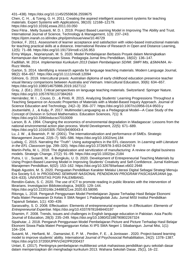431–438). https://doi.org/10.1145/2559636.2559675

Chen, C. H. , & Tzeng, G. H. 2011. Creating the aspired intelligent assessment systems for teaching materials. Expert Systems with Applications, 38(10): 12168–12179.

https://doi.org/10.1016/j.eswa.2011.03.050

Desi Fitria , Melly Susanti, M. D. I. 2019. Project Based Learning Model in Improving The Ability and Trust. International Journal of Science, Technology & Management, 1(3): 237–243. https://ijstm.inarah.co.id/index.php/ijstm/issue/view/10.46729

Donkor, F. 2011. Assessment of learner acceptance and satisfaction with video-based instructional materials for teaching practical skills at a distance. International Review of Research in Open and Distance Learning, 12(5): 71–88. https://doi.org/10.19173/irrodl.v12i5.953

Ermy Wijaya , Noprianysah, M. S. 2020. Model Pembelajaran Berbasis Proyek dalam Meningkatkan Kemampuan dan Kepercayaan Siswa. Pedagogia Jurnal Ilmu Pendidikan, 18(02): 136–147.

Fadlillah, M. 2014. Implementasi Kurikulum 2013 Dalam Pembelajaran SD/MI. SMP/ Mts, &SMA/MA. Ar-Ruzz Media.

Garton, S. 2014. Identifying a research agenda for language teaching materials. Modern Language Journal, 98(2): 654–657. https://doi.org/10.1111/modl.12094

Gilmore, G. 2019. Intercultural praxis: Australian diploma of early childhood education preservice teacher visual literacy comparisons between Australia and Vietnam. Intercultural Education, 30(6): 634–657. https://doi.org/10.1080/14675986.2019.1627112

Gray, J. (Ed.). 2013. Critical perspectives on language teaching materials. Switzerland: Springer Nature. https://doi.org/10.1057/9781137384263

Hernández, M. I. , Couso, D. , & Pintó, R. 2015. Analyzing Students' Learning Progressions Throughout a Teaching Sequence on Acoustic Properties of Materials with a Model-Based Inquiry Approach. Journal of Science Education and Technology, 24(2–3): 356–377. https://doi.org/10.1007/s10956-014-9503-y

Joutsenlahti, J. , & Kulju, P. 2017. Multimodal Languaging as a Pedagogical Model—A Case Study of the Concept of Division in School Mathematics. Education Sciences, 7(1): 9. https://doi.org/10.3390/educsci7010009

Larson, B. A. 1994. Changing the economics of environmental degradation in Madagascar: Lessons from the national environmental action plan process. World Development, 22(5): 671–689. https://doi.org/10.1016/0305-750X(94)90043-4

Lu, J. W. , & Beamish, P. W. (2001). The internationalization and performance of SMEs. Strategic Management Journal, 22(6–7): 565–586. https://doi.org/10.1002/smj.184

Ludwig, C. 2015. Narrating the "Truth": Using autographics in the EFL classroom. In Learning with Literature in the EFL Classroom (pp. 299–320). https://doi.org/10.3726/978-3-653-04297-9

Martín-Peña, M. L. 2018. The digitalization and servitization of manufacturing: A review on digital business models. Strategic Change, 27(2): 91–99. https://doi.org/10.1002/jsc.2184

Putra, I. U. , Susanti, M. , & Bengkulu, U. D. 2020. Development of Entrepreneurial Teaching Materials by Using Project-Based Learning Model in Improving Students' Creativity and Self-Confidence. Jurnal Keilmuan Manajemen Pendidikan, 6(02): 153–162. https://doi.org/10.32678/tarbawi.v6i02.2948

Rajab Agustini, M. S. 2020. Penguatan Pendidikan Karakter Melalui Literasi Digital Sebagai Strategi Menuju Era Society 5.0. In PROSIDING SEMINAR NASIONAL PENDIDIKAN PROGRAM PASCASARJANA (pp. 624–633). UNIVERSITAS PGRI PALEMBANG.

Rendón-Galvis, S. C. 2020. The use of ICT to promote reading in public libraries with the intervention of librarians. Investigacion Bibliotecologica, 34(83): 129–144.

https://doi.org/10.22201/iibi.24488321xe.2020.83.58095

Ritonga, L. 2018. Pengaruh Penggunaan Model Pembelajaran Jigsaw Terhadap Hasil Belajar Ekonomi Pada Materi Penawaran Di Kelas X SMA Negeri 1 Padangbolak Julu. Jurnal MISI Institut Pendidikan Tapanuli Selatan, 1(1): 430–439.

Sarasvathy, S. D. 2008. Effectuation: Elements of entrepreneurial expertise. In Effectuation: Elements of Entrepreneurial Expertise. https://doi.org/10.4337/9781848440197

Shamim, F. 2008. Trends, issues and challenges in English language education in Pakistan. Asia Pacific Journal of Education, 28(3): 235–249. https://doi.org/10.1080/02188790802267324

Sipahutar, J. 2018. Pengaruh Penggunaan Model Pembelajaran Picture and Picture Terhadap Hasil Belajar Ekonomi Siswa Pada Materi Pengangguran Kelas Xi IPS SMA Negeri 1 Sibabangun. Jurnal Misi, 1(1): 104–104.

Susanti, M. , Herfianti, M. , Damarsiwi, E. P. M. , Perdim, F. E. , & Joniswan . 2020. Project-based learning model to improve students' ability. International Journal of Psychosocial Rehabilitation, 24(2): 1378–1387. https://doi.org/10.37200/IJPR/V24I2/PR200437

Untari, E. (2017). Pentingnya pembelajaran multiliterasi untuk mahasiswa pendidikan guru sekolah dasar dalam mempersiapkan diri menghadapi kurikulum 2013. Wahana Sekolah Dasar, 25(1), 16–22.